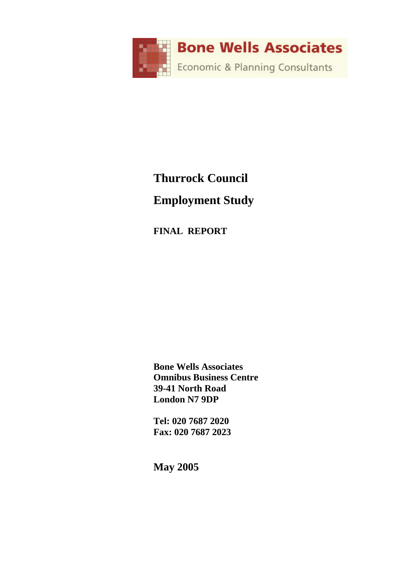

# **Thurrock Council Employment Study**

**FINAL REPORT** 

**Bone Wells Associates Omnibus Business Centre 39-41 North Road London N7 9DP** 

**Tel: 020 7687 2020 Fax: 020 7687 2023** 

**May 2005**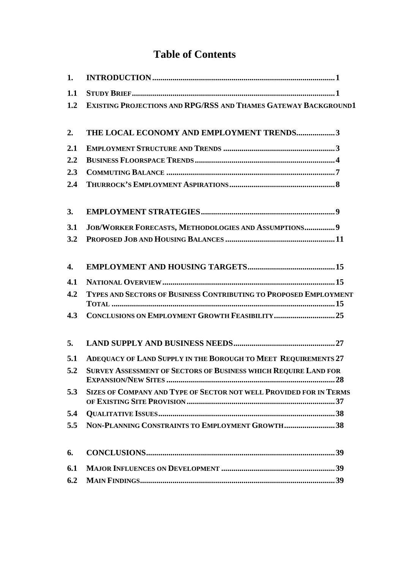# **Table of Contents**

| 1.  |                                                                           |
|-----|---------------------------------------------------------------------------|
| 1.1 |                                                                           |
| 1.2 | <b>EXISTING PROJECTIONS AND RPG/RSS AND THAMES GATEWAY BACKGROUND1</b>    |
| 2.  | THE LOCAL ECONOMY AND EMPLOYMENT TRENDS3                                  |
| 2.1 |                                                                           |
| 2.2 |                                                                           |
| 2.3 |                                                                           |
| 2.4 |                                                                           |
| 3.  |                                                                           |
| 3.1 | JOB/WORKER FORECASTS, METHODOLOGIES AND ASSUMPTIONS 9                     |
| 3.2 |                                                                           |
| 4.  |                                                                           |
| 4.1 |                                                                           |
| 4.2 | TYPES AND SECTORS OF BUSINESS CONTRIBUTING TO PROPOSED EMPLOYMENT         |
| 4.3 |                                                                           |
| 5.  |                                                                           |
| 5.1 | ADEQUACY OF LAND SUPPLY IN THE BOROUGH TO MEET REQUIREMENTS 27            |
| 5.2 | <b>SURVEY ASSESSMENT OF SECTORS OF BUSINESS WHICH REQUIRE LAND FOR</b>    |
| 5.3 | <b>SIZES OF COMPANY AND TYPE OF SECTOR NOT WELL PROVIDED FOR IN TERMS</b> |
| 5.4 |                                                                           |
| 5.5 | NON-PLANNING CONSTRAINTS TO EMPLOYMENT GROWTH38                           |
| 6.  |                                                                           |
| 6.1 |                                                                           |
| 6.2 |                                                                           |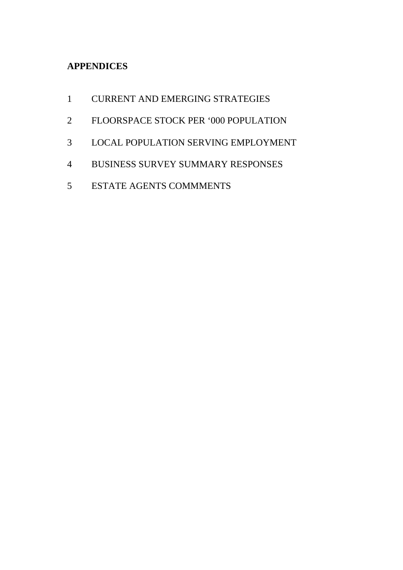# **APPENDICES**

- 1 CURRENT AND EMERGING STRATEGIES
- 2 FLOORSPACE STOCK PER '000 POPULATION
- 3 LOCAL POPULATION SERVING EMPLOYMENT
- 4 BUSINESS SURVEY SUMMARY RESPONSES
- 5 ESTATE AGENTS COMMMENTS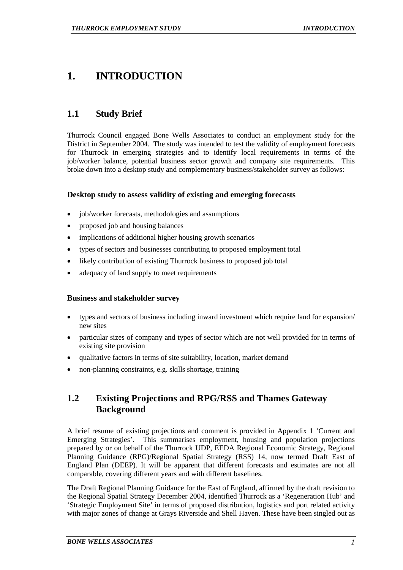# **1. INTRODUCTION**

# **1.1 Study Brief**

Thurrock Council engaged Bone Wells Associates to conduct an employment study for the District in September 2004. The study was intended to test the validity of employment forecasts for Thurrock in emerging strategies and to identify local requirements in terms of the job/worker balance, potential business sector growth and company site requirements. This broke down into a desktop study and complementary business/stakeholder survey as follows:

# **Desktop study to assess validity of existing and emerging forecasts**

- job/worker forecasts, methodologies and assumptions
- proposed job and housing balances
- implications of additional higher housing growth scenarios
- types of sectors and businesses contributing to proposed employment total
- likely contribution of existing Thurrock business to proposed job total
- adequacy of land supply to meet requirements

# **Business and stakeholder survey**

- types and sectors of business including inward investment which require land for expansion/ new sites
- particular sizes of company and types of sector which are not well provided for in terms of existing site provision
- qualitative factors in terms of site suitability, location, market demand
- non-planning constraints, e.g. skills shortage, training

# **1.2 Existing Projections and RPG/RSS and Thames Gateway Background**

A brief resume of existing projections and comment is provided in Appendix 1 'Current and Emerging Strategies'. This summarises employment, housing and population projections prepared by or on behalf of the Thurrock UDP, EEDA Regional Economic Strategy, Regional Planning Guidance (RPG)/Regional Spatial Strategy (RSS) 14, now termed Draft East of England Plan (DEEP). It will be apparent that different forecasts and estimates are not all comparable, covering different years and with different baselines.

The Draft Regional Planning Guidance for the East of England, affirmed by the draft revision to the Regional Spatial Strategy December 2004, identified Thurrock as a 'Regeneration Hub' and 'Strategic Employment Site' in terms of proposed distribution, logistics and port related activity with major zones of change at Grays Riverside and Shell Haven. These have been singled out as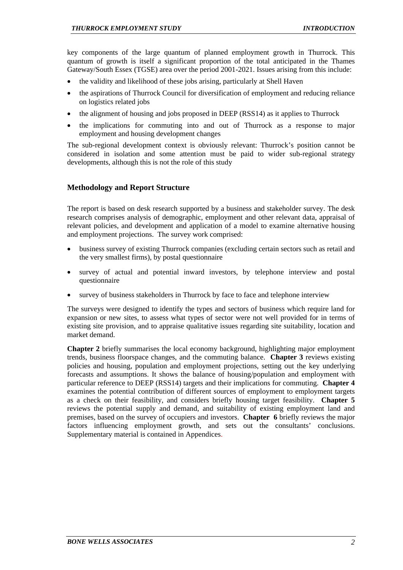key components of the large quantum of planned employment growth in Thurrock. This quantum of growth is itself a significant proportion of the total anticipated in the Thames Gateway/South Essex (TGSE) area over the period 2001-2021. Issues arising from this include:

- the validity and likelihood of these jobs arising, particularly at Shell Haven
- the aspirations of Thurrock Council for diversification of employment and reducing reliance on logistics related jobs
- the alignment of housing and jobs proposed in DEEP (RSS14) as it applies to Thurrock
- the implications for commuting into and out of Thurrock as a response to major employment and housing development changes

The sub-regional development context is obviously relevant: Thurrock's position cannot be considered in isolation and some attention must be paid to wider sub-regional strategy developments, although this is not the role of this study

# **Methodology and Report Structure**

The report is based on desk research supported by a business and stakeholder survey. The desk research comprises analysis of demographic, employment and other relevant data, appraisal of relevant policies, and development and application of a model to examine alternative housing and employment projections. The survey work comprised:

- business survey of existing Thurrock companies (excluding certain sectors such as retail and the very smallest firms), by postal questionnaire
- survey of actual and potential inward investors, by telephone interview and postal questionnaire
- survey of business stakeholders in Thurrock by face to face and telephone interview

The surveys were designed to identify the types and sectors of business which require land for expansion or new sites, to assess what types of sector were not well provided for in terms of existing site provision, and to appraise qualitative issues regarding site suitability, location and market demand.

**Chapter 2** briefly summarises the local economy background, highlighting major employment trends, business floorspace changes, and the commuting balance. **Chapter 3** reviews existing policies and housing, population and employment projections, setting out the key underlying forecasts and assumptions. It shows the balance of housing/population and employment with particular reference to DEEP (RSS14) targets and their implications for commuting. **Chapter 4** examines the potential contribution of different sources of employment to employment targets as a check on their feasibility, and considers briefly housing target feasibility. **Chapter 5** reviews the potential supply and demand, and suitability of existing employment land and premises, based on the survey of occupiers and investors. **Chapter 6** briefly reviews the major factors influencing employment growth, and sets out the consultants' conclusions. Supplementary material is contained in Appendices.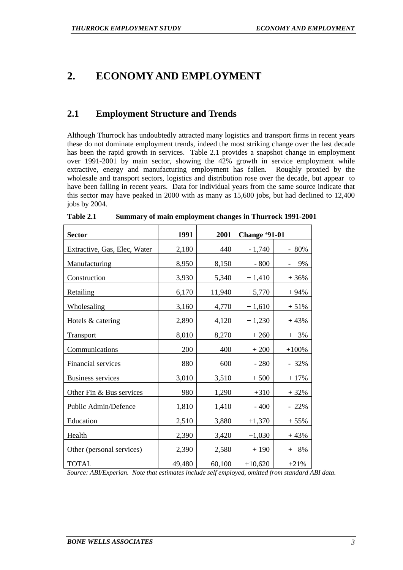# **2. ECONOMY AND EMPLOYMENT**

# **2.1 Employment Structure and Trends**

Although Thurrock has undoubtedly attracted many logistics and transport firms in recent years these do not dominate employment trends, indeed the most striking change over the last decade has been the rapid growth in services. Table 2.1 provides a snapshot change in employment over 1991-2001 by main sector, showing the 42% growth in service employment while extractive, energy and manufacturing employment has fallen. Roughly proxied by the wholesale and transport sectors, logistics and distribution rose over the decade, but appear to have been falling in recent years. Data for individual years from the same source indicate that this sector may have peaked in 2000 with as many as 15,600 jobs, but had declined to 12,400 jobs by 2004.

| <b>Sector</b>                | 1991   | 2001   | <b>Change '91-01</b> |         |
|------------------------------|--------|--------|----------------------|---------|
| Extractive, Gas, Elec, Water | 2,180  | 440    | $-1,740$             | - 80%   |
| Manufacturing                | 8,950  | 8,150  | $-800$               | 9%      |
| Construction                 | 3,930  | 5,340  | $+1,410$             | $+36%$  |
| Retailing                    | 6,170  | 11,940 | $+5,770$             | $+94%$  |
| Wholesaling                  | 3,160  | 4,770  | $+1,610$             | $+51%$  |
| Hotels & catering            | 2,890  | 4,120  | $+1,230$             | $+43%$  |
| Transport                    | 8,010  | 8,270  | $+260$               | $+ 3\%$ |
| Communications               | 200    | 400    | $+200$               | $+100%$ |
| Financial services           | 880    | 600    | $-280$               | $-32%$  |
| <b>Business services</b>     | 3,010  | 3,510  | $+500$               | $+17%$  |
| Other Fin & Bus services     | 980    | 1,290  | $+310$               | $+32%$  |
| Public Admin/Defence         | 1,810  | 1,410  | $-400$               | $-22%$  |
| Education                    | 2,510  | 3,880  | $+1,370$             | $+55%$  |
| Health                       | 2,390  | 3,420  | $+1,030$             | $+43%$  |
| Other (personal services)    | 2,390  | 2,580  | $+190$               | $+ 8\%$ |
| <b>TOTAL</b>                 | 49,480 | 60,100 | $+10,620$            | $+21%$  |

| Table 2.1 | <b>Summary of main employment changes in Thurrock 1991-2001</b> |
|-----------|-----------------------------------------------------------------|
|-----------|-----------------------------------------------------------------|

*Source: ABI/Experian. Note that estimates include self employed, omitted from standard ABI data.*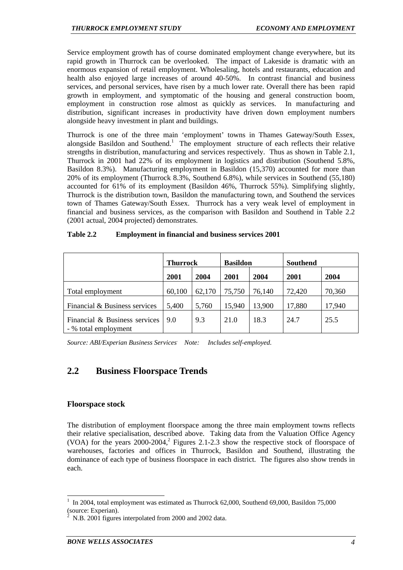Service employment growth has of course dominated employment change everywhere, but its rapid growth in Thurrock can be overlooked. The impact of Lakeside is dramatic with an enormous expansion of retail employment. Wholesaling, hotels and restaurants, education and health also enjoyed large increases of around 40-50%. In contrast financial and business services, and personal services, have risen by a much lower rate. Overall there has been rapid growth in employment, and symptomatic of the housing and general construction boom, employment in construction rose almost as quickly as services. In manufacturing and distribution, significant increases in productivity have driven down employment numbers alongside heavy investment in plant and buildings.

Thurrock is one of the three main 'employment' towns in Thames Gateway/South Essex, alongside Basildon and Southend.<sup>1</sup> The employment structure of each reflects their relative strengths in distribution, manufacturing and services respectively. Thus as shown in Table 2.1, Thurrock in 2001 had 22% of its employment in logistics and distribution (Southend 5.8%, Basildon 8.3%). Manufacturing employment in Basildon (15,370) accounted for more than 20% of its employment (Thurrock 8.3%, Southend 6.8%), while services in Southend (55,180) accounted for 61% of its employment (Basildon 46%, Thurrock 55%). Simplifying slightly, Thurrock is the distribution town, Basildon the manufacturing town, and Southend the services town of Thames Gateway/South Essex. Thurrock has a very weak level of employment in financial and business services, as the comparison with Basildon and Southend in Table 2.2 (2001 actual, 2004 projected) demonstrates.

| Table 2.2 | <b>Employment in financial and business services 2001</b> |  |  |
|-----------|-----------------------------------------------------------|--|--|
|           |                                                           |  |  |

|                                                       | <b>Thurrock</b> |        | <b>Basildon</b> |        | <b>Southend</b> |        |
|-------------------------------------------------------|-----------------|--------|-----------------|--------|-----------------|--------|
|                                                       | 2001            | 2004   | 2001            | 2004   | 2001            | 2004   |
| Total employment                                      | 60,100          | 62,170 | 75,750          | 76,140 | 72,420          | 70,360 |
| Financial & Business services                         | 5,400           | 5,760  | 15,940          | 13,900 | 17,880          | 17,940 |
| Financial & Business services<br>- % total employment | 9.0             | 9.3    | 21.0            | 18.3   | 24.7            | 25.5   |

*Source: ABI/Experian Business Services. Note: Includes self-employed.* 

# **2.2 Business Floorspace Trends**

# **Floorspace stock**

l

The distribution of employment floorspace among the three main employment towns reflects their relative specialisation, described above. Taking data from the Valuation Office Agency (VOA) for the years  $2000-2004$ ,<sup>2</sup> Figures 2.1-2.3 show the respective stock of floorspace of warehouses, factories and offices in Thurrock, Basildon and Southend, illustrating the dominance of each type of business floorspace in each district. The figures also show trends in each.

<sup>1</sup> In 2004, total employment was estimated as Thurrock 62,000, Southend 69,000, Basildon 75,000 (source: Experian).

<sup>2</sup> N.B. 2001 figures interpolated from 2000 and 2002 data.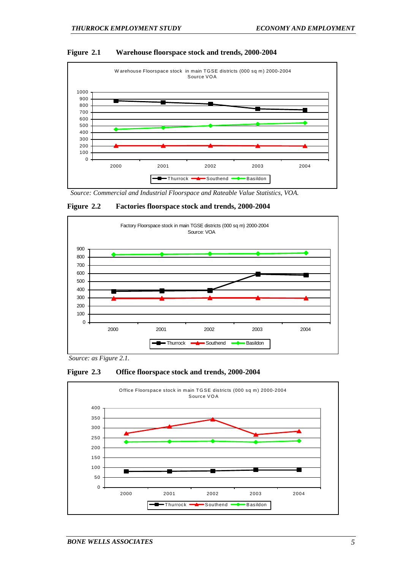#### **Figure 2.1 Warehouse floorspace stock and trends, 2000-2004**



*Source: Commercial and Industrial Floorspace and Rateable Value Statistics, VOA.* 

#### **Figure 2.2 Factories floorspace stock and trends, 2000-2004**



*Source: as Figure 2.1.* 



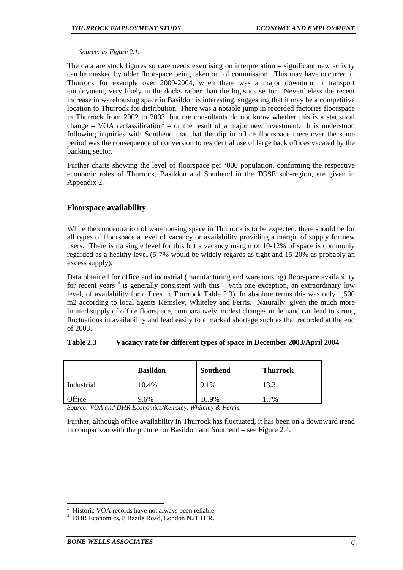#### *Source: as Figure 2.1.*

The data are stock figures so care needs exercising on interpretation – significant new activity can be masked by older floorspace being taken out of commission. This may have occurred in Thurrock for example over 2000-2004, when there was a major downturn in transport employment, very likely in the docks rather than the logistics sector. Nevertheless the recent increase in warehousing space in Basildon is interesting, suggesting that it may be a competitive location to Thurrock for distribution. There was a notable jump in recorded factories floorspace in Thurrock from 2002 to 2003, but the consultants do not know whether this is a statistical change – VOA reclassification<sup>3</sup> – or the result of a major new investment. It is understood following inquiries with Southend that that the dip in office floorspace there over the same period was the consequence of conversion to residential use of large back offices vacated by the banking sector.

Further charts showing the level of floorspace per '000 population, confirming the respective economic roles of Thurrock, Basildon and Southend in the TGSE sub-region, are given in Appendix 2.

# **Floorspace availability**

While the concentration of warehousing space in Thurrock is to be expected, there should be for all types of floorspace a level of vacancy or availability providing a margin of supply for new users. There is no single level for this but a vacancy margin of 10-12% of space is commonly regarded as a healthy level (5-7% would be widely regards as tight and 15-20% as probably an excess supply).

Data obtained for office and industrial (manufacturing and warehousing) floorspace availability for recent years  $4$  is generally consistent with this – with one exception, an extraordinary low level, of availability for offices in Thurrock Table 2.3). In absolute terms this was only 1,500 m2 according to local agents Kemsley, Whiteley and Ferris. Naturally, given the much more limited supply of office floorspace, comparatively modest changes in demand can lead to strong fluctuations in availability and lead easily to a marked shortage such as that recorded at the end of 2003.

#### **Table 2.3 Vacancy rate for different types of space in December 2003/April 2004**

|            | <b>Basildon</b> | Southend | <b>Thurrock</b> |
|------------|-----------------|----------|-----------------|
| Industrial | 10.4%           | $9.1\%$  | l3.3            |
| Office     | 9.6%            | 10.9%    | 7%              |

*Source: VOA and DHR Economics/Kemsley, Whiteley & Ferris.* 

Further, although office availability in Thurrock has fluctuated, it has been on a downward trend in comparison with the picture for Basildon and Southend – see Figure 2.4.

<sup>3</sup> Historic VOA records have not always been reliable.

<sup>4</sup> DHR Economics, 8 Bazile Road, London N21 1HR.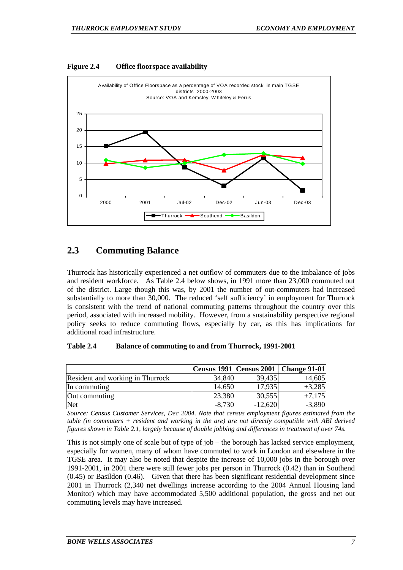



# **2.3 Commuting Balance**

Thurrock has historically experienced a net outflow of commuters due to the imbalance of jobs and resident workforce. As Table 2.4 below shows, in 1991 more than 23,000 commuted out of the district. Large though this was, by 2001 the number of out-commuters had increased substantially to more than 30,000. The reduced 'self sufficiency' in employment for Thurrock is consistent with the trend of national commuting patterns throughout the country over this period, associated with increased mobility. However, from a sustainability perspective regional policy seeks to reduce commuting flows, especially by car, as this has implications for additional road infrastructure.

#### **Table 2.4 Balance of commuting to and from Thurrock, 1991-2001**

|                                  |          |           | Census 1991   Census 2001   Change 91-01 |
|----------------------------------|----------|-----------|------------------------------------------|
| Resident and working in Thurrock | 34,840   | 39,435    | $+4,605$                                 |
| In commuting                     | 14,650   | 17,935    | $+3,285$                                 |
| Out commuting                    | 23,380   | 30,555    | $+7,175$                                 |
| Net                              | $-8,730$ | $-12,620$ | $-3,890$                                 |

*Source: Census Customer Services, Dec 2004. Note that census employment figures estimated from the table (in commuters + resident and working in the are) are not directly compatible with ABI derived figures shown in Table 2.1, largely because of double jobbing and differences in treatment of over 74s.* 

This is not simply one of scale but of type of job – the borough has lacked service employment, especially for women, many of whom have commuted to work in London and elsewhere in the TGSE area. It may also be noted that despite the increase of 10,000 jobs in the borough over 1991-2001, in 2001 there were still fewer jobs per person in Thurrock (0.42) than in Southend (0.45) or Basildon (0.46). Given that there has been significant residential development since 2001 in Thurrock (2,340 net dwellings increase according to the 2004 Annual Housing land Monitor) which may have accommodated 5,500 additional population, the gross and net out commuting levels may have increased.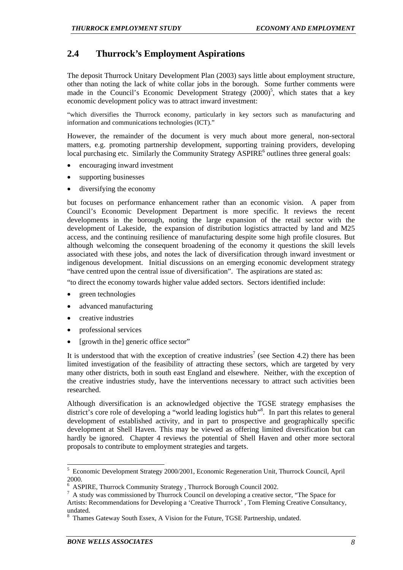# **2.4 Thurrock's Employment Aspirations**

The deposit Thurrock Unitary Development Plan (2003) says little about employment structure, other than noting the lack of white collar jobs in the borough. Some further comments were made in the Council's Economic Development Strategy  $(2000)^5$ , which states that a key economic development policy was to attract inward investment:

"which diversifies the Thurrock economy, particularly in key sectors such as manufacturing and information and communications technologies (ICT)."

However, the remainder of the document is very much about more general, non-sectoral matters, e.g. promoting partnership development, supporting training providers, developing local purchasing etc. Similarly the Community Strategy ASPIRE<sup>6</sup> outlines three general goals:

- encouraging inward investment
- supporting businesses
- diversifying the economy

but focuses on performance enhancement rather than an economic vision. A paper from Council's Economic Development Department is more specific. It reviews the recent developments in the borough, noting the large expansion of the retail sector with the development of Lakeside, the expansion of distribution logistics attracted by land and M25 access, and the continuing resilience of manufacturing despite some high profile closures. But although welcoming the consequent broadening of the economy it questions the skill levels associated with these jobs, and notes the lack of diversification through inward investment or indigenous development. Initial discussions on an emerging economic development strategy "have centred upon the central issue of diversification". The aspirations are stated as:

"to direct the economy towards higher value added sectors. Sectors identified include:

- green technologies
- advanced manufacturing
- creative industries
- professional services
- [growth in the] generic office sector"

It is understood that with the exception of creative industries<sup>7</sup> (see Section 4.2) there has been limited investigation of the feasibility of attracting these sectors, which are targeted by very many other districts, both in south east England and elsewhere. Neither, with the exception of the creative industries study, have the interventions necessary to attract such activities been researched.

Although diversification is an acknowledged objective the TGSE strategy emphasises the district's core role of developing a "world leading logistics hub"<sup>8</sup>. In part this relates to general development of established activity, and in part to prospective and geographically specific development at Shell Haven. This may be viewed as offering limited diversification but can hardly be ignored. Chapter 4 reviews the potential of Shell Haven and other more sectoral proposals to contribute to employment strategies and targets.

 5 Economic Development Strategy 2000/2001, Economic Regeneration Unit, Thurrock Council, April 2000.

<sup>6</sup> <sup>6</sup> ASPIRE, Thurrock Community Strategy , Thurrock Borough Council 2002.<br><sup>7</sup> A study was commissioned by Thurrock Council on developing a creative set

A study was commissioned by Thurrock Council on developing a creative sector, "The Space for Artists: Recommendations for Developing a 'Creative Thurrock' , Tom Fleming Creative Consultancy, undated.

<sup>8</sup> Thames Gateway South Essex, A Vision for the Future, TGSE Partnership, undated.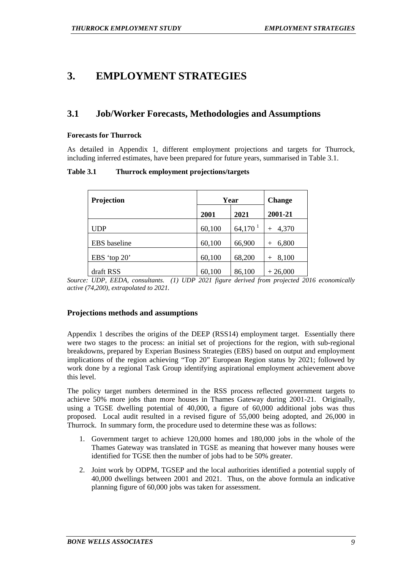# **3. EMPLOYMENT STRATEGIES**

# **3.1 Job/Worker Forecasts, Methodologies and Assumptions**

#### **Forecasts for Thurrock**

As detailed in Appendix 1, different employment projections and targets for Thurrock, including inferred estimates, have been prepared for future years, summarised in Table 3.1.

**Table 3.1 Thurrock employment projections/targets** 

| Projection          | Year   | <b>Change</b> |              |
|---------------------|--------|---------------|--------------|
|                     | 2001   | 2021          | 2001-21      |
| UDP                 | 60,100 | $64,170^1$    | 4,370        |
| <b>EBS</b> baseline | 60,100 | 66,900        | 6,800        |
| EBS 'top $20$ '     | 60,100 | 68,200        | 8,100<br>$+$ |
| draft RSS           | 60,100 | 86,100        | $+26,000$    |

*Source: UDP, EEDA, consultants. (1) UDP 2021 figure derived from projected 2016 economically active (74,200), extrapolated to 2021.* 

# **Projections methods and assumptions**

Appendix 1 describes the origins of the DEEP (RSS14) employment target. Essentially there were two stages to the process: an initial set of projections for the region, with sub-regional breakdowns, prepared by Experian Business Strategies (EBS) based on output and employment implications of the region achieving "Top 20" European Region status by 2021; followed by work done by a regional Task Group identifying aspirational employment achievement above this level.

The policy target numbers determined in the RSS process reflected government targets to achieve 50% more jobs than more houses in Thames Gateway during 2001-21. Originally, using a TGSE dwelling potential of 40,000, a figure of 60,000 additional jobs was thus proposed. Local audit resulted in a revised figure of 55,000 being adopted, and 26,000 in Thurrock. In summary form, the procedure used to determine these was as follows:

- 1. Government target to achieve 120,000 homes and 180,000 jobs in the whole of the Thames Gateway was translated in TGSE as meaning that however many houses were identified for TGSE then the number of jobs had to be 50% greater.
- 2. Joint work by ODPM, TGSEP and the local authorities identified a potential supply of 40,000 dwellings between 2001 and 2021. Thus, on the above formula an indicative planning figure of 60,000 jobs was taken for assessment.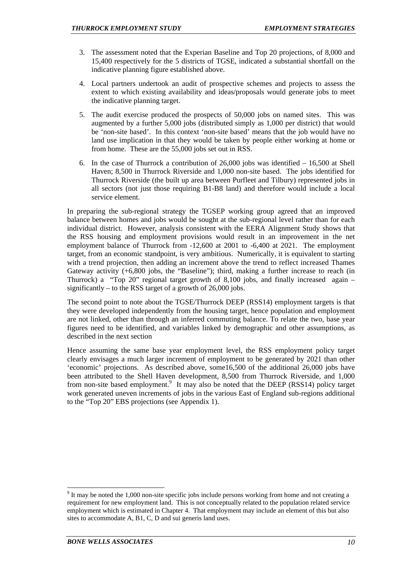- 3. The assessment noted that the Experian Baseline and Top 20 projections, of 8,000 and 15,400 respectively for the 5 districts of TGSE, indicated a substantial shortfall on the indicative planning figure established above.
- 4. Local partners undertook an audit of prospective schemes and projects to assess the extent to which existing availability and ideas/proposals would generate jobs to meet the indicative planning target.
- 5. The audit exercise produced the prospects of 50,000 jobs on named sites. This was augmented by a further 5,000 jobs (distributed simply as 1,000 per district) that would be 'non-site based'. In this context 'non-site based' means that the job would have no land use implication in that they would be taken by people either working at home or from home. These are the 55,000 jobs set out in RSS.
- 6. In the case of Thurrock a contribution of 26,000 jobs was identified 16,500 at Shell Haven; 8,500 in Thurrock Riverside and 1,000 non-site based. The jobs identified for Thurrock Riverside (the built up area between Purfleet and Tilbury) represented jobs in all sectors (not just those requiring B1-B8 land) and therefore would include a local service element.

In preparing the sub-regional strategy the TGSEP working group agreed that an improved balance between homes and jobs would be sought at the sub-regional level rather than for each individual district. However, analysis consistent with the EERA Alignment Study shows that the RSS housing and employment provisions would result in an improvement in the net employment balance of Thurrock from -12,600 at 2001 to -6,400 at 2021. The employment target, from an economic standpoint, is very ambitious. Numerically, it is equivalent to starting with a trend projection, then adding an increment above the trend to reflect increased Thames Gateway activity  $(+6,800)$  jobs, the "Baseline"); third, making a further increase to reach (in Thurrock) a "Top 20" regional target growth of  $8,100$  jobs, and finally increased again – significantly – to the RSS target of a growth of 26,000 jobs.

The second point to note about the TGSE/Thurrock DEEP (RSS14) employment targets is that they were developed independently from the housing target, hence population and employment are not linked, other than through an inferred commuting balance. To relate the two, base year figures need to be identified, and variables linked by demographic and other assumptions, as described in the next section

Hence assuming the same base year employment level, the RSS employment policy target clearly envisages a much larger increment of employment to be generated by 2021 than other 'economic' projections. As described above, some16,500 of the additional 26,000 jobs have been attributed to the Shell Haven development, 8,500 from Thurrock Riverside, and 1,000 from non-site based employment.<sup>9</sup> It may also be noted that the DEEP (RSS14) policy target work generated uneven increments of jobs in the various East of England sub-regions additional to the "Top 20" EBS projections (see Appendix 1).

 $9$  It may be noted the 1,000 non-site specific jobs include persons working from home and not creating a requirement for new employment land. This is not conceptually related to the population related service employment which is estimated in Chapter 4. That employment may include an element of this but also sites to accommodate A, B1, C, D and sui generis land uses.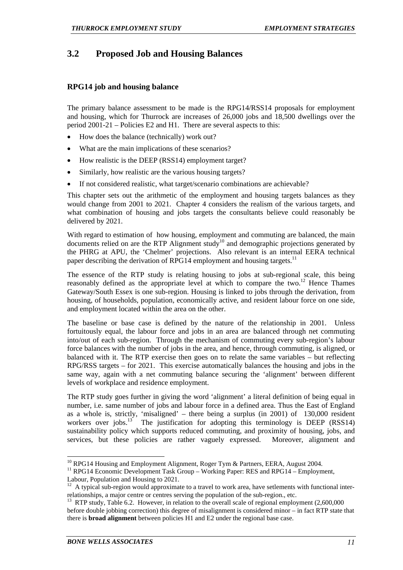# **3.2 Proposed Job and Housing Balances**

# **RPG14 job and housing balance**

The primary balance assessment to be made is the RPG14/RSS14 proposals for employment and housing, which for Thurrock are increases of 26,000 jobs and 18,500 dwellings over the period 2001-21 – Policies E2 and H1. There are several aspects to this:

- How does the balance (technically) work out?
- What are the main implications of these scenarios?
- How realistic is the DEEP (RSS14) employment target?
- Similarly, how realistic are the various housing targets?
- If not considered realistic, what target/scenario combinations are achievable?

This chapter sets out the arithmetic of the employment and housing targets balances as they would change from 2001 to 2021. Chapter 4 considers the realism of the various targets, and what combination of housing and jobs targets the consultants believe could reasonably be delivered by 2021.

With regard to estimation of how housing, employment and commuting are balanced, the main documents relied on are the RTP Alignment study<sup>10</sup> and demographic projections generated by the PHRG at APU, the 'Chelmer' projections. Also relevant is an internal EERA technical paper describing the derivation of RPG14 employment and housing targets.<sup>11</sup>

The essence of the RTP study is relating housing to jobs at sub-regional scale, this being reasonably defined as the appropriate level at which to compare the two.<sup>12</sup> Hence Thames Gateway/South Essex is one sub-region. Housing is linked to jobs through the derivation, from housing, of households, population, economically active, and resident labour force on one side, and employment located within the area on the other.

The baseline or base case is defined by the nature of the relationship in 2001. Unless fortuitously equal, the labour force and jobs in an area are balanced through net commuting into/out of each sub-region. Through the mechanism of commuting every sub-region's labour force balances with the number of jobs in the area, and hence, through commuting, is aligned, or balanced with it. The RTP exercise then goes on to relate the same variables – but reflecting RPG/RSS targets – for 2021. This exercise automatically balances the housing and jobs in the same way, again with a net commuting balance securing the 'alignment' between different levels of workplace and residence employment.

The RTP study goes further in giving the word 'alignment' a literal definition of being equal in number, i.e. same number of jobs and labour force in a defined area. Thus the East of England as a whole is, strictly, 'misaligned' – there being a surplus (in 2001) of 130,000 resident workers over jobs.<sup>13</sup> The justification for adopting this terminology is DEEP (RSS14) sustainability policy which supports reduced commuting, and proximity of housing, jobs, and services, but these policies are rather vaguely expressed. Moreover, alignment and

 $10$  RPG14 Housing and Employment Alignment, Roger Tym & Partners, EERA, August 2004.

<sup>&</sup>lt;sup>11</sup> RPG14 Economic Development Task Group – Working Paper: RES and RPG14 – Employment,

Labour, Population and Housing to 2021.

A typical sub-region would approximate to a travel to work area, have setlements with functional interrelationships, a major centre or centres serving the population of the sub-region., etc.

<sup>&</sup>lt;sup>13</sup> RTP study, Table 6.2. However, in relation to the overall scale of regional employment (2,600,000 before double jobbing correction) this degree of misalignment is considered minor – in fact RTP state that there is **broad alignment** between policies H1 and E2 under the regional base case.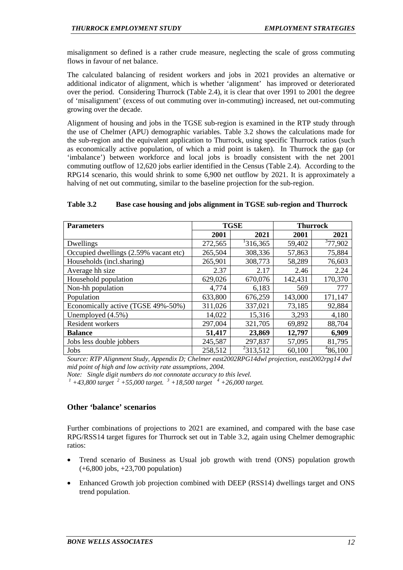misalignment so defined is a rather crude measure, neglecting the scale of gross commuting flows in favour of net balance.

The calculated balancing of resident workers and jobs in 2021 provides an alternative or additional indicator of alignment, which is whether 'alignment' has improved or deteriorated over the period. Considering Thurrock (Table 2.4), it is clear that over 1991 to 2001 the degree of 'misalignment' (excess of out commuting over in-commuting) increased, net out-commuting growing over the decade.

Alignment of housing and jobs in the TGSE sub-region is examined in the RTP study through the use of Chelmer (APU) demographic variables. Table 3.2 shows the calculations made for the sub-region and the equivalent application to Thurrock, using specific Thurrock ratios (such as economically active population, of which a mid point is taken). In Thurrock the gap (or 'imbalance') between workforce and local jobs is broadly consistent with the net 2001 commuting outflow of 12,620 jobs earlier identified in the Census (Table 2.4). According to the RPG14 scenario, this would shrink to some 6,900 net outflow by 2021. It is approximately a halving of net out commuting, similar to the baseline projection for the sub-region.

#### **Table 3.2 Base case housing and jobs alignment in TGSE sub-region and Thurrock**

| <b>Parameters</b>                     | <b>TGSE</b> |               | <b>Thurrock</b> |         |
|---------------------------------------|-------------|---------------|-----------------|---------|
|                                       | 2001        | 2021          | 2001            | 2021    |
| Dwellings                             | 272,565     | 1316,365      | 59,402          | 377,902 |
| Occupied dwellings (2.59% vacant etc) | 265,504     | 308,336       | 57,863          | 75,884  |
| Households (incl.sharing)             | 265,901     | 308,773       | 58,289          | 76,603  |
| Average hh size                       | 2.37        | 2.17          | 2.46            | 2.24    |
| Household population                  | 629,026     | 670,076       | 142,431         | 170,370 |
| Non-hh population                     | 4,774       | 6,183         | 569             | 777     |
| Population                            | 633,800     | 676,259       | 143,000         | 171,147 |
| Economically active (TGSE 49%-50%)    | 311,026     | 337,021       | 73,185          | 92,884  |
| Unemployed $(4.5\%)$                  | 14,022      | 15,316        | 3,293           | 4,180   |
| Resident workers                      | 297,004     | 321,705       | 69,892          | 88,704  |
| <b>Balance</b>                        | 51,417      | 23,869        | 12,797          | 6,909   |
| Jobs less double jobbers              | 245,587     | 297,837       | 57,095          | 81,795  |
| Jobs                                  | 258,512     | $^{2}313,512$ | 60,100          | 486,100 |

*Source: RTP Alignment Study, Appendix D; Chelmer east2002RPG14dwl projection, east2002rpg14 dwl mid point of high and low activity rate assumptions, 2004.* 

*Note: Single digit numbers do not connotate accuracy to this level.* 

*1 +43,800 target <sup>2</sup> +55,000 target. <sup>3</sup> +18,500 target <sup>4</sup> +26,000 target.* 

# **Other 'balance' scenarios**

Further combinations of projections to 2021 are examined, and compared with the base case RPG/RSS14 target figures for Thurrock set out in Table 3.2, again using Chelmer demographic ratios:

- Trend scenario of Business as Usual job growth with trend (ONS) population growth (+6,800 jobs, +23,700 population)
- Enhanced Growth job projection combined with DEEP (RSS14) dwellings target and ONS trend population.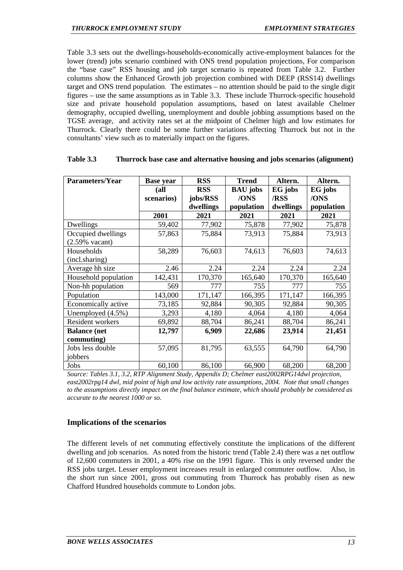Table 3.3 sets out the dwellings-households-economically active-employment balances for the lower (trend) jobs scenario combined with ONS trend population projections, For comparison the "base case" RSS housing and job target scenario is repeated from Table 3.2. Further columns show the Enhanced Growth job projection combined with DEEP (RSS14) dwellings target and ONS trend population. The estimates – no attention should be paid to the single digit figures – use the same assumptions as in Table 3.3. These include Thurrock-specific household size and private household population assumptions, based on latest available Chelmer demography, occupied dwelling, unemployment and double jobbing assumptions based on the TGSE average, and activity rates set at the midpoint of Chelmer high and low estimates for Thurrock. Clearly there could be some further variations affecting Thurrock but not in the consultants' view such as to materially impact on the figures.

| <b>Parameters/Year</b>    | <b>Base year</b> | <b>RSS</b> | <b>Trend</b>    | Altern.   | Altern.    |
|---------------------------|------------------|------------|-----------------|-----------|------------|
|                           | (all             | <b>RSS</b> | <b>BAU</b> jobs | EG jobs   | EG jobs    |
|                           | scenarios)       | jobs/RSS   | /ONS            | /RSS      | /ONS       |
|                           |                  | dwellings  | population      | dwellings | population |
|                           | 2001             | 2021       | 2021            | 2021      | 2021       |
| Dwellings                 | 59,402           | 77,902     | 75,878          | 77,902    | 75,878     |
| Occupied dwellings        | 57,863           | 75,884     | 73,913          | 75,884    | 73,913     |
| $(2.59\% \text{ vacant})$ |                  |            |                 |           |            |
| Households                | 58,289           | 76,603     | 74,613          | 76,603    | 74,613     |
| (incl.sharing)            |                  |            |                 |           |            |
| Average hh size           | 2.46             | 2.24       | 2.24            | 2.24      | 2.24       |
| Household population      | 142,431          | 170,370    | 165,640         | 170,370   | 165,640    |
| Non-hh population         | 569              | 777        | 755             | 777       | 755        |
| Population                | 143,000          | 171,147    | 166,395         | 171,147   | 166,395    |
| Economically active       | 73,185           | 92,884     | 90,305          | 92,884    | 90,305     |
| Unemployed (4.5%)         | 3,293            | 4,180      | 4,064           | 4,180     | 4,064      |
| Resident workers          | 69,892           | 88,704     | 86,241          | 88,704    | 86,241     |
| <b>Balance</b> (net       | 12,797           | 6,909      | 22,686          | 23,914    | 21,451     |
| commuting)                |                  |            |                 |           |            |
| Jobs less double          | 57,095           | 81,795     | 63,555          | 64,790    | 64,790     |
| jobbers                   |                  |            |                 |           |            |
| Jobs                      | 60,100           | 86,100     | 66,900          | 68,200    | 68,200     |

#### **Table 3.3 Thurrock base case and alternative housing and jobs scenarios (alignment)**

*Source: Tables 3.1, 3.2, RTP Alignment Study, Appendix D; Chelmer east2002RPG14dwl projection, east2002rpg14 dwl, mid point of high and low activity rate assumptions, 2004. Note that small changes to the assumptions directly impact on the final balance estimate, which should probably be considered as accurate to the nearest 1000 or so.* 

# **Implications of the scenarios**

The different levels of net commuting effectively constitute the implications of the different dwelling and job scenarios. As noted from the historic trend (Table 2.4) there was a net outflow of 12,600 commuters in 2001, a 40% rise on the 1991 figure. This is only reversed under the RSS jobs target. Lesser employment increases result in enlarged commuter outflow. Also, in the short run since 2001, gross out commuting from Thurrock has probably risen as new Chafford Hundred households commute to London jobs.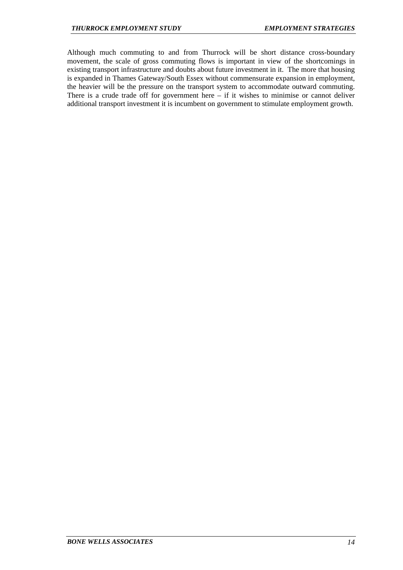Although much commuting to and from Thurrock will be short distance cross-boundary movement, the scale of gross commuting flows is important in view of the shortcomings in existing transport infrastructure and doubts about future investment in it. The more that housing is expanded in Thames Gateway/South Essex without commensurate expansion in employment, the heavier will be the pressure on the transport system to accommodate outward commuting. There is a crude trade off for government here  $-$  if it wishes to minimise or cannot deliver additional transport investment it is incumbent on government to stimulate employment growth.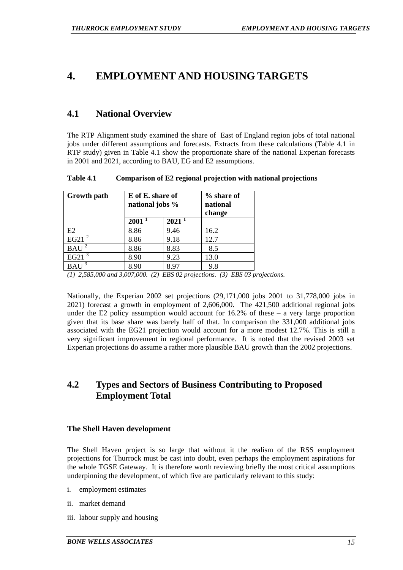# **4. EMPLOYMENT AND HOUSING TARGETS**

# **4.1 National Overview**

The RTP Alignment study examined the share of East of England region jobs of total national jobs under different assumptions and forecasts. Extracts from these calculations (Table 4.1 in RTP study) given in Table 4.1 show the proportionate share of the national Experian forecasts in 2001 and 2021, according to BAU, EG and E2 assumptions.

**Table 4.1 Comparison of E2 regional projection with national projections** 

| <b>Growth</b> path | E of E. share of<br>national jobs % |                   | % share of<br>national<br>change |
|--------------------|-------------------------------------|-------------------|----------------------------------|
|                    | 2001                                | 2021 <sup>1</sup> |                                  |
| E2                 | 8.86                                | 9.46              | 16.2                             |
| EG21 $^2$          | 8.86                                | 9.18              | 12.7                             |
| BAU <sup>2</sup>   | 8.86                                | 8.83              | 8.5                              |
| EG21               | 8.90                                | 9.23              | 13.0                             |
|                    | 8.90                                | 8.97              | 9.8                              |

*<sup>(1) 2,585,000</sup> and 3,007,000. (2) EBS 02 projections. (3) EBS 03 projections.* 

Nationally, the Experian 2002 set projections (29,171,000 jobs 2001 to 31,778,000 jobs in 2021) forecast a growth in employment of 2,606,000. The 421,500 additional regional jobs under the E2 policy assumption would account for  $16.2\%$  of these – a very large proportion given that its base share was barely half of that. In comparison the 331,000 additional jobs associated with the EG21 projection would account for a more modest 12.7%. This is still a very significant improvement in regional performance. It is noted that the revised 2003 set Experian projections do assume a rather more plausible BAU growth than the 2002 projections.

# **4.2 Types and Sectors of Business Contributing to Proposed Employment Total**

# **The Shell Haven development**

The Shell Haven project is so large that without it the realism of the RSS employment projections for Thurrock must be cast into doubt, even perhaps the employment aspirations for the whole TGSE Gateway. It is therefore worth reviewing briefly the most critical assumptions underpinning the development, of which five are particularly relevant to this study:

- i. employment estimates
- ii. market demand
- iii. labour supply and housing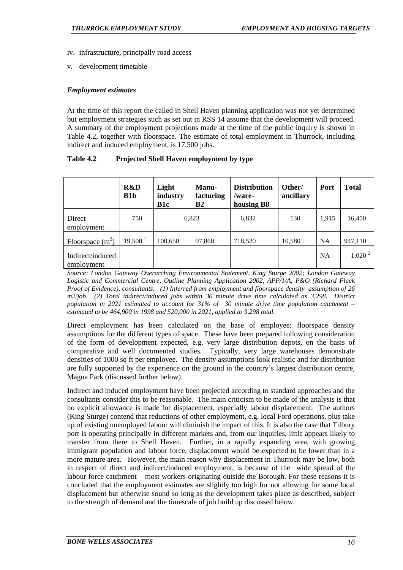- iv. infrastructure, principally road access
- v. development timetable

#### *Employment estimates*

At the time of this report the called in Shell Haven planning application was not yet determined but employment strategies such as set out in RSS 14 assume that the development will proceed. A summary of the employment projections made at the time of the public inquiry is shown in Table 4.2, together with floorspace. The estimate of total employment in Thurrock, including indirect and induced employment, is 17,500 jobs.

| Table 4.2 | Projected Shell Haven employment by type |
|-----------|------------------------------------------|
|-----------|------------------------------------------|

|                                | R&D<br>$B1b$ | Light<br>industry<br>B1c | Manu-<br>facturing<br>B <sub>2</sub> | <b>Distribution</b><br>/ware-<br>housing B8 | Other/<br>ancillary | Port      | <b>Total</b> |
|--------------------------------|--------------|--------------------------|--------------------------------------|---------------------------------------------|---------------------|-----------|--------------|
| Direct<br>employment           | 750          | 6,823                    |                                      | 6,832                                       | 130                 | 1,915     | 16,450       |
| Floorspace $(m2)$              | $19,500^1$   | 100,650                  | 97,860                               | 718,520                                     | 10,580              | <b>NA</b> | 947,110      |
| Indirect/induced<br>employment |              |                          |                                      |                                             |                     | <b>NA</b> | $1,020^2$    |

*Source: London Gateway Overarching Environmental Statement, King Sturge 2002; London Gateway Logistic and Commercial Centre, Outline Planning Application 2002, APP/1/A, P&O (Richard Flack Proof of Evidence), consultants. (1) Inferred from employment and floorspace density assumption of 26 m2/job. (2) Total indirect/induced jobs within 30 minute drive time calculated as 3,298. District population in 2021 estimated to account for 31% of 30 minute drive time population catchment – estimated to be 464,900 in 1998 and 520,000 in 2021, applied to 3,298 total.* 

Direct employment has been calculated on the base of employee: floorspace density assumptions for the different types of space. These have been prepared following consideration of the form of development expected, e.g. very large distribution depots, on the basis of comparative and well documented studies. Typically, very large warehouses demonstrate densities of 1000 sq ft per employee. The density assumptions look realistic and for distribution are fully supported by the experience on the ground in the country's largest distribution centre, Magna Park (discussed further below).

Indirect and induced employment have been projected according to standard approaches and the consultants consider this to be reasonable. The main criticism to be made of the analysis is that no explicit allowance is made for displacement, especially labour displacement. The authors (King Sturge) contend that reductions of other employment, e.g. local Ford operations, plus take up of existing unemployed labour will diminish the impact of this. It is also the case that Tilbury port is operating principally in different markets and, from our inquiries, little appears likely to transfer from there to Shell Haven. Further, in a rapidly expanding area, with growing immigrant population and labour force, displacement would be expected to be lower than in a more mature area. However, the main reason why displacement in Thurrock may be low, both in respect of direct and indirect/induced employment, is because of the wide spread of the labour force catchment – most workers originating outside the Borough. For these reasons it is concluded that the employment estimates are slightly too high for not allowing for some local displacement but otherwise sound so long as the development takes place as described, subject to the strength of demand and the timescale of job build up discussed below.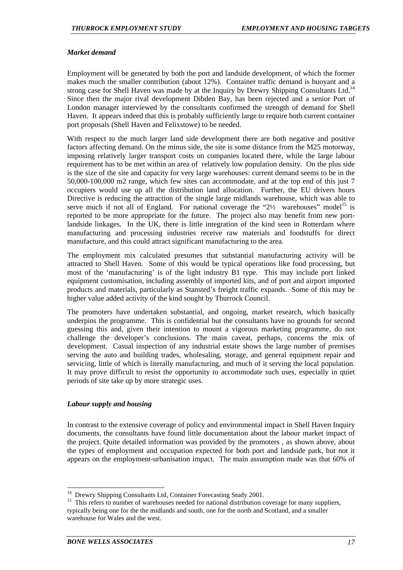#### *Market demand*

Employment will be generated by both the port and landside development, of which the former makes much the smaller contribution (about 12%). Container traffic demand is buoyant and a strong case for Shell Haven was made by at the Inquiry by Drewry Shipping Consultants Ltd.<sup>14</sup> Since then the major rival development Dibden Bay, has been rejected and a senior Port of London manager interviewed by the consultants confirmed the strength of demand for Shell Haven. It appears indeed that this is probably sufficiently large to require both current container port proposals (Shell Haven and Felixstowe) to be needed.

With respect to the much larger land side development there are both negative and positive factors affecting demand. On the minus side, the site is some distance from the M25 motorway, imposing relatively larger transport costs on companies located there, while the large labour requirement has to be met within an area of relatively low population density. On the plus side is the size of the site and capacity for very large warehouses: current demand seems to be in the 50,000-100,000 m2 range, which few sites can accommodate, and at the top end of this just 7 occupiers would use up all the distribution land allocation. Further, the EU drivers hours Directive is reducing the attraction of the single large midlands warehouse, which was able to serve much if not all of England. For national coverage the " $2\frac{1}{2}$  warehouses" model<sup>15</sup> is reported to be more appropriate for the future. The project also may benefit from new portlandside linkages. In the UK, there is little integration of the kind seen in Rotterdam where manufacturing and processing industries receive raw materials and foodstuffs for direct manufacture, and this could attract significant manufacturing to the area.

The employment mix calculated presumes that substantial manufacturing activity will be attracted to Shell Haven. Some of this would be typical operations like food processing, but most of the 'manufacturing' is of the light industry B1 type. This may include port linked equipment customisation, including assembly of imported kits, and of port and airport imported products and materials, particularly as Stansted's freight traffic expands. Some of this may be higher value added activity of the kind sought by Thurrock Council.

The promoters have undertaken substantial, and ongoing, market research, which basically underpins the programme. This is confidential but the consultants have no grounds for second guessing this and, given their intention to mount a vigorous marketing programme, do not challenge the developer's conclusions. The main caveat, perhaps, concerns the mix of development. Casual inspection of any industrial estate shows the large number of premises serving the auto and building trades, wholesaling, storage, and general equipment repair and servicing, little of which is literally manufacturing, and much of it serving the local population. It may prove difficult to resist the opportunity to accommodate such uses, especially in quiet periods of site take up by more strategic uses.

#### *Labour supply and housing*

In contrast to the extensive coverage of policy and environmental impact in Shell Haven Inquiry documents, the consultants have found little documentation about the labour market impact of the project. Quite detailed information was provided by the promoters , as shown above, about the types of employment and occupation expected for both port and landside park, but not it appears on the employment-urbanisation impact. The main assumption made was that 60% of

<sup>&</sup>lt;sup>14</sup> Drewry Shipping Consultants Ltd, Container Forecasting Study 2001.

<sup>&</sup>lt;sup>15</sup> This refers to number of warehouses needed for national distribution coverage for many suppliers, typically being one for the the midlands and south, one for the north and Scotland, and a smaller warehouse for Wales and the west.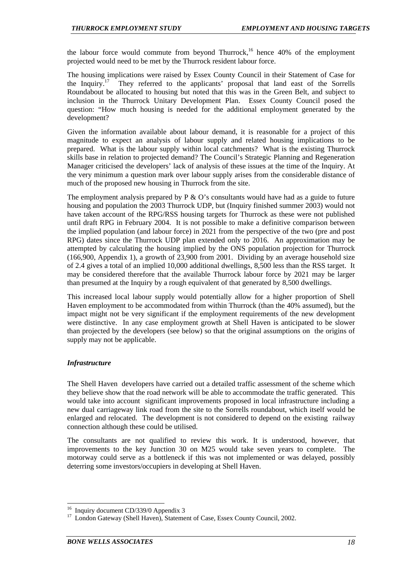the labour force would commute from beyond Thurrock,<sup>16</sup> hence 40% of the employment projected would need to be met by the Thurrock resident labour force.

The housing implications were raised by Essex County Council in their Statement of Case for the Inquiry.<sup>17</sup> They referred to the applicants' proposal that land east of the Sorrells Roundabout be allocated to housing but noted that this was in the Green Belt, and subject to inclusion in the Thurrock Unitary Development Plan. Essex County Council posed the question: "How much housing is needed for the additional employment generated by the development?

Given the information available about labour demand, it is reasonable for a project of this magnitude to expect an analysis of labour supply and related housing implications to be prepared. What is the labour supply within local catchments? What is the existing Thurrock skills base in relation to projected demand? The Council's Strategic Planning and Regeneration Manager criticised the developers' lack of analysis of these issues at the time of the Inquiry. At the very minimum a question mark over labour supply arises from the considerable distance of much of the proposed new housing in Thurrock from the site.

The employment analysis prepared by  $P \& O$ 's consultants would have had as a guide to future housing and population the 2003 Thurrock UDP, but (Inquiry finished summer 2003) would not have taken account of the RPG/RSS housing targets for Thurrock as these were not published until draft RPG in February 2004. It is not possible to make a definitive comparison between the implied population (and labour force) in 2021 from the perspective of the two (pre and post RPG) dates since the Thurrock UDP plan extended only to 2016. An approximation may be attempted by calculating the housing implied by the ONS population projection for Thurrock (166,900, Appendix 1), a growth of 23,900 from 2001. Dividing by an average household size of 2.4 gives a total of an implied 10,000 additional dwellings, 8,500 less than the RSS target. It may be considered therefore that the available Thurrock labour force by 2021 may be larger than presumed at the Inquiry by a rough equivalent of that generated by 8,500 dwellings.

This increased local labour supply would potentially allow for a higher proportion of Shell Haven employment to be accommodated from within Thurrock (than the 40% assumed), but the impact might not be very significant if the employment requirements of the new development were distinctive. In any case employment growth at Shell Haven is anticipated to be slower than projected by the developers (see below) so that the original assumptions on the origins of supply may not be applicable.

# *Infrastructure*

l

The Shell Haven developers have carried out a detailed traffic assessment of the scheme which they believe show that the road network will be able to accommodate the traffic generated. This would take into account significant improvements proposed in local infrastructure including a new dual carriageway link road from the site to the Sorrells roundabout, which itself would be enlarged and relocated. The development is not considered to depend on the existing railway connection although these could be utilised.

The consultants are not qualified to review this work. It is understood, however, that improvements to the key Junction 30 on M25 would take seven years to complete. The motorway could serve as a bottleneck if this was not implemented or was delayed, possibly deterring some investors/occupiers in developing at Shell Haven.

<sup>&</sup>lt;sup>16</sup> Inquiry document CD/339/0 Appendix 3<sup>17</sup> London Gateway (Shell Hayen), Stateme

<sup>17</sup> London Gateway (Shell Haven), Statement of Case, Essex County Council, 2002.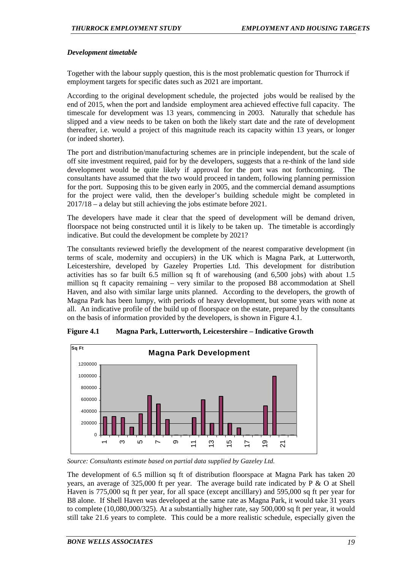#### *Development timetable*

Together with the labour supply question, this is the most problematic question for Thurrock if employment targets for specific dates such as 2021 are important.

According to the original development schedule, the projected jobs would be realised by the end of 2015, when the port and landside employment area achieved effective full capacity. The timescale for development was 13 years, commencing in 2003. Naturally that schedule has slipped and a view needs to be taken on both the likely start date and the rate of development thereafter, i.e. would a project of this magnitude reach its capacity within 13 years, or longer (or indeed shorter).

The port and distribution/manufacturing schemes are in principle independent, but the scale of off site investment required, paid for by the developers, suggests that a re-think of the land side development would be quite likely if approval for the port was not forthcoming. The consultants have assumed that the two would proceed in tandem, following planning permission for the port. Supposing this to be given early in 2005, and the commercial demand assumptions for the project were valid, then the developer's building schedule might be completed in 2017/18 – a delay but still achieving the jobs estimate before 2021.

The developers have made it clear that the speed of development will be demand driven, floorspace not being constructed until it is likely to be taken up. The timetable is accordingly indicative. But could the development be complete by 2021?

The consultants reviewed briefly the development of the nearest comparative development (in terms of scale, modernity and occupiers) in the UK which is Magna Park, at Lutterworth, Leicestershire, developed by Gazeley Properties Ltd. This development for distribution activities has so far built 6.5 million sq ft of warehousing (and 6,500 jobs) with about 1.5 million sq ft capacity remaining – very similar to the proposed B8 accommodation at Shell Haven, and also with similar large units planned. According to the developers, the growth of Magna Park has been lumpy, with periods of heavy development, but some years with none at all. An indicative profile of the build up of floorspace on the estate, prepared by the consultants on the basis of information provided by the developers, is shown in Figure 4.1.



**Figure 4.1 Magna Park, Lutterworth, Leicestershire – Indicative Growth** 

*Source: Consultants estimate based on partial data supplied by Gazeley Ltd.* 

The development of 6.5 million sq ft of distribution floorspace at Magna Park has taken 20 years, an average of 325,000 ft per year. The average build rate indicated by P & O at Shell Haven is 775,000 sq ft per year, for all space (except ancilllary) and 595,000 sq ft per year for B8 alone. If Shell Haven was developed at the same rate as Magna Park, it would take 31 years to complete (10,080,000/325). At a substantially higher rate, say 500,000 sq ft per year, it would still take 21.6 years to complete. This could be a more realistic schedule, especially given the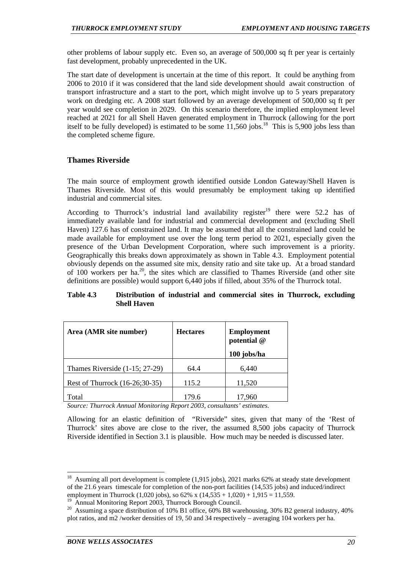other problems of labour supply etc. Even so, an average of 500,000 sq ft per year is certainly fast development, probably unprecedented in the UK.

The start date of development is uncertain at the time of this report. It could be anything from 2006 to 2010 if it was considered that the land side development should await construction of transport infrastructure and a start to the port, which might involve up to 5 years preparatory work on dredging etc. A 2008 start followed by an average development of 500,000 sq ft per year would see completion in 2029. On this scenario therefore, the implied employment level reached at 2021 for all Shell Haven generated employment in Thurrock (allowing for the port itself to be fully developed) is estimated to be some  $11,560$  jobs.<sup>18</sup> This is 5,900 jobs less than the completed scheme figure.

# **Thames Riverside**

The main source of employment growth identified outside London Gateway/Shell Haven is Thames Riverside. Most of this would presumably be employment taking up identified industrial and commercial sites.

According to Thurrock's industrial land availability register<sup>19</sup> there were 52.2 has of immediately available land for industrial and commercial development and (excluding Shell Haven) 127.6 has of constrained land. It may be assumed that all the constrained land could be made available for employment use over the long term period to 2021, especially given the presence of the Urban Development Corporation, where such improvement is a priority. Geographically this breaks down approximately as shown in Table 4.3. Employment potential obviously depends on the assumed site mix, density ratio and site take up. At a broad standard of 100 workers per ha.<sup>20</sup>, the sites which are classified to Thames Riverside (and other site definitions are possible) would support 6,440 jobs if filled, about 35% of the Thurrock total.

#### **Table 4.3 Distribution of industrial and commercial sites in Thurrock, excluding Shell Haven**

| Area (AMR site number)           | <b>Hectares</b> | <b>Employment</b><br>potential @<br>100 jobs/ha |
|----------------------------------|-----------------|-------------------------------------------------|
| Thames Riverside $(1-15; 27-29)$ | 64.4            | 6,440                                           |
| Rest of Thurrock (16-26;30-35)   | 115.2           | 11,520                                          |
| Total                            | 179.6           | 17.960                                          |

*Source: Thurrock Annual Monitoring Report 2003, consultants' estimates.* 

Allowing for an elastic definition of "Riverside" sites, given that many of the 'Rest of Thurrock' sites above are close to the river, the assumed 8,500 jobs capacity of Thurrock Riverside identified in Section 3.1 is plausible. How much may be needed is discussed later.

<sup>18</sup> Asuming all port development is complete (1,915 jobs), 2021 marks 62% at steady state development of the 21.6 years timescale for completion of the non-port facilities (14,535 jobs) and induced/indirect employment in Thurrock (1,020 jobs), so  $62\%$  x (14,535 + 1,020) + 1,915 = 11,559.

<sup>&</sup>lt;sup>19</sup> Annual Monitoring Report 2003, Thurrock Borough Council.

<sup>&</sup>lt;sup>20</sup> Assuming a space distribution of 10% B1 office,  $60\%$  B8 warehousing, 30% B2 general industry, 40% plot ratios, and m2 /worker densities of 19, 50 and 34 respectively – averaging 104 workers per ha.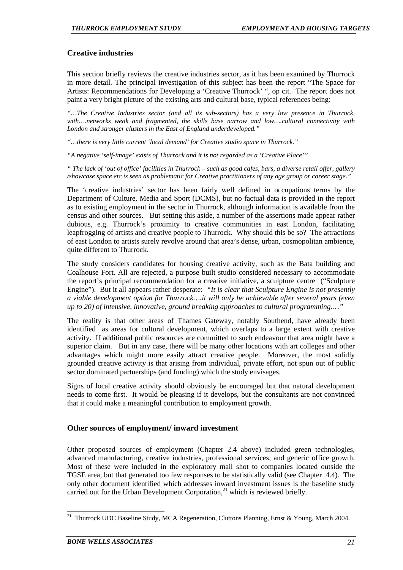# **Creative industries**

This section briefly reviews the creative industries sector, as it has been examined by Thurrock in more detail. The principal investigation of this subject has been the report "The Space for Artists: Recommendations for Developing a 'Creative Thurrock' ", op cit. The report does not paint a very bright picture of the existing arts and cultural base, typical references being:

*"…The Creative Industries sector (and all its sub-sectors) has a very low presence in Thurrock, with….networks weak and fragmented, the skills base narrow and low….cultural connectivity with London and stronger clusters in the East of England underdeveloped."* 

*"…there is very little current 'local demand' for Creative studio space in Thurrock."* 

*"A negative 'self-image' exists of Thurrock and it is not regarded as a 'Creative Place'"* 

*" The lack of 'out of office' facilities in Thurrock – such as good cafes, bars, a diverse retail offer, gallery /showcase space etc is seen as problematic for Creative practitioners of any age group or career stage."* 

The 'creative industries' sector has been fairly well defined in occupations terms by the Department of Culture, Media and Sport (DCMS), but no factual data is provided in the report as to existing employment in the sector in Thurrock, although information is available from the census and other sources. But setting this aside, a number of the assertions made appear rather dubious, e.g. Thurrock's proximity to creative communities in east London, facilitating leapfrogging of artists and creative people to Thurrock. Why should this be so? The attractions of east London to artists surely revolve around that area's dense, urban, cosmopolitan ambience, quite different to Thurrock.

The study considers candidates for housing creative activity, such as the Bata building and Coalhouse Fort. All are rejected, a purpose built studio considered necessary to accommodate the report's principal recommendation for a creative initiative, a sculpture centre ("Sculpture Engine"). But it all appears rather desperate: *"It is clear that Sculpture Engine is not presently a viable development option for Thurrock….it will only be achievable after several years (even up to 20) of intensive, innovative, ground breaking approaches to cultural programming.…"* 

The reality is that other areas of Thames Gateway, notably Southend, have already been identified as areas for cultural development, which overlaps to a large extent with creative activity. If additional public resources are committed to such endeavour that area might have a superior claim. But in any case, there will be many other locations with art colleges and other advantages which might more easily attract creative people. Moreover, the most solidly grounded creative activity is that arising from individual, private effort, not spun out of public sector dominated partnerships (and funding) which the study envisages.

Signs of local creative activity should obviously be encouraged but that natural development needs to come first. It would be pleasing if it develops, but the consultants are not convinced that it could make a meaningful contribution to employment growth.

# **Other sources of employment/ inward investment**

Other proposed sources of employment (Chapter 2.4 above) included green technologies, advanced manufacturing, creative industries, professional services, and generic office growth. Most of these were included in the exploratory mail shot to companies located outside the TGSE area, but that generated too few responses to be statistically valid (see Chapter 4.4). The only other document identified which addresses inward investment issues is the baseline study carried out for the Urban Development Corporation, $^{21}$  which is reviewed briefly.

<sup>&</sup>lt;sup>21</sup> Thurrock UDC Baseline Study, MCA Regeneration, Cluttons Planning, Ernst & Young, March 2004.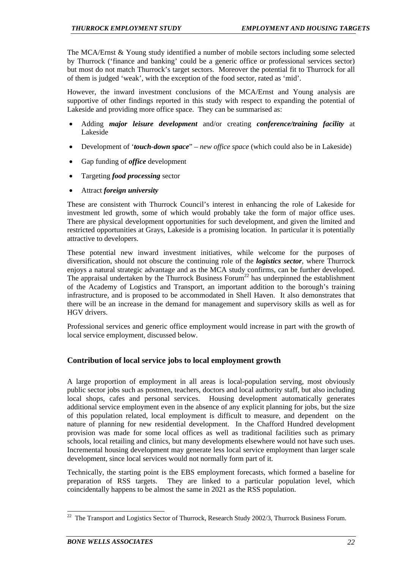The MCA/Ernst & Young study identified a number of mobile sectors including some selected by Thurrock ('finance and banking' could be a generic office or professional services sector) but most do not match Thurrock's target sectors. Moreover the potential fit to Thurrock for all of them is judged 'weak', with the exception of the food sector, rated as 'mid'.

However, the inward investment conclusions of the MCA/Ernst and Young analysis are supportive of other findings reported in this study with respect to expanding the potential of Lakeside and providing more office space. They can be summarised as:

- Adding *major leisure development* and/or creating *conference/training facility* at Lakeside
- Development of '*touch-down space*" *new office space* (which could also be in Lakeside)
- Gap funding of *office* development
- Targeting *food processing* sector
- Attract *foreign university*

These are consistent with Thurrock Council's interest in enhancing the role of Lakeside for investment led growth, some of which would probably take the form of major office uses. There are physical development opportunities for such development, and given the limited and restricted opportunities at Grays, Lakeside is a promising location. In particular it is potentially attractive to developers.

These potential new inward investment initiatives, while welcome for the purposes of diversification, should not obscure the continuing role of the *logistics sector*, where Thurrock enjoys a natural strategic advantage and as the MCA study confirms, can be further developed. The appraisal undertaken by the Thurrock Business Forum<sup>22</sup> has underpinned the establishment of the Academy of Logistics and Transport, an important addition to the borough's training infrastructure, and is proposed to be accommodated in Shell Haven. It also demonstrates that there will be an increase in the demand for management and supervisory skills as well as for HGV drivers.

Professional services and generic office employment would increase in part with the growth of local service employment, discussed below.

# **Contribution of local service jobs to local employment growth**

A large proportion of employment in all areas is local-population serving, most obviously public sector jobs such as postmen, teachers, doctors and local authority staff, but also including local shops, cafes and personal services. Housing development automatically generates additional service employment even in the absence of any explicit planning for jobs, but the size of this population related, local employment is difficult to measure, and dependent on the nature of planning for new residential development. In the Chafford Hundred development provision was made for some local offices as well as traditional facilities such as primary schools, local retailing and clinics, but many developments elsewhere would not have such uses. Incremental housing development may generate less local service employment than larger scale development, since local services would not normally form part of it.

Technically, the starting point is the EBS employment forecasts, which formed a baseline for preparation of RSS targets. They are linked to a particular population level, which coincidentally happens to be almost the same in 2021 as the RSS population.

 $22$  The Transport and Logistics Sector of Thurrock, Research Study 2002/3, Thurrock Business Forum.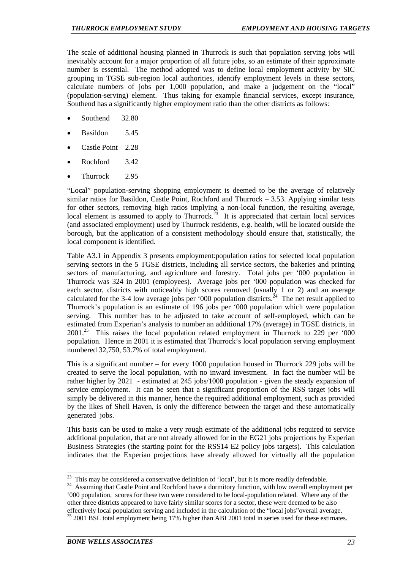The scale of additional housing planned in Thurrock is such that population serving jobs will inevitably account for a major proportion of all future jobs, so an estimate of their approximate number is essential. The method adopted was to define local employment activity by SIC grouping in TGSE sub-region local authorities, identify employment levels in these sectors, calculate numbers of jobs per 1,000 population, and make a judgement on the "local" (population-serving) element. Thus taking for example financial services, except insurance, Southend has a significantly higher employment ratio than the other districts as follows:

- Southend 32.80
- Basildon 5.45
- Castle Point 2.28
- Rochford 3.42
- Thurrock 2.95

"Local" population-serving shopping employment is deemed to be the average of relatively similar ratios for Basildon, Castle Point, Rochford and Thurrock  $-3.53$ . Applying similar tests for other sectors, removing high ratios implying a non-local function, the resulting average, local element is assumed to apply to Thurrock.<sup>23</sup> It is appreciated that certain local services (and associated employment) used by Thurrock residents, e.g. health, will be located outside the borough, but the application of a consistent methodology should ensure that, statistically, the local component is identified.

Table A3.1 in Appendix 3 presents employment:population ratios for selected local population serving sectors in the 5 TGSE districts, including all service sectors, the bakeries and printing sectors of manufacturing, and agriculture and forestry. Total jobs per '000 population in Thurrock was 324 in 2001 (employees). Average jobs per '000 population was checked for each sector, districts with noticeably high scores removed (usually 1 or 2) and an average calculated for the 3-4 low average jobs per '000 population districts.<sup>24</sup> The net result applied to Thurrock's population is an estimate of 196 jobs per '000 population which were population serving. This number has to be adjusted to take account of self-employed, which can be estimated from Experian's analysis to number an additional 17% (average) in TGSE districts, in  $2001<sup>25</sup>$  This raises the local population related employment in Thurrock to 229 per '000 population. Hence in 2001 it is estimated that Thurrock's local population serving employment numbered 32,750, 53.7% of total employment.

This is a significant number – for every 1000 population housed in Thurrock 229 jobs will be created to serve the local population, with no inward investment. In fact the number will be rather higher by 2021 - estimated at 245 jobs/1000 population - given the steady expansion of service employment. It can be seen that a significant proportion of the RSS target jobs will simply be delivered in this manner, hence the required additional employment, such as provided by the likes of Shell Haven, is only the difference between the target and these automatically generated jobs.

This basis can be used to make a very rough estimate of the additional jobs required to service additional population, that are not already allowed for in the EG21 jobs projections by Experian Business Strategies (the starting point for the RSS14 E2 policy jobs targets). This calculation indicates that the Experian projections have already allowed for virtually all the population

<sup>&</sup>lt;sup>23</sup> This may be considered a conservative definition of 'local', but it is more readily defendable.

<sup>&</sup>lt;sup>24</sup> Assuming that Castle Point and Rochford have a dormitory function, with low overall employment per '000 population, scores for these two were considered to be local-population related. Where any of the other three districts appeared to have fairly similar scores for a sector, these were deemed to be also effectively local population serving and included in the calculation of the "local jobs"overall average.<br><sup>25</sup> 2001 BSL total employment being 17% higher than ABI 2001 total in series used for these estimates.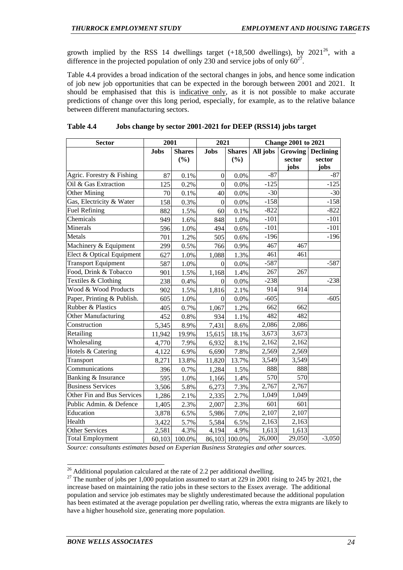growth implied by the RSS 14 dwellings target  $(+18,500)$  dwellings), by  $2021^{26}$ , with a difference in the projected population of only 230 and service jobs of only  $60^{27}$ .

Table 4.4 provides a broad indication of the sectoral changes in jobs, and hence some indication of job new job opportunities that can be expected in the borough between 2001 and 2021. It should be emphasised that this is indicative only, as it is not possible to make accurate predictions of change over this long period, especially, for example, as to the relative balance between different manufacturing sectors.

| <b>Sector</b>              | 2001        |               | 2021             |               | <b>Change 2001 to 2021</b> |         |                  |  |
|----------------------------|-------------|---------------|------------------|---------------|----------------------------|---------|------------------|--|
|                            | <b>Jobs</b> | <b>Shares</b> | <b>Jobs</b>      | <b>Shares</b> | All jobs                   | Growing | <b>Declining</b> |  |
|                            |             | (%)           |                  | (%)           |                            | sector  | sector           |  |
|                            |             |               |                  |               |                            | jobs    | jobs             |  |
| Agric. Forestry & Fishing  | 87          | 0.1%          | $\boldsymbol{0}$ | 0.0%          | $-87$                      |         | $-87$            |  |
| Oil & Gas Extraction       | 125         | 0.2%          | $\mathbf{0}$     | 0.0%          | $-125$                     |         | $-125$           |  |
| Other Mining               | 70          | 0.1%          | 40               | 0.0%          | $-30$                      |         | $-30$            |  |
| Gas, Electricity & Water   | 158         | 0.3%          | $\mathbf{0}$     | 0.0%          | $-158$                     |         | $-158$           |  |
| <b>Fuel Refining</b>       | 882         | 1.5%          | 60               | 0.1%          | $-822$                     |         | $-822$           |  |
| Chemicals                  | 949         | 1.6%          | 848              | 1.0%          | $-101$                     |         | $-101$           |  |
| Minerals                   | 596         | 1.0%          | 494              | 0.6%          | $-101$                     |         | $-101$           |  |
| Metals                     | 701         | 1.2%          | 505              | 0.6%          | $-196$                     |         | $-196$           |  |
| Machinery & Equipment      | 299         | 0.5%          | 766              | 0.9%          | 467                        | 467     |                  |  |
| Elect & Optical Equipment  | 627         | 1.0%          | 1,088            | 1.3%          | 461                        | 461     |                  |  |
| <b>Transport Equipment</b> | 587         | 1.0%          | $\mathbf{0}$     | 0.0%          | $-587$                     |         | $-587$           |  |
| Food, Drink & Tobacco      | 901         | 1.5%          | 1,168            | 1.4%          | 267                        | 267     |                  |  |
| Textiles & Clothing        | 238         | 0.4%          | $\theta$         | 0.0%          | $-238$                     |         | $-238$           |  |
| Wood & Wood Products       | 902         | 1.5%          | 1,816            | 2.1%          | 914                        | 914     |                  |  |
| Paper, Printing & Publish. | 605         | 1.0%          | $\theta$         | 0.0%          | $-605$                     |         | $-605$           |  |
| Rubber & Plastics          | 405         | 0.7%          | 1,067            | 1.2%          | 662                        | 662     |                  |  |
| Other Manufacturing        | 452         | $0.8\%$       | 934              | 1.1%          | 482                        | 482     |                  |  |
| Construction               | 5,345       | 8.9%          | 7,431            | 8.6%          | 2,086                      | 2,086   |                  |  |
| Retailing                  | 11,942      | 19.9%         | 15,615           | 18.1%         | 3,673                      | 3,673   |                  |  |
| Wholesaling                | 4,770       | 7.9%          | 6,932            | 8.1%          | 2,162                      | 2,162   |                  |  |
| Hotels & Catering          | 4,122       | 6.9%          | 6,690            | 7.8%          | 2,569                      | 2,569   |                  |  |
| Transport                  | 8,271       | 13.8%         | 11,820           | 13.7%         | 3,549                      | 3,549   |                  |  |
| Communications             | 396         | 0.7%          | 1,284            | 1.5%          | 888                        | 888     |                  |  |
| Banking & Insurance        | 595         | 1.0%          | 1,166            | 1.4%          | 570                        | 570     |                  |  |
| <b>Business Services</b>   | 3,506       | 5.8%          | 6,273            | 7.3%          | $\overline{2,}767$         | 2,767   |                  |  |
| Other Fin and Bus Services | 1,286       | 2.1%          | 2,335            | 2.7%          | 1,049                      | 1,049   |                  |  |
| Public Admin. & Defence    | 1,405       | 2.3%          | 2,007            | 2.3%          | 601                        | 601     |                  |  |
| Education                  | 3,878       | 6.5%          | 5,986            | 7.0%          | 2,107                      | 2,107   |                  |  |
| Health                     | 3,422       | 5.7%          | 5,584            | 6.5%          | 2,163                      | 2,163   |                  |  |
| <b>Other Services</b>      | 2,581       | 4.3%          | 4,194            | 4.9%          | 1,613                      | 1,613   |                  |  |
| <b>Total Employment</b>    | 60,103      | 100.0%        |                  | 86,103 100.0% | 26,000                     | 29,050  | $-3,050$         |  |

#### **Table 4.4 Jobs change by sector 2001-2021 for DEEP (RSS14) jobs target**

*Source: consultants estimates based on Experian Business Strategies and other sources.* 

 $26$  Additional population calculared at the rate of 2.2 per additional dwelling.

<sup>&</sup>lt;sup>27</sup> The number of jobs per 1,000 population assumed to start at 229 in 2001 rising to 245 by 2021, the increase based on maintaining the ratio jobs in these sectors to the Essex average. The additional population and service job estimates may be slightly underestimated because the additional population has been estimated at the average population per dwelling ratio, whereas the extra migrants are likely to have a higher household size, generating more population.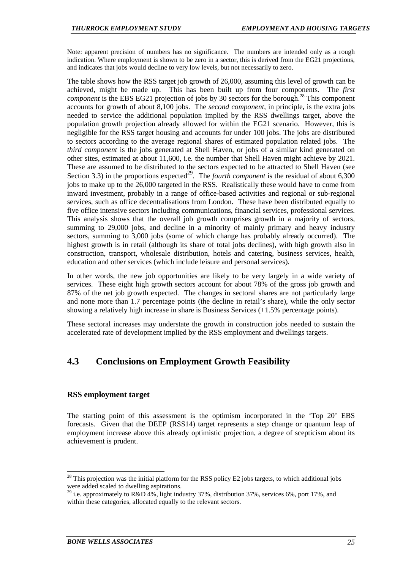Note: apparent precision of numbers has no significance. The numbers are intended only as a rough indication. Where employment is shown to be zero in a sector, this is derived from the EG21 projections, and indicates that jobs would decline to very low levels, but not necessarily to zero.

The table shows how the RSS target job growth of 26,000, assuming this level of growth can be achieved, might be made up. This has been built up from four components. The *first component* is the EBS EG21 projection of jobs by 30 sectors for the borough.<sup>28</sup> This component accounts for growth of about 8,100 jobs. The *second component*, in principle, is the extra jobs needed to service the additional population implied by the RSS dwellings target, above the population growth projection already allowed for within the EG21 scenario. However, this is negligible for the RSS target housing and accounts for under 100 jobs. The jobs are distributed to sectors according to the average regional shares of estimated population related jobs. The *third component* is the jobs generated at Shell Haven, or jobs of a similar kind generated on other sites, estimated at about 11,600, i.e. the number that Shell Haven might achieve by 2021. These are assumed to be distributed to the sectors expected to be attracted to Shell Haven (see Section 3.3) in the proportions expected<sup>29</sup>. The *fourth component* is the residual of about 6,300 jobs to make up to the 26,000 targeted in the RSS. Realistically these would have to come from inward investment, probably in a range of office-based activities and regional or sub-regional services, such as office decentralisations from London. These have been distributed equally to five office intensive sectors including communications, financial services, professional services. This analysis shows that the overall job growth comprises growth in a majority of sectors, summing to 29,000 jobs, and decline in a minority of mainly primary and heavy industry sectors, summing to 3,000 jobs (some of which change has probably already occurred). The highest growth is in retail (although its share of total jobs declines), with high growth also in construction, transport, wholesale distribution, hotels and catering, business services, health, education and other services (which include leisure and personal services).

In other words, the new job opportunities are likely to be very largely in a wide variety of services. These eight high growth sectors account for about 78% of the gross job growth and 87% of the net job growth expected. The changes in sectoral shares are not particularly large and none more than 1.7 percentage points (the decline in retail's share), while the only sector showing a relatively high increase in share is Business Services (+1.5% percentage points).

These sectoral increases may understate the growth in construction jobs needed to sustain the accelerated rate of development implied by the RSS employment and dwellings targets.

# **4.3 Conclusions on Employment Growth Feasibility**

# **RSS employment target**

l

The starting point of this assessment is the optimism incorporated in the 'Top 20' EBS forecasts. Given that the DEEP (RSS14) target represents a step change or quantum leap of employment increase above this already optimistic projection, a degree of scepticism about its achievement is prudent.

 $^{28}$  This projection was the initial platform for the RSS policy E2 jobs targets, to which additional jobs were added scaled to dwelling aspirations.

<sup>&</sup>lt;sup>29</sup> i.e. approximately to R&D 4%, light industry 37%, distribution 37%, services 6%, port 17%, and within these categories, allocated equally to the relevant sectors.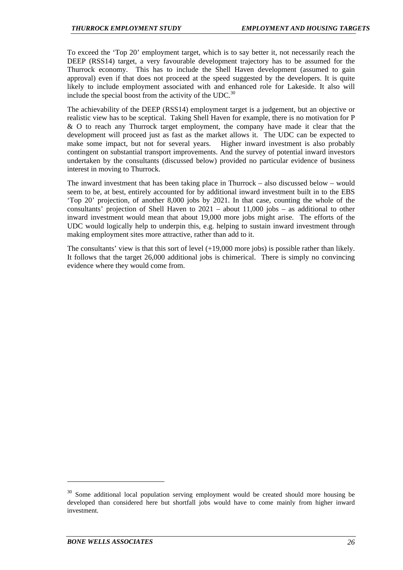To exceed the 'Top 20' employment target, which is to say better it, not necessarily reach the DEEP (RSS14) target, a very favourable development trajectory has to be assumed for the Thurrock economy. This has to include the Shell Haven development (assumed to gain approval) even if that does not proceed at the speed suggested by the developers. It is quite likely to include employment associated with and enhanced role for Lakeside. It also will include the special boost from the activity of the UDC.<sup>30</sup>

The achievability of the DEEP (RSS14) employment target is a judgement, but an objective or realistic view has to be sceptical. Taking Shell Haven for example, there is no motivation for P & O to reach any Thurrock target employment, the company have made it clear that the development will proceed just as fast as the market allows it. The UDC can be expected to make some impact, but not for several years. Higher inward investment is also probably contingent on substantial transport improvements. And the survey of potential inward investors undertaken by the consultants (discussed below) provided no particular evidence of business interest in moving to Thurrock.

The inward investment that has been taking place in Thurrock – also discussed below – would seem to be, at best, entirely accounted for by additional inward investment built in to the EBS 'Top 20' projection, of another 8,000 jobs by 2021. In that case, counting the whole of the consultants' projection of Shell Haven to 2021 – about 11,000 jobs – as additional to other inward investment would mean that about 19,000 more jobs might arise. The efforts of the UDC would logically help to underpin this, e.g. helping to sustain inward investment through making employment sites more attractive, rather than add to it.

The consultants' view is that this sort of level  $(+19,000$  more jobs) is possible rather than likely. It follows that the target 26,000 additional jobs is chimerical. There is simply no convincing evidence where they would come from.

<sup>&</sup>lt;sup>30</sup> Some additional local population serving employment would be created should more housing be developed than considered here but shortfall jobs would have to come mainly from higher inward investment.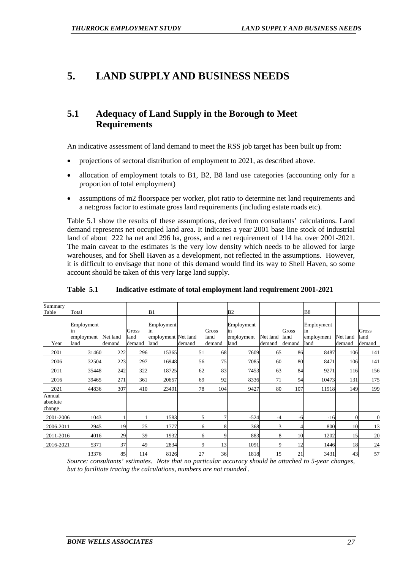# **5. LAND SUPPLY AND BUSINESS NEEDS**

# **5.1 Adequacy of Land Supply in the Borough to Meet Requirements**

An indicative assessment of land demand to meet the RSS job target has been built up from:

- projections of sectoral distribution of employment to 2021, as described above.
- allocation of employment totals to B1, B2, B8 land use categories (accounting only for a proportion of total employment)
- assumptions of m2 floorspace per worker, plot ratio to determine net land requirements and a net:gross factor to estimate gross land requirements (including estate roads etc).

Table 5.1 show the results of these assumptions, derived from consultants' calculations. Land demand represents net occupied land area. It indicates a year 2001 base line stock of industrial land of about 222 ha net and 296 ha, gross, and a net requirement of 114 ha. over 2001-2021. The main caveat to the estimates is the very low density which needs to be allowed for large warehouses, and for Shell Haven as a development, not reflected in the assumptions. However, it is difficult to envisage that none of this demand would find its way to Shell Haven, so some account should be taken of this very large land supply.

| Summary                      |                                        |                    |                         |                                                 |        |                         |                                        |                    |                         |                                        |                    |                         |
|------------------------------|----------------------------------------|--------------------|-------------------------|-------------------------------------------------|--------|-------------------------|----------------------------------------|--------------------|-------------------------|----------------------------------------|--------------------|-------------------------|
| Table                        | Total                                  |                    |                         | B1                                              |        |                         | B2                                     |                    |                         | <b>B8</b>                              |                    |                         |
| Year                         | Employment<br>in<br>employment<br>land | Net land<br>demand | Gross<br>land<br>demand | Employment<br>in<br>employment Net land<br>land | demand | Gross<br>land<br>demand | Employment<br>in<br>employment<br>land | Net land<br>demand | Gross<br>land<br>demand | Employment<br>in<br>employment<br>land | Net land<br>demand | Gross<br>land<br>demand |
| 2001                         | 31460                                  | 222                | 296                     | 15365                                           | 51     | 68                      | 7609                                   | 65                 | 86                      | 8487                                   | 106                | 141                     |
| 2006                         | 32504                                  | 223                | 297                     | 16948                                           | 56     | 75                      | 7085                                   | 60                 | 80                      | 8471                                   | 106                | 141                     |
| 2011                         | 35448                                  | 242                | 322                     | 18725                                           | 62     | 83                      | 7453                                   | 63                 | 84                      | 9271                                   | 116                | 156                     |
| 2016                         | 39465                                  | 271                | 361                     | 20657                                           | 69     | 92                      | 8336                                   | 71                 | 94                      | 10473                                  | 131                | 175                     |
| 2021                         | 44836                                  | 307                | 410                     | 23491                                           | 78     | 104                     | 9427                                   | 80                 | 107                     | 11918                                  | 149                | 199                     |
| Annual<br>absolute<br>change |                                        |                    |                         |                                                 |        |                         |                                        |                    |                         |                                        |                    |                         |
| 2001-2006                    | 1043                                   |                    |                         | 1583                                            |        | $\tau$                  | $-524$                                 | -4                 | -6                      | $-16$                                  | $\Omega$           | $\overline{0}$          |
| 2006-2011                    | 2945                                   | 19                 | 25                      | 1777                                            | 6      | 8                       | 368                                    | $\overline{3}$     | 4                       | 800                                    | 10                 | 13                      |
| 2011-2016                    | 4016                                   | 29                 | 39                      | 1932                                            | 6      | 9                       | 883                                    | 8                  | 10                      | 1202                                   | 15                 | 20                      |
| 2016-2021                    | 5371                                   | 37                 | 49                      | 2834                                            | q      | 13                      | 1091                                   | 9                  | 12                      | 1446                                   | 18                 | 24                      |
|                              | 13376                                  | 85                 | 114                     | 8126                                            | 27     | 36                      | 1818                                   | 15                 | 21                      | 3431                                   | 43                 | 57                      |

**Table 5.1 Indicative estimate of total employment land requirement 2001-2021** 

*Source: consultants' estimates. Note that no particular accuracy should be attached to 5-year changes, but to facilitate tracing the calculations, numbers are not rounded .*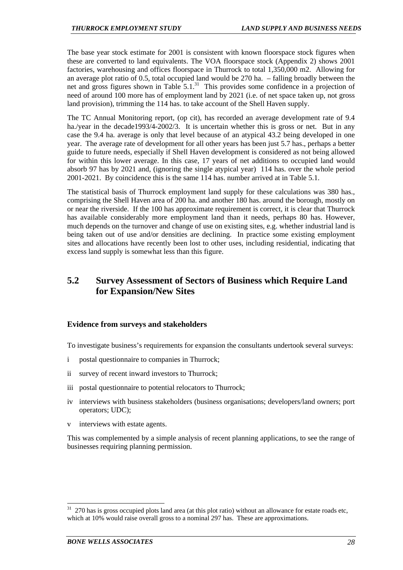The base year stock estimate for 2001 is consistent with known floorspace stock figures when these are converted to land equivalents. The VOA floorspace stock (Appendix 2) shows 2001 factories, warehousing and offices floorspace in Thurrock to total 1,350,000 m2. Allowing for an average plot ratio of 0.5, total occupied land would be 270 ha. – falling broadly between the net and gross figures shown in Table  $5.1<sup>31</sup>$  This provides some confidence in a projection of need of around 100 more has of employment land by 2021 (i.e. of net space taken up, not gross land provision), trimming the 114 has. to take account of the Shell Haven supply.

The TC Annual Monitoring report, (op cit), has recorded an average development rate of 9.4 ha./year in the decade1993/4-2002/3. It is uncertain whether this is gross or net. But in any case the 9.4 ha. average is only that level because of an atypical 43.2 being developed in one year. The average rate of development for all other years has been just 5.7 has., perhaps a better guide to future needs, especially if Shell Haven development is considered as not being allowed for within this lower average. In this case, 17 years of net additions to occupied land would absorb 97 has by 2021 and, (ignoring the single atypical year) 114 has. over the whole period 2001-2021. By coincidence this is the same 114 has. number arrived at in Table 5.1.

The statistical basis of Thurrock employment land supply for these calculations was 380 has., comprising the Shell Haven area of 200 ha. and another 180 has. around the borough, mostly on or near the riverside. If the 100 has approximate requirement is correct, it is clear that Thurrock has available considerably more employment land than it needs, perhaps 80 has. However, much depends on the turnover and change of use on existing sites, e.g. whether industrial land is being taken out of use and/or densities are declining. In practice some existing employment sites and allocations have recently been lost to other uses, including residential, indicating that excess land supply is somewhat less than this figure.

# **5.2 Survey Assessment of Sectors of Business which Require Land for Expansion/New Sites**

# **Evidence from surveys and stakeholders**

To investigate business's requirements for expansion the consultants undertook several surveys:

- i postal questionnaire to companies in Thurrock;
- ii survey of recent inward investors to Thurrock;
- iii postal questionnaire to potential relocators to Thurrock;
- iv interviews with business stakeholders (business organisations; developers/land owners; port operators; UDC);
- v interviews with estate agents.

This was complemented by a simple analysis of recent planning applications, to see the range of businesses requiring planning permission.

<sup>31 270</sup> has is gross occupied plots land area (at this plot ratio) without an allowance for estate roads etc, which at 10% would raise overall gross to a nominal 297 has. These are approximations.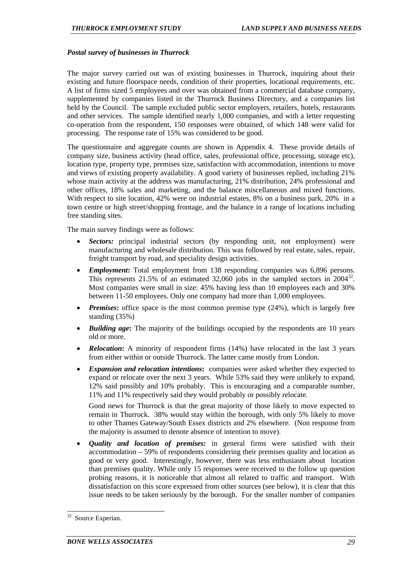#### *Postal survey of businesses in Thurrock*

The major survey carried out was of existing businesses in Thurrock, inquiring about their existing and future floorspace needs, condition of their properties, locational requirements, etc. A list of firms sized 5 employees and over was obtained from a commercial database company, supplemented by companies listed in the Thurrock Business Directory, and a companies list held by the Council. The sample excluded public sector employers, retailers, hotels, restaurants and other services. The sample identified nearly 1,000 companies, and with a letter requesting co-operation from the respondent, 150 responses were obtained, of which 148 were valid for processing. The response rate of 15% was considered to be good.

The questionnaire and aggregate counts are shown in Appendix 4. These provide details of company size, business activity (head office, sales, professional office, processing, storage etc), location type, property type, premises size, satisfaction with accommodation, intentions to move and views of existing property availability. A good variety of businesses replied, including 21% whose main activity at the address was manufacturing, 21% distribution, 24% professional and other offices, 18% sales and marketing, and the balance miscellaneous and mixed functions. With respect to site location, 42% were on industrial estates, 8% on a business park, 20% in a town centre or high street/shopping frontage, and the balance in a range of locations including free standing sites.

The main survey findings were as follows:

- *Sectors:* principal industrial sectors (by responding unit, not employment) were manufacturing and wholesale distribution. This was followed by real estate, sales, repair, freight transport by road, and speciality design activities.
- *Employment*: Total employment from 138 responding companies was 6,896 persons. This represents 21.5% of an estimated 32,060 jobs in the sampled sectors in  $2004^{32}$ . Most companies were small in size: 45% having less than 10 employees each and 30% between 11-50 employees. Only one company had more than 1,000 employees.
- *Premises*: office space is the most common premise type (24%), which is largely free standing (35%)
- *Building age*: The majority of the buildings occupied by the respondents are 10 years old or more.
- *Relocation*: A minority of respondent firms (14%) have relocated in the last 3 years from either within or outside Thurrock. The latter came mostly from London.
- *Expansion and relocation intentions***:** companies were asked whether they expected to expand or relocate over the next 3 years. While 53% said they were unlikely to expand, 12% said possibly and 10% probably. This is encouraging and a comparable number, 11% and 11% respectively said they would probably or possibly relocate.

Good news for Thurrock is that the great majority of those likely to move expected to remain in Thurrock. 38% would stay within the borough, with only 5% likely to move to other Thames Gateway/South Essex districts and 2% elsewhere. (Non response from the majority is assumed to denote absence of intention to move).

• *Quality and location of premises***:** in general firms were satisfied with their accommodation – 59% of respondents considering their premises quality and location as good or very good. Interestingly, however, there was less enthusiasm about location than premises quality. While only 15 responses were received to the follow up question probing reasons, it is noticeable that almost all related to traffic and transport. With dissatisfaction on this score expressed from other sources (see below), it is clear that this issue needs to be taken seriously by the borough. For the smaller number of companies

<sup>32</sup> Source Experian.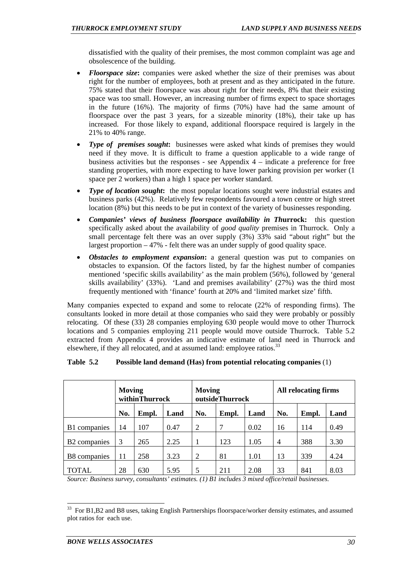dissatisfied with the quality of their premises, the most common complaint was age and obsolescence of the building.

- *Floorspace size*: companies were asked whether the size of their premises was about right for the number of employees, both at present and as they anticipated in the future. 75% stated that their floorspace was about right for their needs, 8% that their existing space was too small. However, an increasing number of firms expect to space shortages in the future (16%). The majority of firms (70%) have had the same amount of floorspace over the past 3 years, for a sizeable minority (18%), their take up has increased. For those likely to expand, additional floorspace required is largely in the 21% to 40% range.
- *Type of premises sought***:** businesses were asked what kinds of premises they would need if they move. It is difficult to frame a question applicable to a wide range of business activities but the responses - see Appendix 4 – indicate a preference for free standing properties, with more expecting to have lower parking provision per worker (1 space per 2 workers) than a high 1 space per worker standard.
- *Type of location sought*: the most popular locations sought were industrial estates and business parks (42%). Relatively few respondents favoured a town centre or high street location (8%) but this needs to be put in context of the variety of businesses responding.
- *Companies' views of business floorspace availability in Th***urrock:** this question specifically asked about the availability of *good quality* premises in Thurrock. Only a small percentage felt there was an over supply (3%) 33% said "about right" but the largest proportion – 47% - felt there was an under supply of good quality space.
- *Obstacles to employment expansion***:** a general question was put to companies on obstacles to expansion. Of the factors listed, by far the highest number of companies mentioned 'specific skills availability' as the main problem (56%), followed by 'general skills availability' (33%). 'Land and premises availability' (27%) was the third most frequently mentioned with 'finance' fourth at 20% and 'limited market size' fifth.

Many companies expected to expand and some to relocate (22% of responding firms). The consultants looked in more detail at those companies who said they were probably or possibly relocating. Of these (33) 28 companies employing 630 people would move to other Thurrock locations and 5 companies employing 211 people would move outside Thurrock. Table 5.2 extracted from Appendix 4 provides an indicative estimate of land need in Thurrock and elsewhere, if they all relocated, and at assumed land: employee ratios.<sup>33</sup>

#### **Table 5.2 Possible land demand (Has) from potential relocating companies** (1)

|                          | Moving<br>withinThurrock |       |      | Moving               | outsideThurrock |      | <b>All relocating firms</b> |       |      |  |
|--------------------------|--------------------------|-------|------|----------------------|-----------------|------|-----------------------------|-------|------|--|
|                          | No.                      | Empl. | Land | No.<br>Empl.<br>Land |                 |      | No.                         | Empl. | Land |  |
| B1 companies             | 14                       | 107   | 0.47 | 2                    | 7               | 0.02 | 16                          | 114   | 0.49 |  |
| B <sub>2</sub> companies | 3                        | 265   | 2.25 |                      | 123             | 1.05 | $\overline{4}$              | 388   | 3.30 |  |
| B8 companies             | 11                       | 258   | 3.23 | 2                    | 81              | 1.01 | 13                          | 339   | 4.24 |  |
| TOTAL                    | 28                       | 630   | 5.95 | 5                    | 211             | 2.08 | 33                          | 841   | 8.03 |  |

*Source: Business survey, consultants' estimates. (1) B1 includes 3 mixed office/retail businesses.* 

<sup>&</sup>lt;sup>33</sup> For B1,B2 and B8 uses, taking English Partnerships floorspace/worker density estimates, and assumed plot ratios for each use.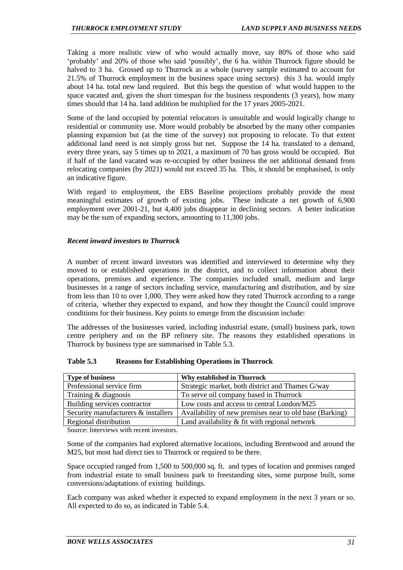Taking a more realistic view of who would actually move, say 80% of those who said 'probably' and 20% of those who said 'possibly', the 6 ha. within Thurrock figure should be halved to 3 ha. Grossed up to Thurrock as a whole (survey sample estimated to account for 21.5% of Thurrock employment in the business space using sectors) this 3 ha. would imply about 14 ha. total new land required. But this begs the question of what would happen to the space vacated and, given the short timespan for the business respondents (3 years), how many times should that 14 ha. land addition be multiplied for the 17 years 2005-2021.

Some of the land occupied by potential relocators is unsuitable and would logically change to residential or community use. More would probably be absorbed by the many other companies planning expansion but (at the time of the survey) not proposing to relocate. To that extent additional land need is not simply gross but net. Suppose the 14 ha. translated to a demand, every three years, say 5 times up to 2021, a maximum of 70 has gross would be occupied. But if half of the land vacated was re-occupied by other business the net additional demand from relocating companies (by 2021) would not exceed 35 ha. This, it should be emphasised, is only an indicative figure.

With regard to employment, the EBS Baseline projections probably provide the most meaningful estimates of growth of existing jobs. These indicate a net growth of 6,900 employment over 2001-21, but 4,400 jobs disappear in declining sectors. A better indication may be the sum of expanding sectors, amounting to 11,300 jobs.

#### *Recent inward investors to Thurrock*

A number of recent inward investors was identified and interviewed to determine why they moved to or established operations in the district, and to collect information about their operations, premises and experience. The companies included small, medium and large businesses in a range of sectors including service, manufacturing and distribution, and by size from less than 10 to over 1,000. They were asked how they rated Thurrock according to a range of criteria, whether they expected to expand, and how they thought the Council could improve conditions for their business. Key points to emerge from the discussion include:

The addresses of the businesses varied, including industrial estate, (small) business park, town centre periphery and on the BP refinery site. The reasons they established operations in Thurrock by business type are summarised in Table 5.3.

| <b>Type of business</b>             | <b>Why established in Thurrock</b>                      |
|-------------------------------------|---------------------------------------------------------|
| Professional service firm           | Strategic market, both district and Thames G/way        |
| Training $&$ diagnosis              | To serve oil company based in Thurrock                  |
| Building services contractor        | Low costs and access to central London/M25              |
| Security manufacturers & installers | Availability of new premises near to old base (Barking) |
| Regional distribution               | Land availability $\&$ fit with regional network        |

**Table 5.3 Reasons for Establishing Operations in Thurrock** 

Source: Interviews with recent investors.

Some of the companies had explored alternative locations, including Brentwood and around the M25, but most had direct ties to Thurrock or required to be there.

Space occupied ranged from 1,500 to 500,000 sq. ft. and types of location and premises ranged from industrial estate to small business park to freestanding sites, some purpose built, some conversions/adaptations of existing buildings.

Each company was asked whether it expected to expand employment in the next 3 years or so. All expected to do so, as indicated in Table 5.4.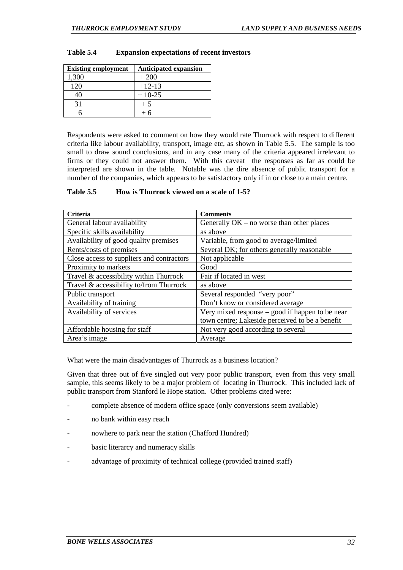| <b>Existing employment</b> | <b>Anticipated expansion</b> |
|----------------------------|------------------------------|
| 1,300                      | $+200$                       |
| 120                        | $+12-13$                     |
| 40                         | $+10-25$                     |
|                            | $+5$                         |
|                            |                              |

#### **Table 5.4 Expansion expectations of recent investors**

Respondents were asked to comment on how they would rate Thurrock with respect to different criteria like labour availability, transport, image etc, as shown in Table 5.5. The sample is too small to draw sound conclusions, and in any case many of the criteria appeared irrelevant to firms or they could not answer them. With this caveat the responses as far as could be interpreted are shown in the table. Notable was the dire absence of public transport for a number of the companies, which appears to be satisfactory only if in or close to a main centre.

#### **Table 5.5 How is Thurrock viewed on a scale of 1-5?**

| Criteria                                  | <b>Comments</b>                                 |
|-------------------------------------------|-------------------------------------------------|
| General labour availability               | Generally $OK - no$ worse than other places     |
| Specific skills availability              | as above                                        |
| Availability of good quality premises     | Variable, from good to average/limited          |
| Rents/costs of premises                   | Several DK; for others generally reasonable     |
| Close access to suppliers and contractors | Not applicable                                  |
| Proximity to markets                      | Good                                            |
| Travel & accessibility within Thurrock    | Fair if located in west                         |
| Travel & accessibility to/from Thurrock   | as above                                        |
| Public transport                          | Several responded "very poor"                   |
| Availability of training                  | Don't know or considered average                |
| Availability of services                  | Very mixed response – good if happen to be near |
|                                           | town centre; Lakeside perceived to be a benefit |
| Affordable housing for staff              | Not very good according to several              |
| Area's image                              | Average                                         |

What were the main disadvantages of Thurrock as a business location?

Given that three out of five singled out very poor public transport, even from this very small sample, this seems likely to be a major problem of locating in Thurrock. This included lack of public transport from Stanford le Hope station. Other problems cited were:

- complete absence of modern office space (only conversions seem available)
- no bank within easy reach
- nowhere to park near the station (Chafford Hundred)
- basic literarcy and numeracy skills
- advantage of proximity of technical college (provided trained staff)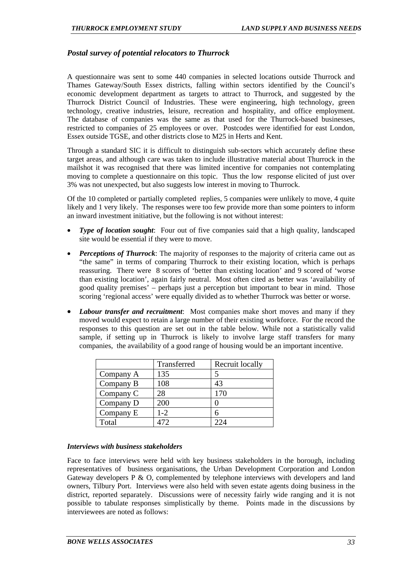# *Postal survey of potential relocators to Thurrock*

A questionnaire was sent to some 440 companies in selected locations outside Thurrock and Thames Gateway/South Essex districts, falling within sectors identified by the Council's economic development department as targets to attract to Thurrock, and suggested by the Thurrock District Council of Industries. These were engineering, high technology, green technology, creative industries, leisure, recreation and hospitality, and office employment. The database of companies was the same as that used for the Thurrock-based businesses, restricted to companies of 25 employees or over. Postcodes were identified for east London, Essex outside TGSE, and other districts close to M25 in Herts and Kent.

Through a standard SIC it is difficult to distinguish sub-sectors which accurately define these target areas, and although care was taken to include illustrative material about Thurrock in the mailshot it was recognised that there was limited incentive for companies not contemplating moving to complete a questionnaire on this topic. Thus the low response elicited of just over 3% was not unexpected, but also suggests low interest in moving to Thurrock.

Of the 10 completed or partially completed replies, 5 companies were unlikely to move, 4 quite likely and 1 very likely. The responses were too few provide more than some pointers to inform an inward investment initiative, but the following is not without interest:

- *Type of location sought*: Four out of five companies said that a high quality, landscaped site would be essential if they were to move.
- *Perceptions of Thurrock*: The majority of responses to the majority of criteria came out as "the same" in terms of comparing Thurrock to their existing location, which is perhaps reassuring. There were 8 scores of 'better than existing location' and 9 scored of 'worse than existing location', again fairly neutral. Most often cited as better was 'availability of good quality premises' – perhaps just a perception but important to bear in mind. Those scoring 'regional access' were equally divided as to whether Thurrock was better or worse.
- *Labour transfer and recruitment*: Most companies make short moves and many if they moved would expect to retain a large number of their existing workforce. For the record the responses to this question are set out in the table below. While not a statistically valid sample, if setting up in Thurrock is likely to involve large staff transfers for many companies, the availability of a good range of housing would be an important incentive.

|           | Transferred | Recruit locally |
|-----------|-------------|-----------------|
| Company A | 135         |                 |
| Company B | 108         | 43              |
| Company C | 28          | 170             |
| Company D | 200         |                 |
| Company E | $1 - 2$     |                 |
| Total     |             |                 |

#### *Interviews with business stakeholders*

Face to face interviews were held with key business stakeholders in the borough, including representatives of business organisations, the Urban Development Corporation and London Gateway developers P & O, complemented by telephone interviews with developers and land owners, Tilbury Port. Interviews were also held with seven estate agents doing business in the district, reported separately. Discussions were of necessity fairly wide ranging and it is not possible to tabulate responses simplistically by theme. Points made in the discussions by interviewees are noted as follows: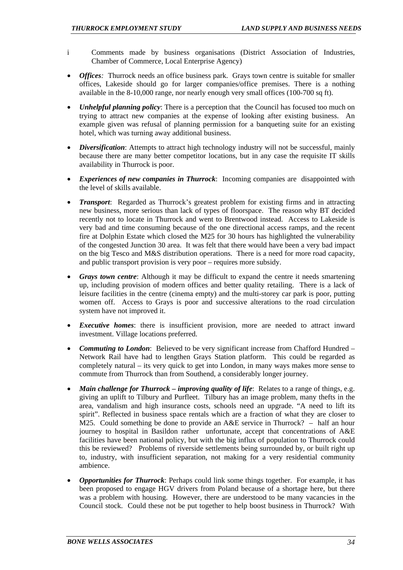- i Comments made by business organisations (District Association of Industries, Chamber of Commerce, Local Enterprise Agency)
- *Offices*: Thurrock needs an office business park. Grays town centre is suitable for smaller offices, Lakeside should go for larger companies/office premises. There is a nothing available in the 8-10,000 range, nor nearly enough very small offices (100-700 sq ft).
- *Unhelpful planning policy*: There is a perception that the Council has focused too much on trying to attract new companies at the expense of looking after existing business. An example given was refusal of planning permission for a banqueting suite for an existing hotel, which was turning away additional business.
- *Diversification*: Attempts to attract high technology industry will not be successful, mainly because there are many better competitor locations, but in any case the requisite IT skills availability in Thurrock is poor.
- *Experiences of new companies in Thurrock*: Incoming companies are disappointed with the level of skills available.
- *Transport*: Regarded as Thurrock's greatest problem for existing firms and in attracting new business, more serious than lack of types of floorspace. The reason why BT decided recently not to locate in Thurrock and went to Brentwood instead. Access to Lakeside is very bad and time consuming because of the one directional access ramps, and the recent fire at Dolphin Estate which closed the M25 for 30 hours has highlighted the vulnerability of the congested Junction 30 area. It was felt that there would have been a very bad impact on the big Tesco and M&S distribution operations. There is a need for more road capacity, and public transport provision is very poor – requires more subsidy.
- *Grays town centre*: Although it may be difficult to expand the centre it needs smartening up, including provision of modern offices and better quality retailing. There is a lack of leisure facilities in the centre (cinema empty) and the multi-storey car park is poor, putting women off. Access to Grays is poor and successive alterations to the road circulation system have not improved it.
- *Executive homes*: there is insufficient provision, more are needed to attract inward investment. Village locations preferred.
- *Commuting to London*: Believed to be very significant increase from Chafford Hundred Network Rail have had to lengthen Grays Station platform. This could be regarded as completely natural – its very quick to get into London, in many ways makes more sense to commute from Thurrock than from Southend, a considerably longer journey.
- *Main challenge for Thurrock improving quality of life*: Relates to a range of things, e.g. giving an uplift to Tilbury and Purfleet. Tilbury has an image problem, many thefts in the area, vandalism and high insurance costs, schools need an upgrade. "A need to lift its spirit". Reflected in business space rentals which are a fraction of what they are closer to M25. Could something be done to provide an A&E service in Thurrock? – half an hour journey to hospital in Basildon rather unfortunate, accept that concentrations of A&E facilities have been national policy, but with the big influx of population to Thurrock could this be reviewed? Problems of riverside settlements being surrounded by, or built right up to, industry, with insufficient separation, not making for a very residential community ambience.
- *Opportunities for Thurrock*: Perhaps could link some things together. For example, it has been proposed to engage HGV drivers from Poland because of a shortage here, but there was a problem with housing. However, there are understood to be many vacancies in the Council stock. Could these not be put together to help boost business in Thurrock? With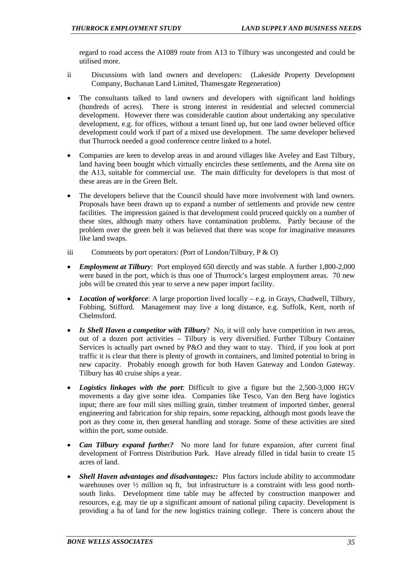regard to road access the A1089 route from A13 to Tilbury was uncongested and could be utilised more.

- ii Discussions with land owners and developers: (Lakeside Property Development Company, Buchanan Land Limited, Thamesgate Regeneration)
- The consultants talked to land owners and developers with significant land holdings (hundreds of acres). There is strong interest in residential and selected commercial development. However there was considerable caution about undertaking any speculative development, e.g. for offices, without a tenant lined up, but one land owner believed office development could work if part of a mixed use development. The same developer believed that Thurrock needed a good conference centre linked to a hotel.
- Companies are keen to develop areas in and around villages like Aveley and East Tilbury, land having been bought which virtually encircles these settlements, and the Arena site on the A13, suitable for commercial use. The main difficulty for developers is that most of these areas are in the Green Belt.
- The developers believe that the Council should have more involvement with land owners. Proposals have been drawn up to expand a number of settlements and provide new centre facilities. The impression gained is that development could proceed quickly on a number of these sites, although many others have contamination problems. Partly because of the problem over the green belt it was believed that there was scope for imaginative measures like land swaps.
- iii Comments by port operators: (Port of London/Tilbury,  $P \& O$ )
- *Employment at Tilbury*: Port employed 650 directly and was stable. A further 1,800-2,000 were based in the port, which is thus one of Thurrock's largest employment areas. 70 new jobs will be created this year to serve a new paper import facility.
- *Location of workforce*: A large proportion lived locally e.g. in Grays, Chadwell, Tilbury, Fobbing, Stifford. Management may live a long distance, e.g. Suffolk, Kent, north of Chelmsford.
- *Is Shell Haven a competitor with Tilbury*? No, it will only have competition in two areas, out of a dozen port activities – Tilbury is very diversified. Further Tilbury Container Services is actually part owned by P&O and they want to stay. Third, if you look at port traffic it is clear that there is plenty of growth in containers, and limited potential to bring in new capacity. Probably enough growth for both Haven Gateway and London Gateway. Tilbury has 40 cruise ships a year.
- *Logistics linkages with the port*: Difficult to give a figure but the 2,500-3,000 HGV movements a day give some idea. Companies like Tesco, Van den Berg have logistics input; there are four mill sites milling grain, timber treatment of imported timber, general engineering and fabrication for ship repairs, some repacking, although most goods leave the port as they come in, then general handling and storage. Some of these activities are sited within the port, some outside.
- *Can Tilbury expand furthe*r*?* No more land for future expansion, after current final development of Fortress Distribution Park. Have already filled in tidal basin to create 15 acres of land.
- *Shell Haven advantages and disadvantages::* Plus factors include ability to accommodate warehouses over  $\frac{1}{2}$  million sq ft, but infrastructure is a constraint with less good northsouth links. Development time table may be affected by construction manpower and resources, e.g. may tie up a significant amount of national piling capacity. Development is providing a ha of land for the new logistics training college. There is concern about the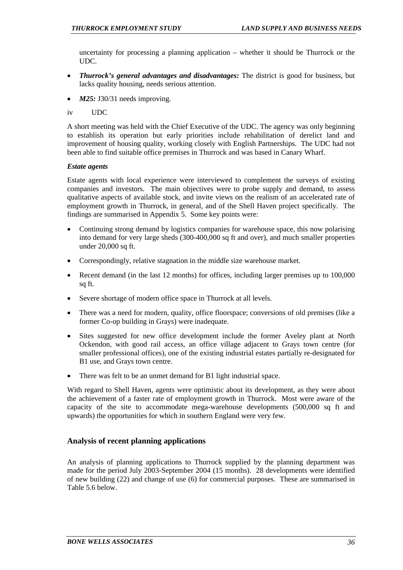uncertainty for processing a planning application – whether it should be Thurrock or the UDC.

- *Thurrock's general advantages and disadvantages:* The district is good for business, but lacks quality housing, needs serious attention.
- *M25:* J30/31 needs improving.
- iv UDC

A short meeting was held with the Chief Executive of the UDC. The agency was only beginning to establish its operation but early priorities include rehabilitation of derelict land and improvement of housing quality, working closely with English Partnerships. The UDC had not been able to find suitable office premises in Thurrock and was based in Canary Wharf.

#### *Estate agents*

Estate agents with local experience were interviewed to complement the surveys of existing companies and investors. The main objectives were to probe supply and demand, to assess qualitative aspects of available stock, and invite views on the realism of an accelerated rate of employment growth in Thurrock, in general, and of the Shell Haven project specifically. The findings are summarised in Appendix 5. Some key points were:

- Continuing strong demand by logistics companies for warehouse space, this now polarising into demand for very large sheds (300-400,000 sq ft and over), and much smaller properties under 20,000 sq ft.
- Correspondingly, relative stagnation in the middle size warehouse market.
- Recent demand (in the last 12 months) for offices, including larger premises up to 100,000 sq ft.
- Severe shortage of modern office space in Thurrock at all levels.
- There was a need for modern, quality, office floorspace; conversions of old premises (like a former Co-op building in Grays) were inadequate.
- Sites suggested for new office development include the former Aveley plant at North Ockendon, with good rail access, an office village adjacent to Grays town centre (for smaller professional offices), one of the existing industrial estates partially re-designated for B1 use, and Grays town centre.
- There was felt to be an unmet demand for B1 light industrial space.

With regard to Shell Haven, agents were optimistic about its development, as they were about the achievement of a faster rate of employment growth in Thurrock. Most were aware of the capacity of the site to accommodate mega-warehouse developments (500,000 sq ft and upwards) the opportunities for which in southern England were very few.

# **Analysis of recent planning applications**

An analysis of planning applications to Thurrock supplied by the planning department was made for the period July 2003-September 2004 (15 months). 28 developments were identified of new building (22) and change of use (6) for commercial purposes. These are summarised in Table 5.6 below.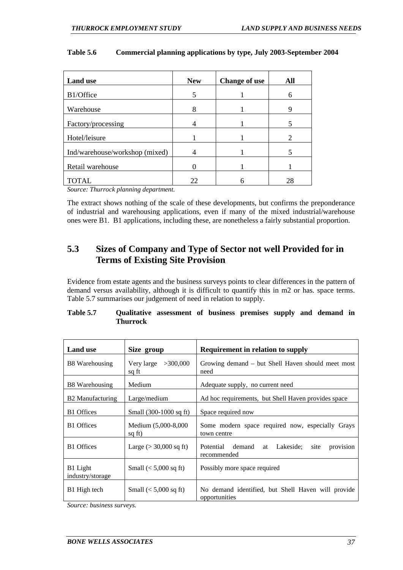| <b>Land use</b>                | <b>New</b> | <b>Change of use</b> | All                         |
|--------------------------------|------------|----------------------|-----------------------------|
| B1/Office                      | 5          |                      | 6                           |
| Warehouse                      | 8          |                      | 9                           |
| Factory/processing             |            |                      |                             |
| Hotel/leisure                  |            |                      | $\mathcal{D}_{\mathcal{A}}$ |
| Ind/warehouse/workshop (mixed) |            |                      |                             |
| Retail warehouse               |            |                      |                             |
| <b>TOTAL</b>                   | 22         |                      | 28                          |

#### **Table 5.6 Commercial planning applications by type, July 2003-September 2004**

*Source: Thurrock planning department.* 

The extract shows nothing of the scale of these developments, but confirms the preponderance of industrial and warehousing applications, even if many of the mixed industrial/warehouse ones were B1. B1 applications, including these, are nonetheless a fairly substantial proportion.

# **5.3 Sizes of Company and Type of Sector not well Provided for in Terms of Existing Site Provision**

Evidence from estate agents and the business surveys points to clear differences in the pattern of demand versus availability, although it is difficult to quantify this in m2 or has. space terms. Table 5.7 summarises our judgement of need in relation to supply.

| Table 5.7 | Qualitative assessment of business premises supply and demand in |  |  |  |  |
|-----------|------------------------------------------------------------------|--|--|--|--|
|           | Thurrock                                                         |  |  |  |  |

| <b>Land</b> use              | Size group                     | <b>Requirement in relation to supply</b>                                |  |  |  |
|------------------------------|--------------------------------|-------------------------------------------------------------------------|--|--|--|
| B8 Warehousing               | Very large $>300,000$<br>sq ft | Growing demand – but Shell Haven should meet most<br>need               |  |  |  |
| B8 Warehousing               | Medium                         | Adequate supply, no current need                                        |  |  |  |
| B2 Manufacturing             | Large/medium                   | Ad hoc requirements, but Shell Haven provides space                     |  |  |  |
| <b>B1</b> Offices            | Small (300-1000 sq ft)         | Space required now                                                      |  |  |  |
| <b>B1</b> Offices            | Medium (5,000-8,000<br>sq ft)  | Some modern space required now, especially Grays<br>town centre         |  |  |  |
| <b>B1</b> Offices            | Large ( $> 30,000$ sq ft)      | Potential demand<br>provision<br>Lakeside:<br>site<br>at<br>recommended |  |  |  |
| B1 Light<br>industry/storage | Small $(< 5,000$ sq ft)        | Possibly more space required                                            |  |  |  |
| B1 High tech                 | Small $(< 5,000$ sq ft)        | No demand identified, but Shell Haven will provide<br>opportunities     |  |  |  |

*Source: business surveys.*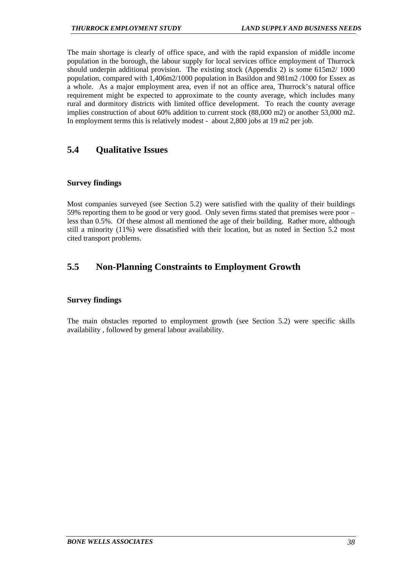The main shortage is clearly of office space, and with the rapid expansion of middle income population in the borough, the labour supply for local services office employment of Thurrock should underpin additional provision. The existing stock (Appendix 2) is some 615m2/ 1000 population, compared with 1,406m2/1000 population in Basildon and 981m2 /1000 for Essex as a whole. As a major employment area, even if not an office area, Thurrock's natural office requirement might be expected to approximate to the county average, which includes many rural and dormitory districts with limited office development. To reach the county average implies construction of about 60% addition to current stock (88,000 m2) or another 53,000 m2. In employment terms this is relatively modest - about 2,800 jobs at 19 m2 per job.

# **5.4 Qualitative Issues**

# **Survey findings**

Most companies surveyed (see Section 5.2) were satisfied with the quality of their buildings 59% reporting them to be good or very good. Only seven firms stated that premises were poor – less than 0.5%. Of these almost all mentioned the age of their building. Rather more, although still a minority (11%) were dissatisfied with their location, but as noted in Section 5.2 most cited transport problems.

# **5.5 Non-Planning Constraints to Employment Growth**

# **Survey findings**

The main obstacles reported to employment growth (see Section 5.2) were specific skills availability , followed by general labour availability.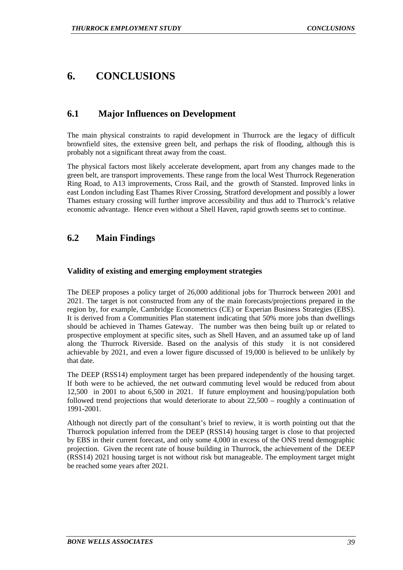# **6. CONCLUSIONS**

# **6.1 Major Influences on Development**

The main physical constraints to rapid development in Thurrock are the legacy of difficult brownfield sites, the extensive green belt, and perhaps the risk of flooding, although this is probably not a significant threat away from the coast.

The physical factors most likely accelerate development, apart from any changes made to the green belt, are transport improvements. These range from the local West Thurrock Regeneration Ring Road, to A13 improvements, Cross Rail, and the growth of Stansted. Improved links in east London including East Thames River Crossing, Stratford development and possibly a lower Thames estuary crossing will further improve accessibility and thus add to Thurrock's relative economic advantage. Hence even without a Shell Haven, rapid growth seems set to continue.

# **6.2 Main Findings**

# **Validity of existing and emerging employment strategies**

The DEEP proposes a policy target of 26,000 additional jobs for Thurrock between 2001 and 2021. The target is not constructed from any of the main forecasts/projections prepared in the region by, for example, Cambridge Econometrics (CE) or Experian Business Strategies (EBS). It is derived from a Communities Plan statement indicating that 50% more jobs than dwellings should be achieved in Thames Gateway. The number was then being built up or related to prospective employment at specific sites, such as Shell Haven, and an assumed take up of land along the Thurrock Riverside. Based on the analysis of this study it is not considered achievable by 2021, and even a lower figure discussed of 19,000 is believed to be unlikely by that date.

The DEEP (RSS14) employment target has been prepared independently of the housing target. If both were to be achieved, the net outward commuting level would be reduced from about 12,500 in 2001 to about 6,500 in 2021. If future employment and housing/population both followed trend projections that would deteriorate to about 22,500 – roughly a continuation of 1991-2001.

Although not directly part of the consultant's brief to review, it is worth pointing out that the Thurrock population inferred from the DEEP (RSS14) housing target is close to that projected by EBS in their current forecast, and only some 4,000 in excess of the ONS trend demographic projection. Given the recent rate of house building in Thurrock, the achievement of the DEEP (RSS14) 2021 housing target is not without risk but manageable. The employment target might be reached some years after 2021.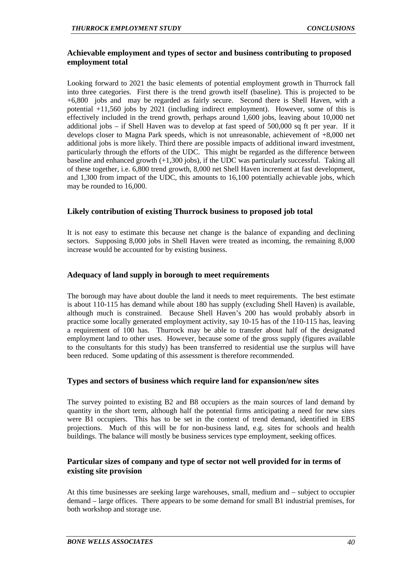# **Achievable employment and types of sector and business contributing to proposed employment total**

Looking forward to 2021 the basic elements of potential employment growth in Thurrock fall into three categories. First there is the trend growth itself (baseline). This is projected to be +6,800 jobs and may be regarded as fairly secure. Second there is Shell Haven, with a potential +11,560 jobs by 2021 (including indirect employment). However, some of this is effectively included in the trend growth, perhaps around 1,600 jobs, leaving about 10,000 net additional jobs – if Shell Haven was to develop at fast speed of 500,000 sq ft per year. If it develops closer to Magna Park speeds, which is not unreasonable, achievement of +8,000 net additional jobs is more likely. Third there are possible impacts of additional inward investment, particularly through the efforts of the UDC. This might be regarded as the difference between baseline and enhanced growth (+1,300 jobs), if the UDC was particularly successful. Taking all of these together, i.e. 6,800 trend growth, 8,000 net Shell Haven increment at fast development, and 1,300 from impact of the UDC, this amounts to 16,100 potentially achievable jobs, which may be rounded to 16,000.

# **Likely contribution of existing Thurrock business to proposed job total**

It is not easy to estimate this because net change is the balance of expanding and declining sectors. Supposing 8,000 jobs in Shell Haven were treated as incoming, the remaining 8,000 increase would be accounted for by existing business.

# **Adequacy of land supply in borough to meet requirements**

The borough may have about double the land it needs to meet requirements. The best estimate is about 110-115 has demand while about 180 has supply (excluding Shell Haven) is available, although much is constrained. Because Shell Haven's 200 has would probably absorb in practice some locally generated employment activity, say 10-15 has of the 110-115 has, leaving a requirement of 100 has. Thurrock may be able to transfer about half of the designated employment land to other uses. However, because some of the gross supply (figures available to the consultants for this study) has been transferred to residential use the surplus will have been reduced. Some updating of this assessment is therefore recommended.

# **Types and sectors of business which require land for expansion/new sites**

The survey pointed to existing B2 and B8 occupiers as the main sources of land demand by quantity in the short term, although half the potential firms anticipating a need for new sites were B1 occupiers. This has to be set in the context of trend demand, identified in EBS projections. Much of this will be for non-business land, e.g. sites for schools and health buildings. The balance will mostly be business services type employment, seeking offices.

# **Particular sizes of company and type of sector not well provided for in terms of existing site provision**

At this time businesses are seeking large warehouses, small, medium and – subject to occupier demand – large offices. There appears to be some demand for small B1 industrial premises, for both workshop and storage use.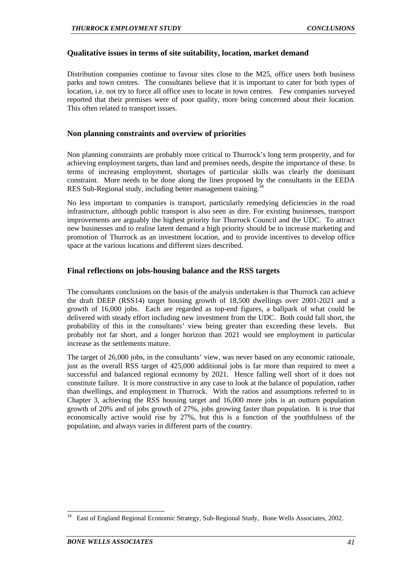#### **Qualitative issues in terms of site suitability, location, market demand**

Distribution companies continue to favour sites close to the M25, office users both business parks and town centres. The consultants believe that it is important to cater for both types of location, i.e. not try to force all office uses to locate in town centres. Few companies surveyed reported that their premises were of poor quality, more being concerned about their location. This often related to transport issues.

#### **Non planning constraints and overview of priorities**

Non planning constraints are probably more critical to Thurrock's long term prosperity, and for achieving employment targets, than land and premises needs, despite the importance of these. In terms of increasing employment, shortages of particular skills was clearly the dominant constraint. More needs to be done along the lines proposed by the consultants in the EEDA RES Sub-Regional study, including better management training.<sup>3</sup>

No less important to companies is transport, particularly remedying deficiencies in the road infrastructure, although public transport is also seen as dire. For existing businesses, transport improvements are arguably the highest priority for Thurrock Council and the UDC. To attract new businesses and to realise latent demand a high priority should be to increase marketing and promotion of Thurrock as an investment location, and to provide incentives to develop office space at the various locations and different sizes described.

# **Final reflections on jobs-housing balance and the RSS targets**

The consultants conclusions on the basis of the analysis undertaken is that Thurrock can achieve the draft DEEP (RSS14) target housing growth of 18,500 dwellings over 2001-2021 and a growth of 16,000 jobs. Each are regarded as top-end figures, a ballpark of what could be delivered with steady effort including new investment from the UDC. Both could fall short, the probability of this in the consultants' view being greater than exceeding these levels. But probably not far short, and a longer horizon than 2021 would see employment in particular increase as the settlements mature.

The target of 26,000 jobs, in the consultants' view, was never based on any economic rationale, just as the overall RSS target of 425,000 additional jobs is far more than required to meet a successful and balanced regional economy by 2021. Hence falling well short of it does not constitute failure. It is more constructive in any case to look at the balance of population, rather than dwellings, and employment in Thurrock. With the ratios and assumptions referred to in Chapter 3, achieving the RSS housing target and 16,000 more jobs is an outturn population growth of 20% and of jobs growth of 27%, jobs growing faster than population. It is true that economically active would rise by 27%, but this is a function of the youthfulness of the population, and always varies in different parts of the country.

East of England Regional Economic Strategy, Sub-Regional Study, Bone Wells Associates, 2002.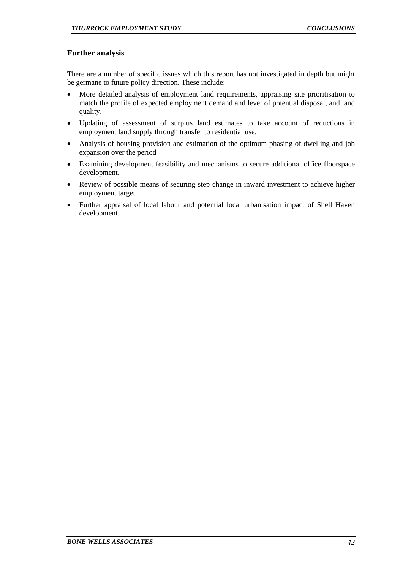# **Further analysis**

There are a number of specific issues which this report has not investigated in depth but might be germane to future policy direction. These include:

- More detailed analysis of employment land requirements, appraising site prioritisation to match the profile of expected employment demand and level of potential disposal, and land quality.
- Updating of assessment of surplus land estimates to take account of reductions in employment land supply through transfer to residential use.
- Analysis of housing provision and estimation of the optimum phasing of dwelling and job expansion over the period
- Examining development feasibility and mechanisms to secure additional office floorspace development.
- Review of possible means of securing step change in inward investment to achieve higher employment target.
- Further appraisal of local labour and potential local urbanisation impact of Shell Haven development.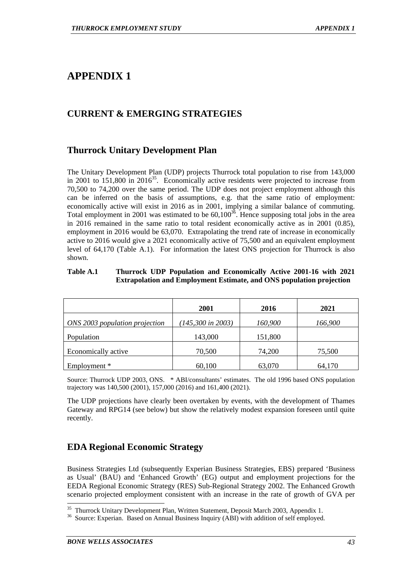# **CURRENT & EMERGING STRATEGIES**

# **Thurrock Unitary Development Plan**

The Unitary Development Plan (UDP) projects Thurrock total population to rise from 143,000 in 2001 to 151,800 in 2016<sup>35</sup>. Economically active residents were projected to increase from 70,500 to 74,200 over the same period. The UDP does not project employment although this can be inferred on the basis of assumptions, e.g. that the same ratio of employment: economically active will exist in 2016 as in 2001, implying a similar balance of commuting. Total employment in 2001 was estimated to be  $60,100^{36}$ . Hence supposing total jobs in the area in 2016 remained in the same ratio to total resident economically active as in 2001 (0.85), employment in 2016 would be 63,070. Extrapolating the trend rate of increase in economically active to 2016 would give a 2021 economically active of 75,500 and an equivalent employment level of 64,170 (Table A.1). For information the latest ONS projection for Thurrock is also shown.

#### **Table A.1 Thurrock UDP Population and Economically Active 2001-16 with 2021 Extrapolation and Employment Estimate, and ONS population projection**

|                                | 2001                         | 2016    | 2021    |
|--------------------------------|------------------------------|---------|---------|
| ONS 2003 population projection | $(145,300 \text{ in } 2003)$ | 160,900 | 166,900 |
| Population                     | 143,000                      | 151,800 |         |
| Economically active            | 70,500                       | 74,200  | 75,500  |
| Employment *                   | 60,100                       | 63,070  | 64,170  |

Source: Thurrock UDP 2003, ONS. \* ABI/consultants' estimates. The old 1996 based ONS population trajectory was 140,500 (2001), 157,000 (2016) and 161,400 (2021).

The UDP projections have clearly been overtaken by events, with the development of Thames Gateway and RPG14 (see below) but show the relatively modest expansion foreseen until quite recently.

# **EDA Regional Economic Strategy**

Business Strategies Ltd (subsequently Experian Business Strategies, EBS) prepared 'Business as Usual' (BAU) and 'Enhanced Growth' (EG) output and employment projections for the EEDA Regional Economic Strategy (RES) Sub-Regional Strategy 2002. The Enhanced Growth scenario projected employment consistent with an increase in the rate of growth of GVA per

l <sup>35</sup> Thurrock Unitary Development Plan, Written Statement, Deposit March 2003, Appendix 1.

<sup>&</sup>lt;sup>36</sup> Source: Experian. Based on Annual Business Inquiry (ABI) with addition of self employed.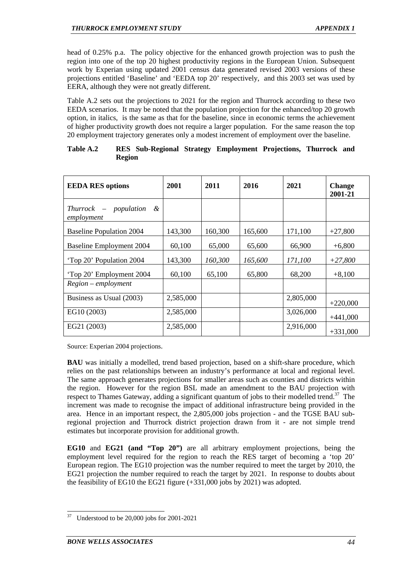head of 0.25% p.a. The policy objective for the enhanced growth projection was to push the region into one of the top 20 highest productivity regions in the European Union. Subsequent work by Experian using updated 2001 census data generated revised 2003 versions of these projections entitled 'Baseline' and 'EEDA top 20' respectively, and this 2003 set was used by EERA, although they were not greatly different.

Table A.2 sets out the projections to 2021 for the region and Thurrock according to these two EEDA scenarios. It may be noted that the population projection for the enhanced/top 20 growth option, in italics, is the same as that for the baseline, since in economic terms the achievement of higher productivity growth does not require a larger population. For the same reason the top 20 employment trajectory generates only a modest increment of employment over the baseline.

| <b>EEDA RES options</b>                       | 2001      | 2011    | 2016    | 2021      | <b>Change</b><br>2001-21 |
|-----------------------------------------------|-----------|---------|---------|-----------|--------------------------|
| population<br>$Thurrock -$<br>&<br>employment |           |         |         |           |                          |
| <b>Baseline Population 2004</b>               | 143,300   | 160,300 | 165,600 | 171,100   | $+27,800$                |
| <b>Baseline Employment 2004</b>               | 60,100    | 65,000  | 65,600  | 66,900    | $+6,800$                 |
| 'Top 20' Population 2004                      | 143,300   | 160,300 | 165,600 | 171,100   | $+27,800$                |
| 'Top 20' Employment 2004                      | 60,100    | 65,100  | 65,800  | 68,200    | $+8,100$                 |
| $Region$ – employment                         |           |         |         |           |                          |
| Business as Usual (2003)                      | 2,585,000 |         |         | 2,805,000 | $+220,000$               |
| EG10 (2003)                                   | 2,585,000 |         |         | 3,026,000 | $+441,000$               |
| EG21 (2003)                                   | 2,585,000 |         |         | 2,916,000 | $+331,000$               |

| Table A.2 |               | RES Sub-Regional Strategy Employment Projections, Thurrock and |  |  |  |
|-----------|---------------|----------------------------------------------------------------|--|--|--|
|           | <b>Region</b> |                                                                |  |  |  |

Source: Experian 2004 projections.

**BAU** was initially a modelled, trend based projection, based on a shift-share procedure, which relies on the past relationships between an industry's performance at local and regional level. The same approach generates projections for smaller areas such as counties and districts within the region. However for the region BSL made an amendment to the BAU projection with respect to Thames Gateway, adding a significant quantum of jobs to their modelled trend.<sup>37</sup> The increment was made to recognise the impact of additional infrastructure being provided in the area. Hence in an important respect, the 2,805,000 jobs projection - and the TGSE BAU subregional projection and Thurrock district projection drawn from it - are not simple trend estimates but incorporate provision for additional growth.

**EG10** and **EG21 (and "Top 20")** are all arbitrary employment projections, being the employment level required for the region to reach the RES target of becoming a 'top 20' European region. The EG10 projection was the number required to meet the target by 2010, the EG21 projection the number required to reach the target by 2021. In response to doubts about the feasibility of EG10 the EG21 figure (+331,000 jobs by 2021) was adopted.

Understood to be  $20,000$  jobs for  $2001-2021$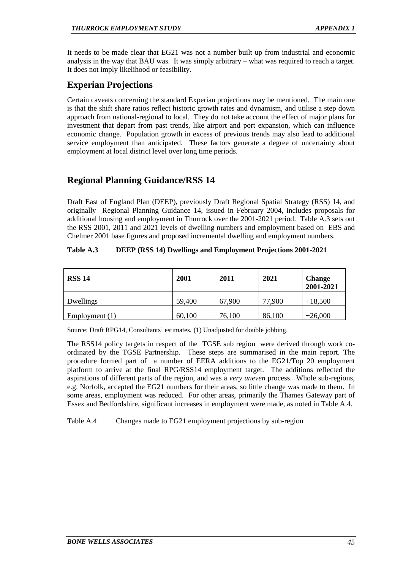It needs to be made clear that EG21 was not a number built up from industrial and economic analysis in the way that BAU was. It was simply arbitrary – what was required to reach a target. It does not imply likelihood or feasibility.

# **Experian Projections**

Certain caveats concerning the standard Experian projections may be mentioned. The main one is that the shift share ratios reflect historic growth rates and dynamism, and utilise a step down approach from national-regional to local. They do not take account the effect of major plans for investment that depart from past trends, like airport and port expansion, which can influence economic change. Population growth in excess of previous trends may also lead to additional service employment than anticipated. These factors generate a degree of uncertainty about employment at local district level over long time periods.

# **Regional Planning Guidance/RSS 14**

Draft East of England Plan (DEEP), previously Draft Regional Spatial Strategy (RSS) 14, and originally Regional Planning Guidance 14, issued in February 2004, includes proposals for additional housing and employment in Thurrock over the 2001-2021 period. Table A.3 sets out the RSS 2001, 2011 and 2021 levels of dwelling numbers and employment based on EBS and Chelmer 2001 base figures and proposed incremental dwelling and employment numbers.

# **Table A.3 DEEP (RSS 14) Dwellings and Employment Projections 2001-2021**

| <b>RSS 14</b>    | 2001   | 2011   | 2021   | <b>Change</b><br>2001-2021 |
|------------------|--------|--------|--------|----------------------------|
| Dwellings        | 59,400 | 67,900 | 77,900 | $+18,500$                  |
| Employment $(1)$ | 60,100 | 76,100 | 86,100 | $+26,000$                  |

Source: Draft RPG14, Consultants' estimates. (1) Unadjusted for double jobbing.

The RSS14 policy targets in respect of the TGSE sub region were derived through work coordinated by the TGSE Partnership. These steps are summarised in the main report. The procedure formed part of a number of EERA additions to the EG21/Top 20 employment platform to arrive at the final RPG/RSS14 employment target. The additions reflected the aspirations of different parts of the region, and was a *very uneven* process. Whole sub-regions, e.g. Norfolk, accepted the EG21 numbers for their areas, so little change was made to them. In some areas, employment was reduced. For other areas, primarily the Thames Gateway part of Essex and Bedfordshire, significant increases in employment were made, as noted in Table A.4.

Table A.4 Changes made to EG21 employment projections by sub-region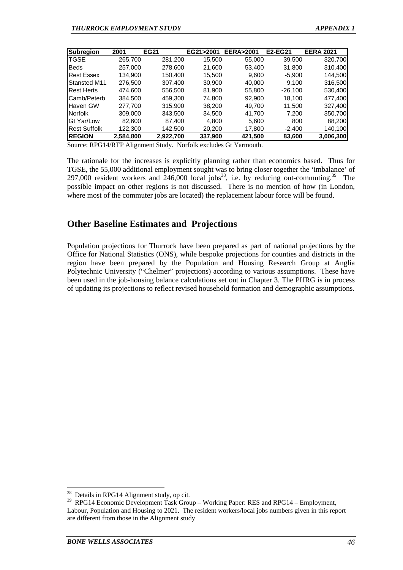| Subregion           | 2001      | <b>EG21</b> | EG21>2001 | <b>EERA&gt;2001</b> | E2-EG21   | <b>EERA 2021</b> |
|---------------------|-----------|-------------|-----------|---------------------|-----------|------------------|
| <b>TGSE</b>         | 265,700   | 281,200     | 15,500    | 55,000              | 39,500    | 320,700          |
| <b>Beds</b>         | 257.000   | 278,600     | 21,600    | 53,400              | 31,800    | 310,400          |
| <b>Rest Essex</b>   | 134,900   | 150,400     | 15,500    | 9,600               | $-5,900$  | 144,500          |
| <b>Stansted M11</b> | 276,500   | 307,400     | 30,900    | 40,000              | 9.100     | 316,500          |
| <b>Rest Herts</b>   | 474.600   | 556,500     | 81,900    | 55,800              | $-26,100$ | 530,400          |
| Camb/Peterb         | 384,500   | 459,300     | 74,800    | 92,900              | 18,100    | 477,400          |
| Haven GW            | 277,700   | 315,900     | 38,200    | 49,700              | 11,500    | 327,400          |
| Norfolk             | 309,000   | 343,500     | 34,500    | 41,700              | 7,200     | 350,700          |
| Gt Yar/Low          | 82,600    | 87,400      | 4,800     | 5,600               | 800       | 88,200           |
| <b>Rest Suffolk</b> | 122,300   | 142.500     | 20,200    | 17,800              | $-2.400$  | 140,100          |
| <b>REGION</b>       | 2.584.800 | 2.922.700   | 337.900   | 421.500             | 83.600    | 3,006,300        |

Source: RPG14/RTP Alignment Study. Norfolk excludes Gt Yarmouth.

The rationale for the increases is explicitly planning rather than economics based. Thus for TGSE, the 55,000 additional employment sought was to bring closer together the 'imbalance' of 297,000 resident workers and  $246,000$  local jobs<sup>38</sup>, i.e. by reducing out-commuting.<sup>39</sup> The possible impact on other regions is not discussed. There is no mention of how (in London, where most of the commuter jobs are located) the replacement labour force will be found.

# **Other Baseline Estimates and Projections**

Population projections for Thurrock have been prepared as part of national projections by the Office for National Statistics (ONS), while bespoke projections for counties and districts in the region have been prepared by the Population and Housing Research Group at Anglia Polytechnic University ("Chelmer" projections) according to various assumptions. These have been used in the job-housing balance calculations set out in Chapter 3. The PHRG is in process of updating its projections to reflect revised household formation and demographic assumptions.

 $38\,$ Details in RPG14 Alignment study, op cit.

<sup>&</sup>lt;sup>39</sup> RPG14 Economic Development Task Group – Working Paper: RES and RPG14 – Employment, Labour, Population and Housing to 2021. The resident workers/local jobs numbers given in this report are different from those in the Alignment study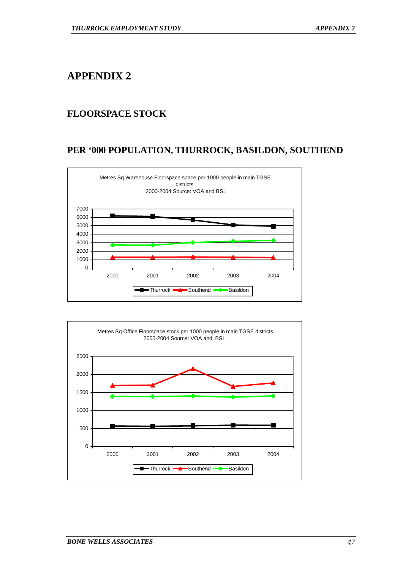# **FLOORSPACE STOCK**

# **PER '000 POPULATION, THURROCK, BASILDON, SOUTHEND**



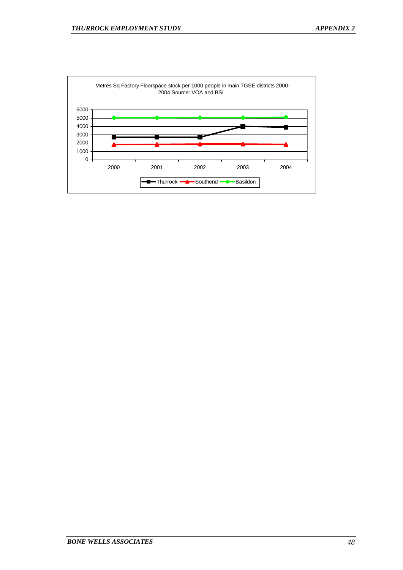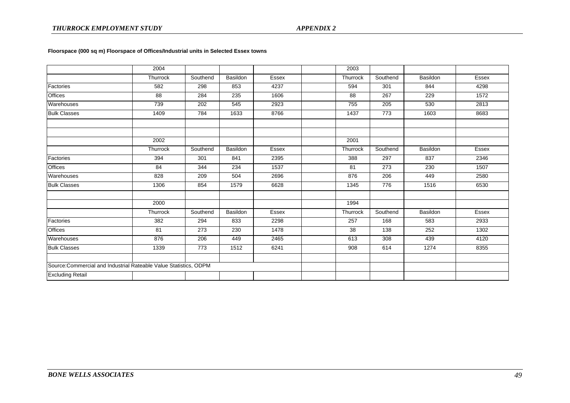|                                                                   | 2004     |          |          |              | 2003     |          |          |              |
|-------------------------------------------------------------------|----------|----------|----------|--------------|----------|----------|----------|--------------|
|                                                                   | Thurrock | Southend | Basildon | Essex        | Thurrock | Southend | Basildon | <b>Essex</b> |
| Factories                                                         | 582      | 298      | 853      | 4237         | 594      | 301      | 844      | 4298         |
| <b>Offices</b>                                                    | 88       | 284      | 235      | 1606         | 88       | 267      | 229      | 1572         |
| Warehouses                                                        | 739      | 202      | 545      | 2923         | 755      | 205      | 530      | 2813         |
| <b>Bulk Classes</b>                                               | 1409     | 784      | 1633     | 8766         | 1437     | 773      | 1603     | 8683         |
|                                                                   |          |          |          |              |          |          |          |              |
|                                                                   |          |          |          |              |          |          |          |              |
|                                                                   | 2002     |          |          |              | 2001     |          |          |              |
|                                                                   | Thurrock | Southend | Basildon | <b>Essex</b> | Thurrock | Southend | Basildon | <b>Essex</b> |
| Factories                                                         | 394      | 301      | 841      | 2395         | 388      | 297      | 837      | 2346         |
| Offices                                                           | 84       | 344      | 234      | 1537         | 81       | 273      | 230      | 1507         |
| Warehouses                                                        | 828      | 209      | 504      | 2696         | 876      | 206      | 449      | 2580         |
| <b>Bulk Classes</b>                                               | 1306     | 854      | 1579     | 6628         | 1345     | 776      | 1516     | 6530         |
|                                                                   |          |          |          |              |          |          |          |              |
|                                                                   | 2000     |          |          |              | 1994     |          |          |              |
|                                                                   | Thurrock | Southend | Basildon | Essex        | Thurrock | Southend | Basildon | Essex        |
| Factories                                                         | 382      | 294      | 833      | 2298         | 257      | 168      | 583      | 2933         |
| <b>Offices</b>                                                    | 81       | 273      | 230      | 1478         | 38       | 138      | 252      | 1302         |
| Warehouses                                                        | 876      | 206      | 449      | 2465         | 613      | 308      | 439      | 4120         |
| <b>Bulk Classes</b>                                               | 1339     | 773      | 1512     | 6241         | 908      | 614      | 1274     | 8355         |
|                                                                   |          |          |          |              |          |          |          |              |
| Source: Commercial and Industrial Rateable Value Statistics, ODPM |          |          |          |              |          |          |          |              |
| <b>Excluding Retail</b>                                           |          |          |          |              |          |          |          |              |

#### **Floorspace (000 sq m) Floorspace of Offices/Industrial units in Selected Essex towns**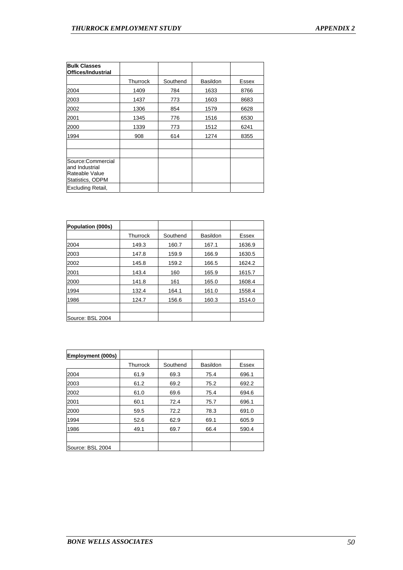| <b>Bulk Classes</b><br>Offices/Industrial                                 |          |          |          |       |
|---------------------------------------------------------------------------|----------|----------|----------|-------|
|                                                                           | Thurrock | Southend | Basildon | Essex |
| 2004                                                                      | 1409     | 784      | 1633     | 8766  |
| 2003                                                                      | 1437     | 773      | 1603     | 8683  |
| 2002                                                                      | 1306     | 854      | 1579     | 6628  |
| 2001                                                                      | 1345     | 776      | 1516     | 6530  |
| 2000                                                                      | 1339     | 773      | 1512     | 6241  |
| 1994                                                                      | 908      | 614      | 1274     | 8355  |
|                                                                           |          |          |          |       |
| Source:Commercial<br>and Industrial<br>Rateable Value<br>Statistics, ODPM |          |          |          |       |
| Excluding Retail,                                                         |          |          |          |       |

| Population (000s) |          |          |                 |        |
|-------------------|----------|----------|-----------------|--------|
|                   | Thurrock | Southend | <b>Basildon</b> | Essex  |
| 2004              | 149.3    | 160.7    | 167.1           | 1636.9 |
| 2003              | 147.8    | 159.9    | 166.9           | 1630.5 |
| 2002              | 145.8    | 159.2    | 166.5           | 1624.2 |
| 2001              | 143.4    | 160      | 165.9           | 1615.7 |
| 2000              | 141.8    | 161      | 165.0           | 1608.4 |
| 1994              | 132.4    | 164.1    | 161.0           | 1558.4 |
| 1986              | 124.7    | 156.6    | 160.3           | 1514.0 |
|                   |          |          |                 |        |
| Source: BSL 2004  |          |          |                 |        |

| Employment (000s) |          |          |                 |       |
|-------------------|----------|----------|-----------------|-------|
|                   | Thurrock | Southend | <b>Basildon</b> | Essex |
| 2004              | 61.9     | 69.3     | 75.4            | 696.1 |
| 2003              | 61.2     | 69.2     | 75.2            | 692.2 |
| 2002              | 61.0     | 69.6     | 75.4            | 694.6 |
| 2001              | 60.1     | 72.4     | 75.7            | 696.1 |
| 2000              | 59.5     | 72.2     | 78.3            | 691.0 |
| 1994              | 52.6     | 62.9     | 69.1            | 605.9 |
| 1986              | 49.1     | 69.7     | 66.4            | 590.4 |
|                   |          |          |                 |       |
| Source: BSL 2004  |          |          |                 |       |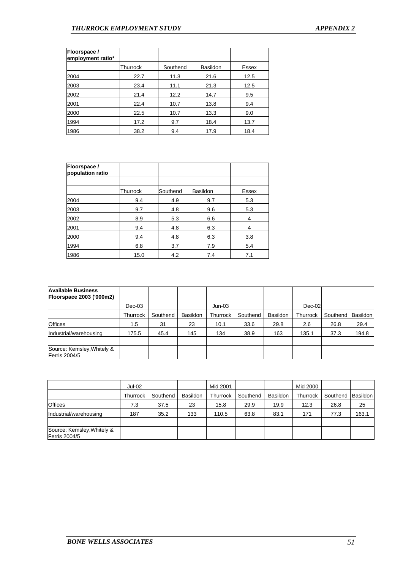| Floorspace /<br>employment ratio* |          |          |                 |       |
|-----------------------------------|----------|----------|-----------------|-------|
|                                   | Thurrock | Southend | <b>Basildon</b> | Essex |
| 2004                              | 22.7     | 11.3     | 21.6            | 12.5  |
| 2003                              | 23.4     | 11.1     | 21.3            | 12.5  |
| 2002                              | 21.4     | 12.2     | 14.7            | 9.5   |
| 2001                              | 22.4     | 10.7     | 13.8            | 9.4   |
| 2000                              | 22.5     | 10.7     | 13.3            | 9.0   |
| 1994                              | 17.2     | 9.7      | 18.4            | 13.7  |
| 1986                              | 38.2     | 9.4      | 17.9            | 18.4  |

| Floorspace /<br>population ratio |          |          |          |       |
|----------------------------------|----------|----------|----------|-------|
|                                  |          |          |          |       |
|                                  | Thurrock | Southend | Basildon | Essex |
| 2004                             | 9.4      | 4.9      | 9.7      | 5.3   |
| 2003                             | 9.7      | 4.8      | 9.6      | 5.3   |
| 2002                             | 8.9      | 5.3      | 6.6      | 4     |
| 2001                             | 9.4      | 4.8      | 6.3      | 4     |
| 2000                             | 9.4      | 4.8      | 6.3      | 3.8   |
| 1994                             | 6.8      | 3.7      | 7.9      | 5.4   |
| 1986                             | 15.0     | 4.2      | 7.4      | 7.1   |

| <b>Available Business</b><br><b>Floorspace 2003 ('000m2)</b> |               |          |                 |          |          |          |          |          |          |
|--------------------------------------------------------------|---------------|----------|-----------------|----------|----------|----------|----------|----------|----------|
|                                                              | $Dec-03$      |          |                 | $Jun-03$ |          |          | Dec-02   |          |          |
|                                                              | Thurrock      | Southend | <b>Basildon</b> | Thurrock | Southend | Basildon | Thurrock | Southend | Basildon |
| <b>Offices</b>                                               | $1.5^{\circ}$ | 31       | 23              | 10.1     | 33.6     | 29.8     | 2.6      | 26.8     | 29.4     |
| Industrial/warehousing                                       | 175.5         | 45.4     | 145             | 134      | 38.9     | 163      | 135.1    | 37.3     | 194.8    |
| Source: Kemsley, Whitely &<br>Ferris 2004/5                  |               |          |                 |          |          |          |          |          |          |

|                                             | Jul-02   |          |          | Mid 2001 |          |          | Mid 2000 |          |                 |
|---------------------------------------------|----------|----------|----------|----------|----------|----------|----------|----------|-----------------|
|                                             | Thurrock | Southend | Basildon | Thurrock | Southend | Basildon | Thurrock | Southend | <b>Basildon</b> |
| <b>Offices</b>                              | 7.3      | 37.5     | 23       | 15.8     | 29.9     | 19.9     | 12.3     | 26.8     | 25              |
| Industrial/warehousing                      | 187      | 35.2     | 133      | 110.5    | 63.8     | 83.1     | 171      | 77.3     | 163.1           |
| Source: Kemsley, Whitely &<br>Ferris 2004/5 |          |          |          |          |          |          |          |          |                 |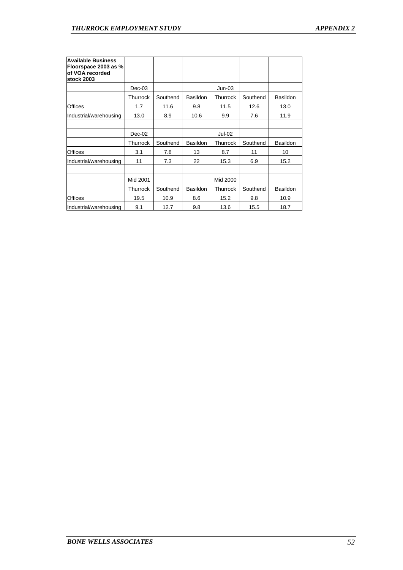| <b>Available Business</b><br>Floorspace 2003 as %<br>of VOA recorded<br>stock 2003 |          |          |                 |          |          |          |
|------------------------------------------------------------------------------------|----------|----------|-----------------|----------|----------|----------|
|                                                                                    | $Dec-03$ |          |                 | $Jun-03$ |          |          |
|                                                                                    | Thurrock | Southend | <b>Basildon</b> | Thurrock | Southend | Basildon |
| <b>Offices</b>                                                                     | 1.7      | 11.6     | 9.8             | 11.5     | 12.6     | 13.0     |
| Industrial/warehousing                                                             | 13.0     | 8.9      | 10.6            | 9.9      | 7.6      | 11.9     |
|                                                                                    |          |          |                 |          |          |          |
|                                                                                    | $Dec-02$ |          |                 | Jul-02   |          |          |
|                                                                                    | Thurrock | Southend | Basildon        | Thurrock | Southend | Basildon |
| <b>Offices</b>                                                                     | 3.1      | 7.8      | 13              | 8.7      | 11       | 10       |
| Industrial/warehousing                                                             | 11       | 7.3      | 22              | 15.3     | 6.9      | 15.2     |
|                                                                                    |          |          |                 |          |          |          |
|                                                                                    | Mid 2001 |          |                 | Mid 2000 |          |          |
|                                                                                    | Thurrock | Southend | Basildon        | Thurrock | Southend | Basildon |
| Offices                                                                            | 19.5     | 10.9     | 8.6             | 15.2     | 9.8      | 10.9     |
| Industrial/warehousing                                                             | 9.1      | 12.7     | 9.8             | 13.6     | 15.5     | 18.7     |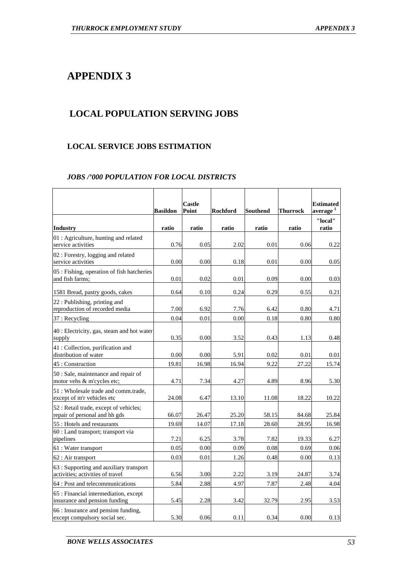# **LOCAL POPULATION SERVING JOBS**

# **LOCAL SERVICE JOBS ESTIMATION**

# *JOBS /'000 POPULATION FOR LOCAL DISTRICTS*

|                                                                             |                          | Castle         |                          |                          |                          | <b>Estimated</b>                         |
|-----------------------------------------------------------------------------|--------------------------|----------------|--------------------------|--------------------------|--------------------------|------------------------------------------|
| <b>Industry</b>                                                             | <b>Basildon</b><br>ratio | Point<br>ratio | <b>Rochford</b><br>ratio | <b>Southend</b><br>ratio | <b>Thurrock</b><br>ratio | average <sup>1</sup><br>"local"<br>ratio |
| 01 : Agriculture, hunting and related<br>service activities                 | 0.76                     | 0.05           | 2.02                     | 0.01                     | 0.06                     | 0.22                                     |
| 02 : Forestry, logging and related<br>service activities                    | 0.00                     | 0.00           | 0.18                     | 0.01                     | 0.00                     | 0.05                                     |
| 05 : Fishing, operation of fish hatcheries<br>and fish farms:               | 0.01                     | 0.02           | 0.01                     | 0.09                     | 0.00                     | 0.03                                     |
| 1581 Bread, pastry goods, cakes                                             | 0.64                     | 0.10           | 0.24                     | 0.29                     | 0.55                     | 0.21                                     |
| 22 : Publishing, printing and<br>reproduction of recorded media             | 7.00                     | 6.92           | 7.76                     | 6.42                     | 0.80                     | 4.71                                     |
| 37 : Recycling                                                              | 0.04                     | 0.01           | 0.00                     | 0.18                     | 0.80                     | 0.80                                     |
| 40 : Electricity, gas, steam and hot water<br>supply                        | 0.35                     | 0.00           | 3.52                     | 0.43                     | 1.13                     | 0.48                                     |
| 41 : Collection, purification and<br>distribution of water                  | 0.00                     | 0.00           | 5.91                     | 0.02                     | 0.01                     | 0.01                                     |
| 45 : Construction                                                           | 19.81                    | 16.98          | 16.94                    | 9.22                     | 27.22                    | 15.74                                    |
| 50 : Sale, maintenance and repair of<br>motor vehs & m'cycles etc;          | 4.71                     | 7.34           | 4.27                     | 4.89                     | 8.96                     | 5.30                                     |
| 51 : Wholesale trade and comm.trade,<br>except of m'r vehicles etc          | 24.08                    | 6.47           | 13.10                    | 11.08                    | 18.22                    | 10.22                                    |
| 52 : Retail trade, except of vehicles;<br>repair of personal and hh gds     | 66.07                    | 26.47          | 25.20                    | 58.15                    | 84.68                    | 25.84                                    |
| 55 : Hotels and restaurants                                                 | 19.69                    | 14.07          | 17.18                    | 28.60                    | 28.95                    | 16.98                                    |
| 60 : Land transport; transport via<br>pipelines                             | 7.21                     | 6.25           | 3.78                     | 7.82                     | 19.33                    | 6.27                                     |
| 61 : Water transport                                                        | 0.05                     | 0.00           | 0.09                     | 0.08                     | 0.69                     | 0.06                                     |
| 62 : Air transport                                                          | 0.03                     | 0.01           | 1.26                     | 0.48                     | 0.00                     | 0.13                                     |
| 63 : Supporting and auxiliary transport<br>activities; activities of travel | 6.56                     | 3.00           | 2.22                     | 3.19                     | 24.87                    | 3.74                                     |
| 64 : Post and telecommunications                                            | 5.84                     | 2.88           | 4.97                     | 7.87                     | 2.48                     | 4.04                                     |
| 65 : Financial intermediation, except<br>insurance and pension funding      | 5.45                     | 2.28           | 3.42                     | 32.79                    | 2.95                     | 3.53                                     |
| 66 : Insurance and pension funding,<br>except compulsory social sec.        | 5.30                     | 0.06           | 0.11                     | 0.34                     | 0.00                     | 0.13                                     |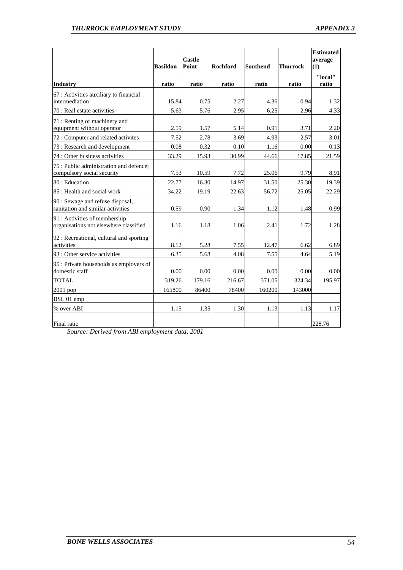|                                                                         | <b>Basildon</b> | <b>Castle</b><br>Point | <b>Rochford</b> | <b>Southend</b> | <b>Thurrock</b> | <b>Estimated</b><br>average<br>(1) |
|-------------------------------------------------------------------------|-----------------|------------------------|-----------------|-----------------|-----------------|------------------------------------|
| <b>Industry</b>                                                         | ratio           | ratio                  | ratio           | ratio           | ratio           | "local"<br>ratio                   |
| 67 : Activities auxiliary to financial<br>lintermediation               | 15.84           | 0.75                   | 2.27            | 4.36            | 0.94            | 1.32                               |
| 70 : Real estate activities                                             | 5.63            | 5.76                   | 2.95            | 6.25            | 2.96            | 4.33                               |
| 71 : Renting of machinery and<br>equipment without operator             | 2.59            | 1.57                   | 5.14            | 0.91            | 3.71            | 2.20                               |
| 72 : Computer and related activites                                     | 7.52            | 2.78                   | 3.69            | 4.93            | 2.57            | 3.01                               |
| 73 : Research and development                                           | 0.08            | 0.32                   | 0.10            | 1.16            | 0.00            | 0.13                               |
| 74 : Other business activities                                          | 33.29           | 15.93                  | 30.99           | 44.66           | 17.85           | 21.59                              |
| 75 : Public administration and defence;<br>compulsory social security   | 7.53            | 10.59                  | 7.72            | 25.06           | 9.79            | 8.91                               |
| 80 : Education                                                          | 22.77           | 16.30                  | 14.97           | 31.50           | 25.30           | 19.39                              |
| 85 : Health and social work                                             | 34.22           | 19.19                  | 22.63           | 56.72           | 25.05           | 22.29                              |
| 90 : Sewage and refuse disposal,<br>sanitation and similar activities   | 0.59            | 0.90                   | 1.34            | 1.12            | 1.48            | 0.99                               |
| 91 : Activities of membership<br>organisations not elsewhere classified | 1.16            | 1.18                   | 1.06            | 2.41            | 1.72            | 1.28                               |
| 92 : Recreational, cultural and sporting<br>activities                  | 8.12            | 5.28                   | 7.55            | 12.47           | 6.62            | 6.89                               |
| 93 : Other service activities                                           | 6.35            | 5.68                   | 4.08            | 7.55            | 4.64            | 5.19                               |
| 95 : Private households as employers of<br>domestic staff               | 0.00            | 0.00                   | 0.00            | 0.00            | 0.00            | 0.00                               |
| <b>TOTAL</b>                                                            | 319.26          | 179.16                 | 216.67          | 371.05          | 324.34          | 195.97                             |
| $2001$ pop                                                              | 165800          | 86400                  | 78400           | 160200          | 143000          |                                    |
| BSL 01 emp                                                              |                 |                        |                 |                 |                 |                                    |
| % over ABI                                                              | 1.15            | 1.35                   | 1.30            | 1.13            | 1.13            | 1.17                               |
| Final ratio                                                             |                 |                        |                 |                 |                 | 228.76                             |

*Source: Derived from ABI employment data, 2001*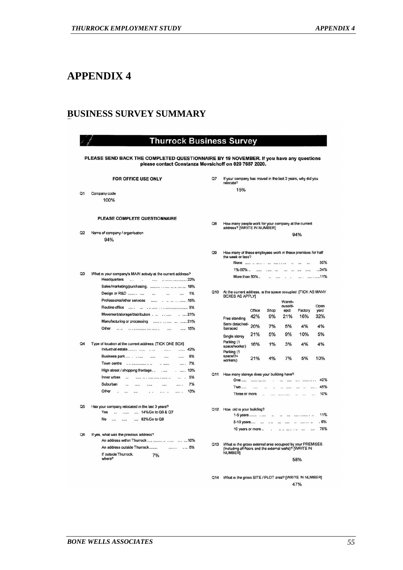# **BUSINESS SURVEY SUMMARY**

|                | <b>Thurrock Business Survey</b>                                                                                                                 |                 |                                                                                                                       |
|----------------|-------------------------------------------------------------------------------------------------------------------------------------------------|-----------------|-----------------------------------------------------------------------------------------------------------------------|
|                | PLEASE SEND BACK THE COMPLETED QUESTIONNAIRE BY 19 NOVEMBER. If you have any questions<br>please contact Constanza Movsichoff on 020 7687 2020. |                 |                                                                                                                       |
|                | FOR OFFICE USE ONLY                                                                                                                             | Q7              | If your company has moved in the last 3 years, why did you<br>relocate?                                               |
|                |                                                                                                                                                 |                 | 15%                                                                                                                   |
| Q1             | Company code<br>100%                                                                                                                            |                 |                                                                                                                       |
|                |                                                                                                                                                 |                 |                                                                                                                       |
|                | PLEASE COMPLETE QUESTIONNAIRE                                                                                                                   | Q8              |                                                                                                                       |
|                |                                                                                                                                                 |                 | How many people work for your company at the current<br>address? [WRITE IN NUMBER]                                    |
| Q2             | Name of company / organisation                                                                                                                  |                 | 94%                                                                                                                   |
|                | 94%                                                                                                                                             |                 |                                                                                                                       |
|                |                                                                                                                                                 | Q9              | How many of these employees work in these premises for half<br>the week or less?                                      |
|                |                                                                                                                                                 |                 | None<br>50%<br>$\cdots$                                                                                               |
|                |                                                                                                                                                 |                 | 1%-50%<br>34%<br><br>$-166$<br>                                                                                       |
| Q <sub>3</sub> | What is your company's MAIN activity at the current address?<br>Headquarters<br>. 22%<br>$\cdots$<br>on a<br>1.111                              |                 | More than 50%<br>11%<br><br>                                                                                          |
|                | Sales/marketing/purchasing.     18%                                                                                                             |                 |                                                                                                                       |
|                | 1%<br>Design or R&D<br>25.00                                                                                                                    | O10             | At the current address, is the space occupied [TICK AS MANY                                                           |
|                | Professional/other services<br>15%<br>                                                                                                          |                 | <b>BOXES AS APPLY]</b><br>Wareh-                                                                                      |
|                | Routine office                                                                                                                                  |                 | ouse/d-<br>Open                                                                                                       |
|                | Movement/storage/distribution<br>$. \dots 21\%$                                                                                                 |                 | Office<br>Shop<br>epot<br>Factory<br>yard<br>21%<br>16%                                                               |
|                | Manufacturing or processing                                                                                                                     |                 | 42%<br>9%<br>32%<br>Free standing                                                                                     |
|                | Other<br>15%<br><br>-----------------------<br>in a                                                                                             |                 | Semi detached-<br>20%<br>7%<br>4%<br>4%<br>5%<br>herraced                                                             |
|                |                                                                                                                                                 |                 | 21%<br>5%<br>9%<br>10%<br>5%<br>Single storey                                                                         |
| O <sub>4</sub> | Type of location at the current address: [TICK ONE BOX]                                                                                         |                 | Parking (1<br>16%<br>1%<br>3%<br>4%<br>4%                                                                             |
|                | Industrial estate<br>42%<br><br>                                                                                                                |                 | space/worker)<br>Parking (1                                                                                           |
|                | Business park<br>8%<br>$\cdots$<br>$\cdots$<br>$\cdots$                                                                                         |                 | space/2+<br>21%<br>4%<br>7%<br>5%<br>10%                                                                              |
|                | Town centre<br>7%<br>$-$                                                                                                                        |                 | workers)                                                                                                              |
|                | High street / shopping frontage<br>13%<br>$\cdots$<br>$\overline{a}$                                                                            |                 |                                                                                                                       |
|                | Inner urban<br>5%<br>œ<br>----- -- + ----- ---- - ---- --<br>w                                                                                  | Q11             | How many storeys does your building have?                                                                             |
|                | Suburban<br>7%                                                                                                                                  |                 | 42%<br>One<br><br>$\cdots$<br><br><br>                                                                                |
|                | Other<br>13%<br><br><br><br><br>$\sim$                                                                                                          |                 | 45%<br><b>Two</b><br>$\cdots$<br>1111<br>11111<br>$\cdots$<br><b>Sec</b>                                              |
|                |                                                                                                                                                 |                 | 10%<br>Three or more.<br>$\sim$<br>$\cdots$<br><b>CONTRACTOR</b><br>$\overline{a}$<br>$\overline{a}$<br>$\mathbf{r}$  |
| Q5             | Has your company relocated in the last 3 years?                                                                                                 |                 |                                                                                                                       |
|                | Yes<br>14% Go to Q6 & Q7<br>$\overline{a}$<br>******<br><b>Sales</b>                                                                            |                 | Q12 How old is your building?<br>11%                                                                                  |
|                | No<br>82% Go to Q8<br>$\cdots$<br>                                                                                                              |                 | 1-5 years<br>à.<br>$\overline{\phantom{a}}$                                                                           |
|                |                                                                                                                                                 |                 | .6%<br>5-10 years<br>$\ddot{\phantom{a}}$<br>$+14$                                                                    |
| Q6             | If yes, what was the previous address?                                                                                                          |                 | 78%<br>10 years or more<br>1111<br>$14.44 - 14.4$ $1.44$<br>$\cdots$                                                  |
|                | An address within Thurrock     10%                                                                                                              |                 |                                                                                                                       |
|                | An address outside Thurrock<br>. 6%<br>$\cdots$                                                                                                 | Q <sub>13</sub> | What is the gross external area occupied by your PREMISES<br>(including all floors and the external walls)? [WRITE IN |
|                | If outside Thurrock,<br>7%                                                                                                                      |                 | NUMBER]                                                                                                               |
|                | where?                                                                                                                                          |                 | 58%                                                                                                                   |

Q14 What is the gross SITE / PLOT area? [WRITE IN NUMBER] 47%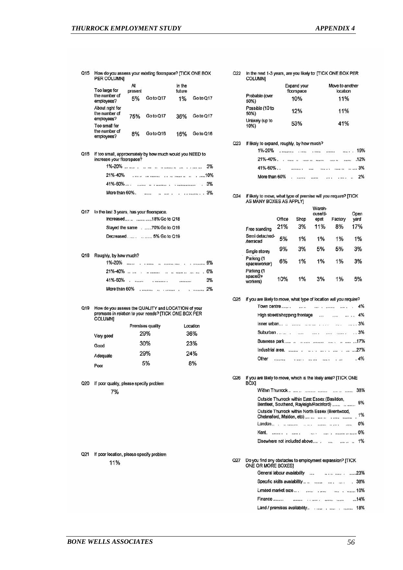| Q <sub>15</sub> | How do you assess your existing floorspace? [TICK ONE BOX<br>PER COLUMNI |                     |           |                        |           |  |
|-----------------|--------------------------------------------------------------------------|---------------------|-----------|------------------------|-----------|--|
|                 | Too large for<br>the number of<br>employees?                             | At<br>present<br>5% | Go to Q17 | In the<br>future<br>1% | Go to Q17 |  |
|                 | About right for<br>the number of<br>employees?                           | 75%                 | Go to Q17 | 36%                    | Go to Q17 |  |
|                 | Too small for<br>the number of<br>employees?                             | 8%                  | Go to Q16 | 16%                    | Go to Q16 |  |

Q16 If too small, approxmately by how much would you NEED to increase your floorspace? 

# 

# Q17 In the last 3 years, has your floorspace.

| Increased    18% Go to Q18   |
|------------------------------|
| Stayed the same70% Go to Q19 |
|                              |

Q18 Roughly, by how much?

| 1%-20%        |                          |  |                            |          |  |    |
|---------------|--------------------------|--|----------------------------|----------|--|----|
| $21\% - 40\%$ | $\overline{\phantom{a}}$ |  | considerate that as seemed |          |  | 6% |
|               |                          |  |                            | 58265563 |  | 3% |
| More than 60% |                          |  |                            |          |  |    |

# Q19 How do you assess the QUALITY and LOCATION of your premises in relation to your needs? [TICK ONE BOX PER<br>COLUMN]

|           | Premises quality | Location |
|-----------|------------------|----------|
| Very good | 29%              | 36%      |
| Good      | 30%              | 23%      |
| Adequate  | 29%              | 24%      |
| Poor      | 5%               | 8%       |

Q20 If poor quality, please specify problem 7%

#### Q21 If poor location, please specify problem 11%

#### Q22 In the next 1-3 years, are you likely to [TICK ONE BOX PER **COLUMNI**

|                         | Expand your<br>floorspace | Move to another<br>location |
|-------------------------|---------------------------|-----------------------------|
| Probable (over<br>50%)  | 10%                       | 11%                         |
| Possible (10 to<br>50%) | 12%                       | 11%                         |
| Unlikely (up to<br>10%) | 53%                       | 41%                         |

#### Q23 If likely to expand, roughly, by how much?

|               |  | $\ldots$ . 19% |
|---------------|--|----------------|
|               |  | ALTRES LINE    |
| 41%-60%       |  |                |
| More than 60% |  | .    2%        |

# Q24 If likely to move, what type of premise will you require? [TICK<br>AS MANY BOXES AS APPLY]

| Free standing                      | Office<br>21% | Shop<br>3% | Wareh-<br>ouse/d-<br>epot<br>11% | Factory<br>8% | Open<br>vard<br>17% |
|------------------------------------|---------------|------------|----------------------------------|---------------|---------------------|
| Semi detached-<br>/terraced        | 5%            | 1%         | 1%                               | 1%            | 1%                  |
| Single storey                      | 9%            | 3%         | 5%                               | 5%            | 3%                  |
| Parking (1<br>space/worker)        | 6%            | 1%         | 1%                               | 1%            | 3%                  |
| Parking (1<br>space/2+<br>workers) | 10%           | 1%         | 3%                               | 1%            | 5%                  |

#### Q25 If you are likely to move, what type of location will you require?

| Town centre                   |                                                          |              | 4%<br>傡       |
|-------------------------------|----------------------------------------------------------|--------------|---------------|
| High street/shopping frontage | ****                                                     |              | 4%            |
| inner urban<br>-22            | <br>$\overline{a}$ and $\overline{a}$ and $\overline{a}$ | $\mathbf{a}$ | $\ldots$ . 3% |
|                               |                                                          |              | . .3%         |
|                               |                                                          |              | 17%           |
| Industrial area.              |                                                          |              |               |
| Other                         |                                                          |              | 4%            |

#### If you are likely to move, which is the likely area? [TICK ONE<br>BOXI Q26

| ורשכ |                                                                                                                                                                                                                                                                                                                                                                                                                                                                                         |       |
|------|-----------------------------------------------------------------------------------------------------------------------------------------------------------------------------------------------------------------------------------------------------------------------------------------------------------------------------------------------------------------------------------------------------------------------------------------------------------------------------------------|-------|
|      |                                                                                                                                                                                                                                                                                                                                                                                                                                                                                         | 38%   |
|      | Outside Thurrock within East Essex (Basildon,<br>Benfleet, Southend, Rayleigh/Rochford)                                                                                                                                                                                                                                                                                                                                                                                                 | 5%    |
|      | Outside Thurrock within North Essex (Brentwood,<br>Chelmsford, Maldon, etc)                                                                                                                                                                                                                                                                                                                                                                                                             | 1%    |
|      |                                                                                                                                                                                                                                                                                                                                                                                                                                                                                         | 0%    |
|      | Kent.<br>$\label{eq:1} \mathcal{L}_{\mathcal{A}}(\mathbf{x},t) = \mathcal{L}_{\mathcal{A}}(\mathbf{x},t) + \mathcal{L}_{\mathcal{A}}(\mathbf{x},t) + \mathcal{L}_{\mathcal{A}}(\mathbf{x},t) + \mathcal{L}_{\mathcal{A}}(\mathbf{x},t) + \mathcal{L}_{\mathcal{A}}(\mathbf{x},t) + \mathcal{L}_{\mathcal{A}}(\mathbf{x},t) + \mathcal{L}_{\mathcal{A}}(\mathbf{x},t) + \mathcal{L}_{\mathcal{A}}(\mathbf{x},t) + \mathcal{L}_{\mathcal{A}}(\mathbf{x},t) + \mathcal{L}_{\mathcal{A}}(\$ | $O\%$ |
|      | Elsewhere not included above                                                                                                                                                                                                                                                                                                                                                                                                                                                            | 1%    |
|      |                                                                                                                                                                                                                                                                                                                                                                                                                                                                                         |       |

#### Q27 Do you find any obstacles to employment expansion? [TICK<br>ONE OR MORE BOXES] General labour availability ....

| - 한 번에 2012년 10월 20일 : 10월 10일 : 10월 20일 : 10월 20일 : 10월 20일 : 10월 20일 : 10월 20일 : 10월 20일 : 10월 20일 |                 | TO A LAT FRONT WAS CONTROLLED FOR THE ART AND CONTROLLED A |
|------------------------------------------------------------------------------------------------------|-----------------|------------------------------------------------------------|
|                                                                                                      |                 | 38%<br>1.1.1                                               |
|                                                                                                      |                 | $\cdots$ . $\cdots$ 10%                                    |
| Finance                                                                                              | ファンドスティル いいこうこう | 14%                                                        |
| Land / premises availability                                                                         |                 | 18%                                                        |
|                                                                                                      |                 |                                                            |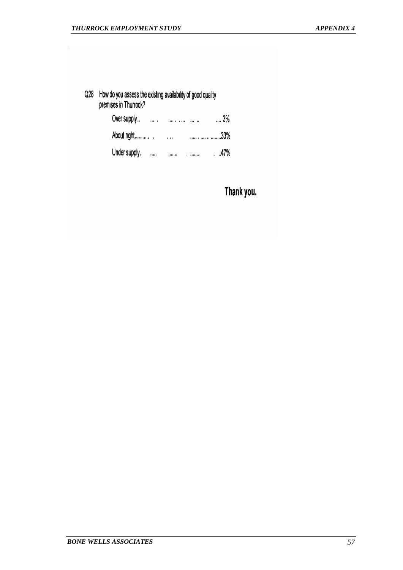Q28 How do you assess the existing availability of good quality premises in Thurrock?

| Over supply   | $\cdots$ |         | <br>3% |
|---------------|----------|---------|--------|
| About right   |          | $1 + 1$ | 33%    |
| Under supply. |          |         | .47%   |

Thank you.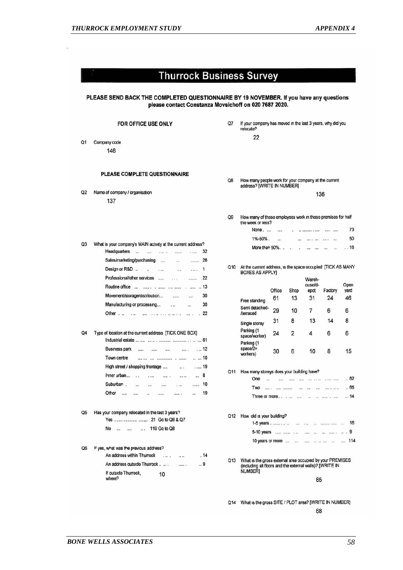|    | <b>Thurrock Business Survey</b>                                                                                                                 |                |                                                                                    |                                                                                                                         |                  |                                        |                                  |        |
|----|-------------------------------------------------------------------------------------------------------------------------------------------------|----------------|------------------------------------------------------------------------------------|-------------------------------------------------------------------------------------------------------------------------|------------------|----------------------------------------|----------------------------------|--------|
|    | PLEASE SEND BACK THE COMPLETED QUESTIONNAIRE BY 19 NOVEMBER. If you have any questions<br>please contact Constanza Movsichoff on 020 7687 2020. |                |                                                                                    |                                                                                                                         |                  |                                        |                                  |        |
|    | FOR OFFICE USE ONLY                                                                                                                             | Q7             | If your company has moved in the last 3 years, why did you<br>relocate?            |                                                                                                                         |                  |                                        |                                  |        |
|    |                                                                                                                                                 |                | 22                                                                                 |                                                                                                                         |                  |                                        |                                  |        |
| Q1 | Company code                                                                                                                                    |                |                                                                                    |                                                                                                                         |                  |                                        |                                  |        |
|    | 146                                                                                                                                             |                |                                                                                    |                                                                                                                         |                  |                                        |                                  |        |
|    | <b>PLEASE COMPLETE QUESTIONNAIRE</b>                                                                                                            | Q8             | How many people work for your company at the current<br>address? [WRITE IN NUMBER] |                                                                                                                         |                  |                                        |                                  |        |
| Q2 | Name of company / organisation                                                                                                                  |                |                                                                                    |                                                                                                                         |                  |                                        | 136                              |        |
|    | 137                                                                                                                                             |                |                                                                                    |                                                                                                                         |                  |                                        |                                  |        |
|    |                                                                                                                                                 |                |                                                                                    |                                                                                                                         |                  |                                        |                                  |        |
|    |                                                                                                                                                 | Q <sub>9</sub> | How many of these employees work in these premises for half<br>the week or less?   |                                                                                                                         |                  |                                        |                                  |        |
|    |                                                                                                                                                 |                | None.                                                                              |                                                                                                                         |                  |                                        |                                  | 73     |
| Q3 | What is your company's MAIN activity at the current address?                                                                                    |                | $1\% - 50\%$ .                                                                     | $\mathbf{r}$                                                                                                            |                  |                                        |                                  | 50     |
|    | Headquarters<br>32<br>$\sim$<br>$\cdots$<br>$\cdots$<br>$\cdots$<br>                                                                            |                | More than 50%                                                                      |                                                                                                                         | CHO.<br>$\alpha$ | $\cdots$<br>                           | $\cdots$<br>$\ddot{\phantom{1}}$ | . . 16 |
|    | Sales/marketing/purchasing<br>26<br>$\cdots$<br>$\cdots$<br>                                                                                    |                |                                                                                    |                                                                                                                         |                  |                                        |                                  |        |
|    | Design or R&D.<br>1<br>$\sim$<br>$\mathcal{L}$<br>1.111<br>                                                                                     | Q10            | At the current address, is the space occupied [TICK AS MANY                        |                                                                                                                         |                  |                                        |                                  |        |
|    | Professional/other services<br>22<br><br><br>1.11                                                                                               |                | <b>BOXES AS APPLY]</b>                                                             |                                                                                                                         |                  |                                        |                                  |        |
|    | Routine office<br>.   13                                                                                                                        |                |                                                                                    |                                                                                                                         |                  | Wareh-<br>ouse/d-                      |                                  | Open   |
|    | Movement/storage/distribution<br>30<br><br>$\cdots$                                                                                             |                |                                                                                    | Office                                                                                                                  | Shop             | epot                                   | Factory                          | yard   |
|    | Manufacturing or processing<br>30<br>car.<br>m.                                                                                                 |                | Free standing                                                                      | 61                                                                                                                      | 13               | 31                                     | 24                               | 46     |
|    | 22<br>$\cdots$ .                                                                                                                                |                | Semi detached-<br><b>/terraced</b>                                                 | 29                                                                                                                      | 10               | 7                                      | 6                                | 6      |
|    |                                                                                                                                                 |                |                                                                                    | 31                                                                                                                      | 8                | 13                                     | 14                               | 8      |
|    |                                                                                                                                                 |                | Single storey<br>Parking (1                                                        |                                                                                                                         |                  |                                        |                                  |        |
| Q4 | Type of location at the current address [TICK ONE BOX]                                                                                          |                | space/worker)                                                                      | 24                                                                                                                      | 2                | 4                                      | 6                                | 6      |
|    | <b>Business park</b><br>$\dots$ 12<br>$\cdots$                                                                                                  |                | Parking (1<br>$space/2+$                                                           |                                                                                                                         |                  |                                        |                                  |        |
|    | 111111<br>$-1111$<br><br>Town centre<br>10                                                                                                      |                | workers)                                                                           | 30                                                                                                                      | 6                | 10                                     | 8                                | 15     |
|    |                                                                                                                                                 |                |                                                                                    |                                                                                                                         |                  |                                        |                                  |        |
|    | High street / shopping frontage<br>. 19<br>an e<br>Inner urban<br>8                                                                             |                | Q11 How many storeys does your building have?                                      |                                                                                                                         |                  |                                        |                                  |        |
|    | i.<br><br>$\ddotsc$<br>.<br><br>Suburban.<br>10                                                                                                 |                | One<br>$\dddotsc$                                                                  |                                                                                                                         | $\cdots$         | $122 - 122$                            | .                                | .62    |
|    | <br>1111<br><br>$***$<br>19                                                                                                                     |                | Two                                                                                | $\label{eq:1} \text{max} \left( \mathcal{L} \right) = \left( \text{max} \right) \left( \text{max}(\mathcal{L}) \right)$ | $\cdots$         | $-0.005$<br>$\cdots$                   | ------                           | 65     |
|    | Other<br>$\cdots$<br><br><br><br>$\cdots$<br>$\ddotsc$                                                                                          |                | Three or more                                                                      |                                                                                                                         |                  |                                        | an compare or compa-             | 14     |
| Q5 |                                                                                                                                                 |                |                                                                                    |                                                                                                                         |                  |                                        |                                  |        |
|    | Has your company relocated in the last 3 years?<br>Yes   21 Go to Q6 & Q7                                                                       | Q12            | How old is your building?                                                          |                                                                                                                         |                  |                                        |                                  |        |
|    | 119 Go to Q8<br>No<br>$\cdots$<br>$\cdots$                                                                                                      |                | 1-5 years $\dots \dots \dots$                                                      |                                                                                                                         |                  |                                        | 16                               |        |
|    |                                                                                                                                                 |                | 5-10 years                                                                         |                                                                                                                         |                  | $\ddot{\phantom{a}}$<br><b>ARRA</b> 11 | and concerns.                    | 9      |
|    |                                                                                                                                                 |                | 10 years or more                                                                   |                                                                                                                         | $\cdots$         | <br>                                   | $\mathbf{r}$                     | 114    |
| Q6 | If yes, what was the previous address?<br>An address within Thurrock<br>. 14<br>والمعاد<br>10.34                                                |                |                                                                                    |                                                                                                                         |                  |                                        |                                  |        |
|    | An address outside Thurrock .<br>9<br>.                                                                                                         |                | Q13 What is the gross external area occupied by your PREMISES                      |                                                                                                                         |                  |                                        |                                  |        |
|    | If outside Thurrock,                                                                                                                            |                | (including all floors and the external walls)? [WRITE IN<br><b>NUMBER1</b>         |                                                                                                                         |                  |                                        |                                  |        |
|    | 10<br>where?                                                                                                                                    |                |                                                                                    |                                                                                                                         |                  | 85                                     |                                  |        |
|    |                                                                                                                                                 | Q14            | What is the gross SITE / PLOT area? [WRITE IN NUMBER]                              |                                                                                                                         |                  |                                        |                                  |        |

*BONE WELLS ASSOCIATES 58*

68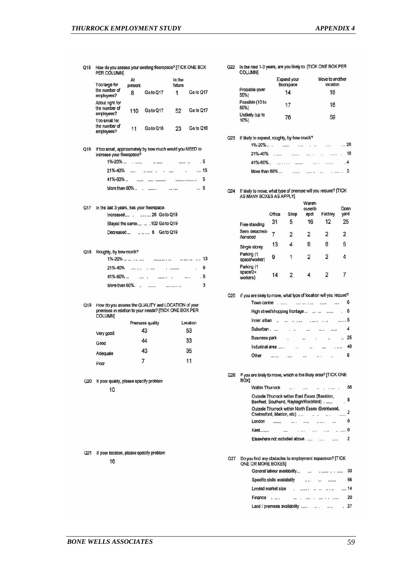Q15 How do you assess your existing floorspace? [TICK ONE BOX<br>PER COLUMN]

| the number of<br>employees?     | 8                                                                              | Go to Q17                                                                     | 1                                                                                                                                                                                                                                  | Go to Q17                                                                                                                                                                                                                                                                                       |
|---------------------------------|--------------------------------------------------------------------------------|-------------------------------------------------------------------------------|------------------------------------------------------------------------------------------------------------------------------------------------------------------------------------------------------------------------------------|-------------------------------------------------------------------------------------------------------------------------------------------------------------------------------------------------------------------------------------------------------------------------------------------------|
| About nght for<br>the number of |                                                                                |                                                                               | 52                                                                                                                                                                                                                                 | Go to Q17                                                                                                                                                                                                                                                                                       |
|                                 |                                                                                |                                                                               |                                                                                                                                                                                                                                    |                                                                                                                                                                                                                                                                                                 |
| the number of<br>employees?     | 11                                                                             | Go to Q16                                                                     | 23                                                                                                                                                                                                                                 | Go to Q16                                                                                                                                                                                                                                                                                       |
|                                 |                                                                                |                                                                               |                                                                                                                                                                                                                                    |                                                                                                                                                                                                                                                                                                 |
|                                 |                                                                                | 11.0000                                                                       | <b>REGISTERED</b>                                                                                                                                                                                                                  | . 5                                                                                                                                                                                                                                                                                             |
|                                 |                                                                                |                                                                               |                                                                                                                                                                                                                                    | . 15                                                                                                                                                                                                                                                                                            |
|                                 |                                                                                |                                                                               |                                                                                                                                                                                                                                    | 5                                                                                                                                                                                                                                                                                               |
|                                 |                                                                                |                                                                               |                                                                                                                                                                                                                                    | . 5                                                                                                                                                                                                                                                                                             |
|                                 |                                                                                |                                                                               |                                                                                                                                                                                                                                    |                                                                                                                                                                                                                                                                                                 |
|                                 |                                                                                |                                                                               |                                                                                                                                                                                                                                    |                                                                                                                                                                                                                                                                                                 |
|                                 |                                                                                |                                                                               |                                                                                                                                                                                                                                    |                                                                                                                                                                                                                                                                                                 |
|                                 |                                                                                |                                                                               |                                                                                                                                                                                                                                    |                                                                                                                                                                                                                                                                                                 |
|                                 |                                                                                |                                                                               |                                                                                                                                                                                                                                    |                                                                                                                                                                                                                                                                                                 |
|                                 |                                                                                |                                                                               |                                                                                                                                                                                                                                    |                                                                                                                                                                                                                                                                                                 |
|                                 |                                                                                |                                                                               |                                                                                                                                                                                                                                    | $\cdot$ 9                                                                                                                                                                                                                                                                                       |
|                                 |                                                                                |                                                                               |                                                                                                                                                                                                                                    |                                                                                                                                                                                                                                                                                                 |
|                                 |                                                                                |                                                                               |                                                                                                                                                                                                                                    | 3                                                                                                                                                                                                                                                                                               |
|                                 |                                                                                |                                                                               |                                                                                                                                                                                                                                    |                                                                                                                                                                                                                                                                                                 |
| <b>COLUMN]</b>                  |                                                                                |                                                                               |                                                                                                                                                                                                                                    |                                                                                                                                                                                                                                                                                                 |
|                                 |                                                                                |                                                                               |                                                                                                                                                                                                                                    | Location                                                                                                                                                                                                                                                                                        |
| Very good                       |                                                                                |                                                                               |                                                                                                                                                                                                                                    | 53                                                                                                                                                                                                                                                                                              |
|                                 |                                                                                |                                                                               |                                                                                                                                                                                                                                    | 33                                                                                                                                                                                                                                                                                              |
|                                 |                                                                                |                                                                               |                                                                                                                                                                                                                                    | 35                                                                                                                                                                                                                                                                                              |
|                                 |                                                                                |                                                                               |                                                                                                                                                                                                                                    | 11                                                                                                                                                                                                                                                                                              |
| Poor                            |                                                                                |                                                                               |                                                                                                                                                                                                                                    |                                                                                                                                                                                                                                                                                                 |
| 10                              |                                                                                |                                                                               |                                                                                                                                                                                                                                    |                                                                                                                                                                                                                                                                                                 |
| 16                              |                                                                                |                                                                               |                                                                                                                                                                                                                                    |                                                                                                                                                                                                                                                                                                 |
|                                 | Too large for<br>employees?<br>Too small for<br>Q17<br>Good<br>Adequate<br>Q21 | At<br>present<br>increase your floorspace?<br>1%-20%<br>Roughly, by how much? | 110 Goto Q17<br>$\mathbf{r}$ , and $\mathbf{r}$<br>In the last 3 years, has your floorspace.<br>Premises quality<br>43<br>44<br>43<br>7<br>Q20 If poor quality, please specify problem<br>If poor location, please specify problem | In the<br>future<br>If too small, approximately by how much would you NEED to<br>Increased 26 Go to Q18<br>Staved the same  . 102 Go to Q19<br>Decreased  8 Go to Q19<br>21%-40%<br>How do you assess the QUALITY and LOCATION of your<br>premises in relation to your needs? [TICK ONE BOX PER |

Q22 In the next 1-3 years, are you likely to. [TICK ONE BOX PER **COLUMN]** 

| Probable (over<br>50%)  | Expand your<br>floorspace<br>14 | Move to another<br>location<br>16 |
|-------------------------|---------------------------------|-----------------------------------|
| Possible (10 to<br>50%) | 17                              | 16                                |
| Unlikely (up to<br>10%  | 76                              | 59                                |

Q23 If likely to expand, roughly, by how much?

| $1\% - 20\%$  | <br>$\cdots$ |          | $\sim$ $\sim$ |        | $\sim$ $\sim$ | 28        |
|---------------|--------------|----------|---------------|--------|---------------|-----------|
| 21%-40%       | 19993, 5     | $\cdots$ |               | 100000 |               | 18        |
| 41%-60%.      |              |          |               |        |               | $\cdot$ 4 |
| More than 60% |              |          |               |        |               |           |

Q24 If likely to move, what type of premise will you require? [TICK<br>AS MANY BOXES AS APPLY]

|                                    | Office | Shop | Wareh-<br>ouse/d-<br>epot | Factory | Open<br>yard |
|------------------------------------|--------|------|---------------------------|---------|--------------|
| Free standing                      | 31     | 5    | 16                        | 12      | 25           |
| Semi detached-<br><b>/terraced</b> |        | 2    | 2                         | 2       | 2            |
| Single storey                      | 13     |      | 8                         | 8       | 5            |
| Parking (1<br>space/worker)        | 9      |      | 11m VS<br>$\overline{2}$  | 2       | 4            |
| Parking (1<br>space/2+<br>workers) | 14     |      |                           | 2       |              |

Q25 If you are likely to move, what type of location will you require? Town centre . ...... ...... ...... ....... ...... 6  $\overline{4}$ **Business park**  $\ldots \qquad \ldots \qquad \ldots \qquad \ldots \qquad 25$  $\ddot{\phantom{a}}$  $\ldots$   $\ldots$  40 Industrial area ....  $-47.$ Other ... ... ...  $\label{eq:1.1} \begin{array}{ccccccccccccc} \cdots & \cdots & \cdots & \cdots & \cdots & \cdots & \cdots \end{array}$ 6

Q26 If you are likely to move, which is the likely area? [TICK ONE **BOXI** 

| <b>Within Thurrock</b> |                                                                                         |    |          |  |   |
|------------------------|-----------------------------------------------------------------------------------------|----|----------|--|---|
|                        | Outside Thurrock within East Essex (Basildon,<br>Benfleet, Southend, Rayleigh/Rochford) |    |          |  | 8 |
|                        | Outside Thurrock within North Essex (Brentwood,<br>Chelmsford, Maldon, etc)             |    |          |  |   |
| London                 |                                                                                         |    |          |  |   |
| Kent.                  |                                                                                         | a. | Call and |  |   |
|                        | Elsewhere not included above.                                                           |    |          |  |   |

Q27 Do you find any obstacles to employment expansion? [TICK<br>ONE OR MORE BOXES] 56 Limited market size . ....... . . . . . . . . . . 14 Finance .... Land / premises availability ..... ... ... ... ... 27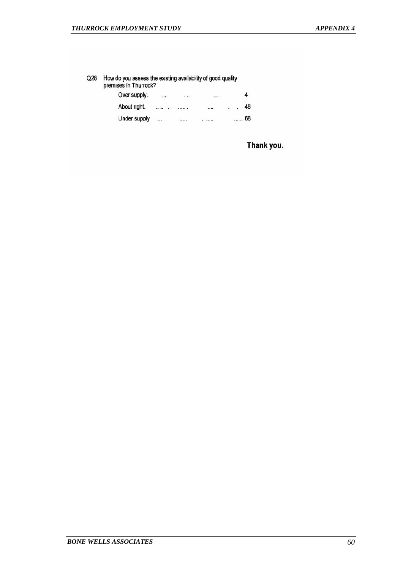Q28 How do you assess the existing availability of good quality<br>premises in Thurrock? Over supply.  $\overline{\mathbf{4}}$  $\dddotsc$  $\cdots$  $\sim$   $\sim$  $\cdot$   $\cdot$  48 About right.  $\ldots \ldots \ldots \ldots$  $\cdots$ Under supply ...... 68  $\cdots$  $......$  $\ldots$ 

Thank you.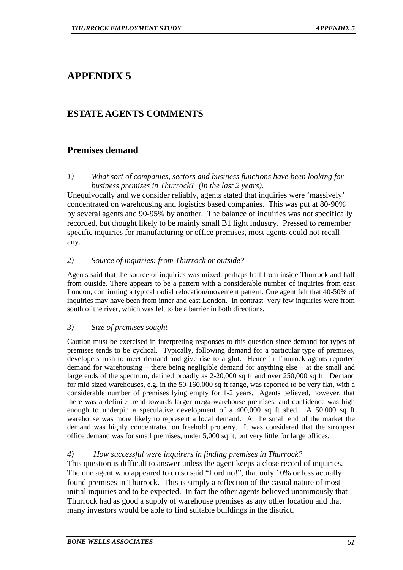# **ESTATE AGENTS COMMENTS**

# **Premises demand**

*1) What sort of companies, sectors and business functions have been looking for business premises in Thurrock? (in the last 2 years).* 

Unequivocally and we consider reliably, agents stated that inquiries were 'massively' concentrated on warehousing and logistics based companies. This was put at 80-90% by several agents and 90-95% by another. The balance of inquiries was not specifically recorded, but thought likely to be mainly small B1 light industry. Pressed to remember specific inquiries for manufacturing or office premises, most agents could not recall any.

# *2) Source of inquiries: from Thurrock or outside?*

Agents said that the source of inquiries was mixed, perhaps half from inside Thurrock and half from outside. There appears to be a pattern with a considerable number of inquiries from east London, confirming a typical radial relocation/movement pattern. One agent felt that 40-50% of inquiries may have been from inner and east London. In contrast very few inquiries were from south of the river, which was felt to be a barrier in both directions.

# *3) Size of premises sought*

Caution must be exercised in interpreting responses to this question since demand for types of premises tends to be cyclical. Typically, following demand for a particular type of premises, developers rush to meet demand and give rise to a glut. Hence in Thurrock agents reported demand for warehousing – there being negligible demand for anything else – at the small and large ends of the spectrum, defined broadly as 2-20,000 sq ft and over 250,000 sq ft. Demand for mid sized warehouses, e.g. in the 50-160,000 sq ft range, was reported to be very flat, with a considerable number of premises lying empty for 1-2 years. Agents believed, however, that there was a definite trend towards larger mega-warehouse premises, and confidence was high enough to underpin a speculative development of a 400,000 sq ft shed. A 50,000 sq ft warehouse was more likely to represent a local demand. At the small end of the market the demand was highly concentrated on freehold property. It was considered that the strongest office demand was for small premises, under 5,000 sq ft, but very little for large offices.

# *4) How successful were inquirers in finding premises in Thurrock?*

This question is difficult to answer unless the agent keeps a close record of inquiries. The one agent who appeared to do so said "Lord no!", that only 10% or less actually found premises in Thurrock. This is simply a reflection of the casual nature of most initial inquiries and to be expected. In fact the other agents believed unanimously that Thurrock had as good a supply of warehouse premises as any other location and that many investors would be able to find suitable buildings in the district.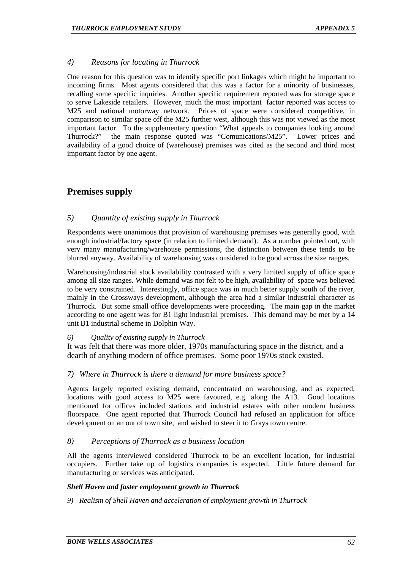# *4) Reasons for locating in Thurrock*

One reason for this question was to identify specific port linkages which might be important to incoming firms. Most agents considered that this was a factor for a minority of businesses, recalling some specific inquiries. Another specific requirement reported was for storage space to serve Lakeside retailers. However, much the most important factor reported was access to M25 and national motorway network. Prices of space were considered competitive, in comparison to similar space off the M25 further west, although this was not viewed as the most important factor. To the supplementary question "What appeals to companies looking around Thurrock?" the main response quoted was "Comunications/M25". Lower prices and availability of a good choice of (warehouse) premises was cited as the second and third most important factor by one agent.

# **Premises supply**

# *5) Quantity of existing supply in Thurrock*

Respondents were unanimous that provision of warehousing premises was generally good, with enough industrial/factory space (in relation to limited demand). As a number pointed out, with very many manufacturing/warehouse permissions, the distinction between these tends to be blurred anyway. Availability of warehousing was considered to be good across the size ranges.

Warehousing/industrial stock availability contrasted with a very limited supply of office space among all size ranges. While demand was not felt to be high, availability of space was believed to be very constrained. Interestingly, office space was in much better supply south of the river, mainly in the Crossways development, although the area had a similar industrial character as Thurrock. But some small office developments were proceeding. The main gap in the market according to one agent was for B1 light industrial premises. This demand may be met by a 14 unit B1 industrial scheme in Dolphin Way.

# *6) Quality of existing supply in Thurrock*

It was felt that there was more older, 1970s manufacturing space in the district, and a dearth of anything modern of office premises. Some poor 1970s stock existed.

# *7) Where in Thurrock is there a demand for more business space?*

Agents largely reported existing demand, concentrated on warehousing, and as expected, locations with good access to M25 were favoured, e.g. along the A13. Good locations mentioned for offices included stations and industrial estates with other modern business floorspace. One agent reported that Thurrock Council had refused an application for office development on an out of town site, and wished to steer it to Grays town centre.

# *8) Perceptions of Thurrock as a business location*

All the agents interviewed considered Thurrock to be an excellent location, for industrial occupiers. Further take up of logistics companies is expected. Little future demand for manufacturing or services was anticipated.

#### *Shell Haven and faster employment growth in Thurrock*

*9) Realism of Shell Haven and acceleration of employment growth in Thurrock*